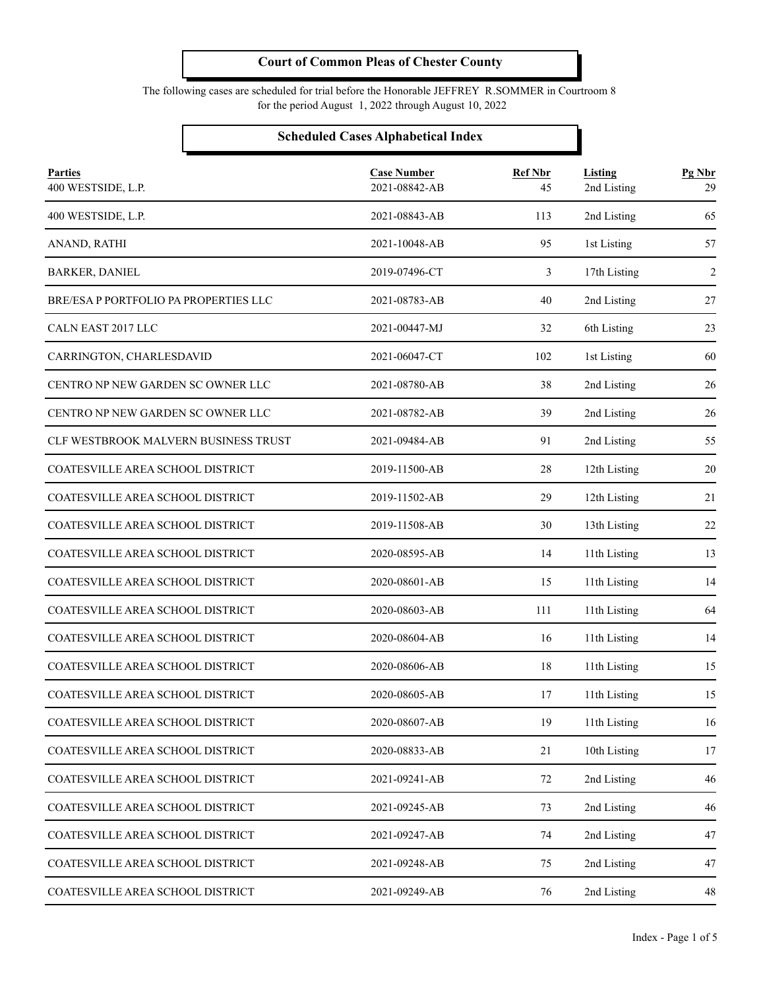The following cases are scheduled for trial before the Honorable JEFFREY R.SOMMER in Courtroom 8 for the period August 1, 2022 through August 10, 2022

#### **Scheduled Cases Alphabetical Index**

| <b>Parties</b><br>400 WESTSIDE, L.P.  | <b>Case Number</b><br>2021-08842-AB | <b>Ref Nbr</b><br>45 | Listing<br>2nd Listing | Pg Nbr<br>29   |
|---------------------------------------|-------------------------------------|----------------------|------------------------|----------------|
| 400 WESTSIDE, L.P.                    | 2021-08843-AB                       | 113                  | 2nd Listing            | 65             |
| ANAND, RATHI                          | 2021-10048-AB                       | 95                   | 1st Listing            | 57             |
| <b>BARKER, DANIEL</b>                 | 2019-07496-CT                       | 3                    | 17th Listing           | $\overline{2}$ |
| BRE/ESA P PORTFOLIO PA PROPERTIES LLC | 2021-08783-AB                       | 40                   | 2nd Listing            | 27             |
| CALN EAST 2017 LLC                    | 2021-00447-MJ                       | 32                   | 6th Listing            | 23             |
| CARRINGTON, CHARLESDAVID              | 2021-06047-CT                       | 102                  | 1st Listing            | 60             |
| CENTRO NP NEW GARDEN SC OWNER LLC     | 2021-08780-AB                       | 38                   | 2nd Listing            | 26             |
| CENTRO NP NEW GARDEN SC OWNER LLC     | 2021-08782-AB                       | 39                   | 2nd Listing            | 26             |
| CLF WESTBROOK MALVERN BUSINESS TRUST  | 2021-09484-AB                       | 91                   | 2nd Listing            | 55             |
| COATESVILLE AREA SCHOOL DISTRICT      | 2019-11500-AB                       | 28                   | 12th Listing           | 20             |
| COATESVILLE AREA SCHOOL DISTRICT      | 2019-11502-AB                       | 29                   | 12th Listing           | 21             |
| COATESVILLE AREA SCHOOL DISTRICT      | 2019-11508-AB                       | 30                   | 13th Listing           | 22             |
| COATESVILLE AREA SCHOOL DISTRICT      | 2020-08595-AB                       | 14                   | 11th Listing           | 13             |
| COATESVILLE AREA SCHOOL DISTRICT      | 2020-08601-AB                       | 15                   | 11th Listing           | 14             |
| COATESVILLE AREA SCHOOL DISTRICT      | 2020-08603-AB                       | 111                  | 11th Listing           | 64             |
| COATESVILLE AREA SCHOOL DISTRICT      | 2020-08604-AB                       | 16                   | 11th Listing           | 14             |
| COATESVILLE AREA SCHOOL DISTRICT      | 2020-08606-AB                       | 18                   | 11th Listing           | 15             |
| COATESVILLE AREA SCHOOL DISTRICT      | 2020-08605-AB                       | 17                   | 11th Listing           | 15             |
| COATESVILLE AREA SCHOOL DISTRICT      | 2020-08607-AB                       | 19                   | 11th Listing           | 16             |
| COATESVILLE AREA SCHOOL DISTRICT      | 2020-08833-AB                       | 21                   | 10th Listing           | 17             |
| COATESVILLE AREA SCHOOL DISTRICT      | 2021-09241-AB                       | 72                   | 2nd Listing            | 46             |
| COATESVILLE AREA SCHOOL DISTRICT      | 2021-09245-AB                       | 73                   | 2nd Listing            | 46             |
| COATESVILLE AREA SCHOOL DISTRICT      | 2021-09247-AB                       | 74                   | 2nd Listing            | 47             |
| COATESVILLE AREA SCHOOL DISTRICT      | 2021-09248-AB                       | 75                   | 2nd Listing            | 47             |
| COATESVILLE AREA SCHOOL DISTRICT      | 2021-09249-AB                       | 76                   | 2nd Listing            | 48             |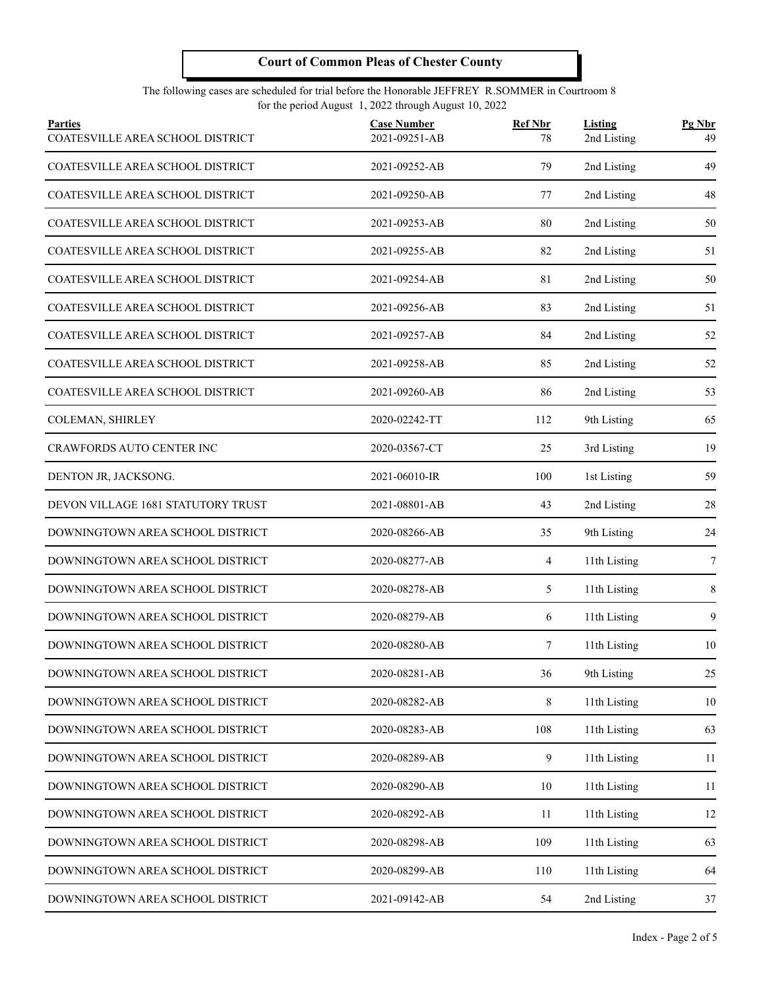#### The following cases are scheduled for trial before the Honorable JEFFREY R.SOMMER in Courtroom 8 for the period August 1, 2022 through August 10, 2022

| <b>Parties</b><br>COATESVILLE AREA SCHOOL DISTRICT | <b>Case Number</b><br>2021-09251-AB | <b>Ref Nbr</b><br>78 | Listing<br>2nd Listing | Pg Nbr<br>49 |
|----------------------------------------------------|-------------------------------------|----------------------|------------------------|--------------|
| COATESVILLE AREA SCHOOL DISTRICT                   | 2021-09252-AB                       | 79                   | 2nd Listing            | 49           |
| COATESVILLE AREA SCHOOL DISTRICT                   | 2021-09250-AB                       | 77                   | 2nd Listing            | 48           |
| <b>COATESVILLE AREA SCHOOL DISTRICT</b>            | 2021-09253-AB                       | 80                   | 2nd Listing            | 50           |
| COATESVILLE AREA SCHOOL DISTRICT                   | 2021-09255-AB                       | 82                   | 2nd Listing            | 51           |
| COATESVILLE AREA SCHOOL DISTRICT                   | 2021-09254-AB                       | 81                   | 2nd Listing            | 50           |
| COATESVILLE AREA SCHOOL DISTRICT                   | 2021-09256-AB                       | 83                   | 2nd Listing            | 51           |
| COATESVILLE AREA SCHOOL DISTRICT                   | 2021-09257-AB                       | 84                   | 2nd Listing            | 52           |
| COATESVILLE AREA SCHOOL DISTRICT                   | 2021-09258-AB                       | 85                   | 2nd Listing            | 52           |
| COATESVILLE AREA SCHOOL DISTRICT                   | 2021-09260-AB                       | 86                   | 2nd Listing            | 53           |
| COLEMAN, SHIRLEY                                   | 2020-02242-TT                       | 112                  | 9th Listing            | 65           |
| <b>CRAWFORDS AUTO CENTER INC</b>                   | 2020-03567-CT                       | 25                   | 3rd Listing            | 19           |
| DENTON JR, JACKSONG.                               | 2021-06010-IR                       | 100                  | 1st Listing            | 59           |
| DEVON VILLAGE 1681 STATUTORY TRUST                 | 2021-08801-AB                       | 43                   | 2nd Listing            | 28           |
| DOWNINGTOWN AREA SCHOOL DISTRICT                   | 2020-08266-AB                       | 35                   | 9th Listing            | 24           |
| DOWNINGTOWN AREA SCHOOL DISTRICT                   | 2020-08277-AB                       | 4                    | 11th Listing           | 7            |
| DOWNINGTOWN AREA SCHOOL DISTRICT                   | 2020-08278-AB                       | 5                    | 11th Listing           | 8            |
| DOWNINGTOWN AREA SCHOOL DISTRICT                   | 2020-08279-AB                       | 6                    | 11th Listing           | 9            |
| DOWNINGTOWN AREA SCHOOL DISTRICT                   | 2020-08280-AB                       | 7                    | 11th Listing           | 10           |
| DOWNINGTOWN AREA SCHOOL DISTRICT                   | 2020-08281-AB                       | 36                   | 9th Listing            | $25\,$       |
| DOWNINGTOWN AREA SCHOOL DISTRICT                   | 2020-08282-AB                       | 8                    | 11th Listing           | 10           |
| DOWNINGTOWN AREA SCHOOL DISTRICT                   | 2020-08283-AB                       | 108                  | 11th Listing           | 63           |
| DOWNINGTOWN AREA SCHOOL DISTRICT                   | 2020-08289-AB                       | 9                    | 11th Listing           | 11           |
| DOWNINGTOWN AREA SCHOOL DISTRICT                   | 2020-08290-AB                       | 10                   | 11th Listing           | 11           |
| DOWNINGTOWN AREA SCHOOL DISTRICT                   | 2020-08292-AB                       | 11                   | 11th Listing           | 12           |
| DOWNINGTOWN AREA SCHOOL DISTRICT                   | 2020-08298-AB                       | 109                  | 11th Listing           | 63           |
| DOWNINGTOWN AREA SCHOOL DISTRICT                   | 2020-08299-AB                       | 110                  | 11th Listing           | 64           |
| DOWNINGTOWN AREA SCHOOL DISTRICT                   | 2021-09142-AB                       | 54                   | 2nd Listing            | 37           |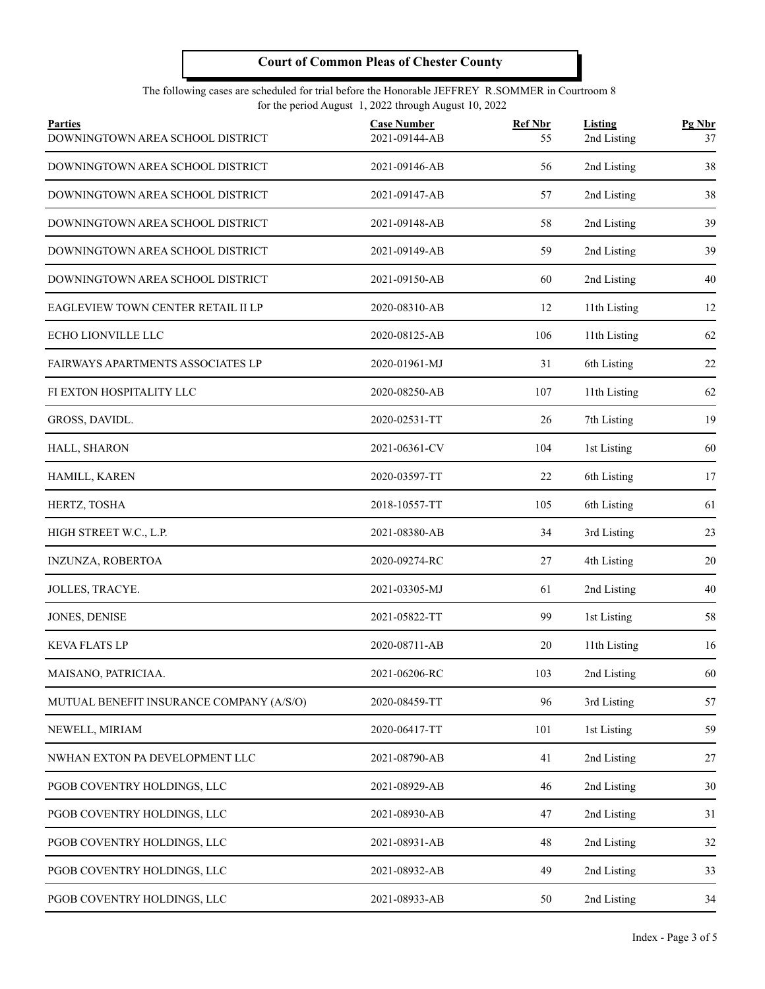#### The following cases are scheduled for trial before the Honorable JEFFREY R.SOMMER in Courtroom 8 for the period August 1, 2022 through August 10, 2022

| <b>Parties</b><br>DOWNINGTOWN AREA SCHOOL DISTRICT | <b>Case Number</b><br>2021-09144-AB | <b>Ref Nbr</b><br>55 | Listing<br>2nd Listing | Pg Nbr<br>37 |
|----------------------------------------------------|-------------------------------------|----------------------|------------------------|--------------|
| DOWNINGTOWN AREA SCHOOL DISTRICT                   | 2021-09146-AB                       | 56                   | 2nd Listing            | 38           |
| DOWNINGTOWN AREA SCHOOL DISTRICT                   | 2021-09147-AB                       | 57                   | 2nd Listing            | 38           |
| DOWNINGTOWN AREA SCHOOL DISTRICT                   | 2021-09148-AB                       | 58                   | 2nd Listing            | 39           |
| DOWNINGTOWN AREA SCHOOL DISTRICT                   | 2021-09149-AB                       | 59                   | 2nd Listing            | 39           |
| DOWNINGTOWN AREA SCHOOL DISTRICT                   | 2021-09150-AB                       | 60                   | 2nd Listing            | 40           |
| EAGLEVIEW TOWN CENTER RETAIL II LP                 | 2020-08310-AB                       | 12                   | 11th Listing           | 12           |
| ECHO LIONVILLE LLC                                 | 2020-08125-AB                       | 106                  | 11th Listing           | 62           |
| FAIRWAYS APARTMENTS ASSOCIATES LP                  | 2020-01961-MJ                       | 31                   | 6th Listing            | 22           |
| FI EXTON HOSPITALITY LLC                           | 2020-08250-AB                       | 107                  | 11th Listing           | 62           |
| GROSS, DAVIDL.                                     | 2020-02531-TT                       | 26                   | 7th Listing            | 19           |
| HALL, SHARON                                       | 2021-06361-CV                       | 104                  | 1st Listing            | 60           |
| HAMILL, KAREN                                      | 2020-03597-TT                       | 22                   | 6th Listing            | 17           |
| HERTZ, TOSHA                                       | 2018-10557-TT                       | 105                  | 6th Listing            | 61           |
| HIGH STREET W.C., L.P.                             | 2021-08380-AB                       | 34                   | 3rd Listing            | 23           |
| INZUNZA, ROBERTOA                                  | 2020-09274-RC                       | 27                   | 4th Listing            | 20           |
| JOLLES, TRACYE.                                    | 2021-03305-MJ                       | 61                   | 2nd Listing            | 40           |
| JONES, DENISE                                      | 2021-05822-TT                       | 99                   | 1st Listing            | 58           |
| <b>KEVA FLATS LP</b>                               | 2020-08711-AB                       | 20                   | 11th Listing           | 16           |
| MAISANO, PATRICIAA.                                | 2021-06206-RC                       | 103                  | 2nd Listing            | 60           |
| MUTUAL BENEFIT INSURANCE COMPANY (A/S/O)           | 2020-08459-TT                       | 96                   | 3rd Listing            | 57           |
| NEWELL, MIRIAM                                     | 2020-06417-TT                       | 101                  | 1st Listing            | 59           |
| NWHAN EXTON PA DEVELOPMENT LLC                     | 2021-08790-AB                       | 41                   | 2nd Listing            | 27           |
| PGOB COVENTRY HOLDINGS, LLC                        | 2021-08929-AB                       | 46                   | 2nd Listing            | 30           |
| PGOB COVENTRY HOLDINGS, LLC                        | 2021-08930-AB                       | 47                   | 2nd Listing            | 31           |
| PGOB COVENTRY HOLDINGS, LLC                        | 2021-08931-AB                       | $48\,$               | 2nd Listing            | 32           |
| PGOB COVENTRY HOLDINGS, LLC                        | 2021-08932-AB                       | 49                   | 2nd Listing            | 33           |
| PGOB COVENTRY HOLDINGS, LLC                        | 2021-08933-AB                       | 50                   | 2nd Listing            | 34           |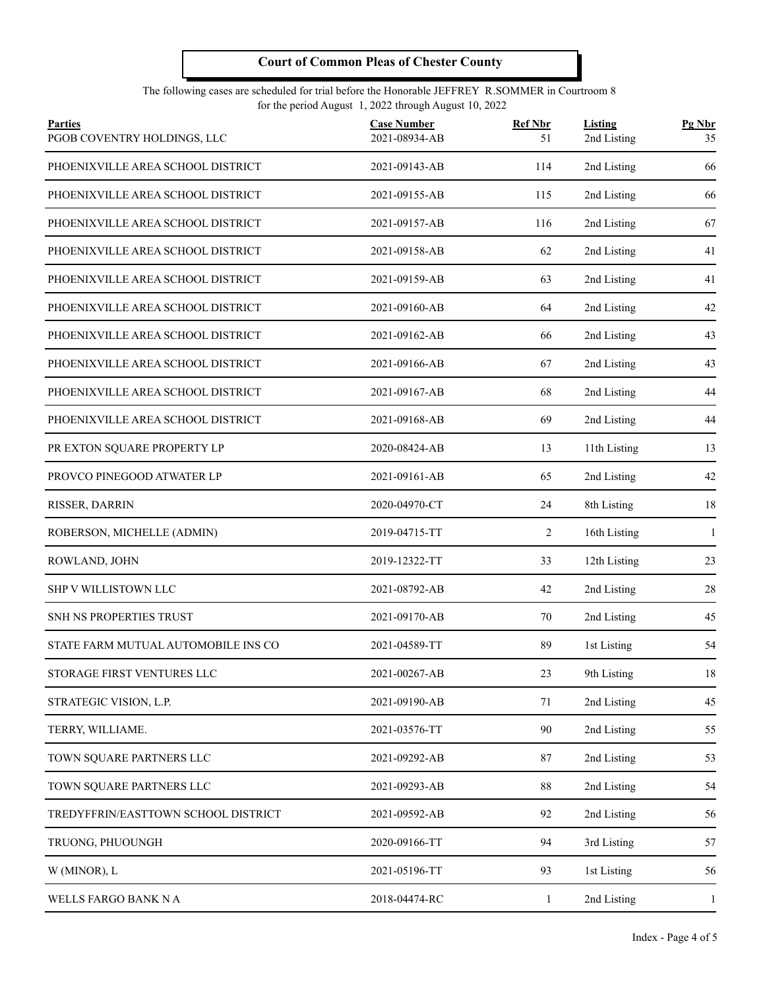#### The following cases are scheduled for trial before the Honorable JEFFREY R.SOMMER in Courtroom 8 for the period August 1, 2022 through August 10, 2022

| <b>Parties</b><br>PGOB COVENTRY HOLDINGS, LLC | <b>Case Number</b><br>2021-08934-AB | <b>Ref Nbr</b><br>51 | Listing<br>2nd Listing | Pg Nbr<br>35 |
|-----------------------------------------------|-------------------------------------|----------------------|------------------------|--------------|
| PHOENIXVILLE AREA SCHOOL DISTRICT             | 2021-09143-AB                       | 114                  | 2nd Listing            | 66           |
| PHOENIXVILLE AREA SCHOOL DISTRICT             | 2021-09155-AB                       | 115                  | 2nd Listing            | 66           |
| PHOENIXVILLE AREA SCHOOL DISTRICT             | 2021-09157-AB                       | 116                  | 2nd Listing            | 67           |
| PHOENIXVILLE AREA SCHOOL DISTRICT             | 2021-09158-AB                       | 62                   | 2nd Listing            | 41           |
| PHOENIXVILLE AREA SCHOOL DISTRICT             | 2021-09159-AB                       | 63                   | 2nd Listing            | 41           |
| PHOENIXVILLE AREA SCHOOL DISTRICT             | 2021-09160-AB                       | 64                   | 2nd Listing            | 42           |
| PHOENIXVILLE AREA SCHOOL DISTRICT             | 2021-09162-AB                       | 66                   | 2nd Listing            | 43           |
| PHOENIXVILLE AREA SCHOOL DISTRICT             | 2021-09166-AB                       | 67                   | 2nd Listing            | 43           |
| PHOENIXVILLE AREA SCHOOL DISTRICT             | 2021-09167-AB                       | 68                   | 2nd Listing            | 44           |
| PHOENIXVILLE AREA SCHOOL DISTRICT             | 2021-09168-AB                       | 69                   | 2nd Listing            | 44           |
| PR EXTON SQUARE PROPERTY LP                   | 2020-08424-AB                       | 13                   | 11th Listing           | 13           |
| PROVCO PINEGOOD ATWATER LP                    | 2021-09161-AB                       | 65                   | 2nd Listing            | 42           |
| RISSER, DARRIN                                | 2020-04970-CT                       | 24                   | 8th Listing            | 18           |
| ROBERSON, MICHELLE (ADMIN)                    | 2019-04715-TT                       | 2                    | 16th Listing           | $\mathbf{1}$ |
| ROWLAND, JOHN                                 | 2019-12322-TT                       | 33                   | 12th Listing           | 23           |
| SHP V WILLISTOWN LLC                          | 2021-08792-AB                       | 42                   | 2nd Listing            | 28           |
| SNH NS PROPERTIES TRUST                       | 2021-09170-AB                       | 70                   | 2nd Listing            | 45           |
| STATE FARM MUTUAL AUTOMOBILE INS CO           | 2021-04589-TT                       | 89                   | 1st Listing            | 54           |
| STORAGE FIRST VENTURES LLC                    | 2021-00267-AB                       | 23                   | 9th Listing            | 18           |
| STRATEGIC VISION, L.P.                        | 2021-09190-AB                       | 71                   | 2nd Listing            | 45           |
| TERRY, WILLIAME.                              | 2021-03576-TT                       | 90                   | 2nd Listing            | 55           |
| TOWN SQUARE PARTNERS LLC                      | 2021-09292-AB                       | 87                   | 2nd Listing            | 53           |
| TOWN SQUARE PARTNERS LLC                      | 2021-09293-AB                       | 88                   | 2nd Listing            | 54           |
| TREDYFFRIN/EASTTOWN SCHOOL DISTRICT           | 2021-09592-AB                       | 92                   | 2nd Listing            | 56           |
| TRUONG, PHUOUNGH                              | 2020-09166-TT                       | 94                   | 3rd Listing            | 57           |
| W (MINOR), L                                  | 2021-05196-TT                       | 93                   | 1st Listing            | 56           |
| WELLS FARGO BANK N A                          | 2018-04474-RC                       | $\mathbf{1}$         | 2nd Listing            | 1            |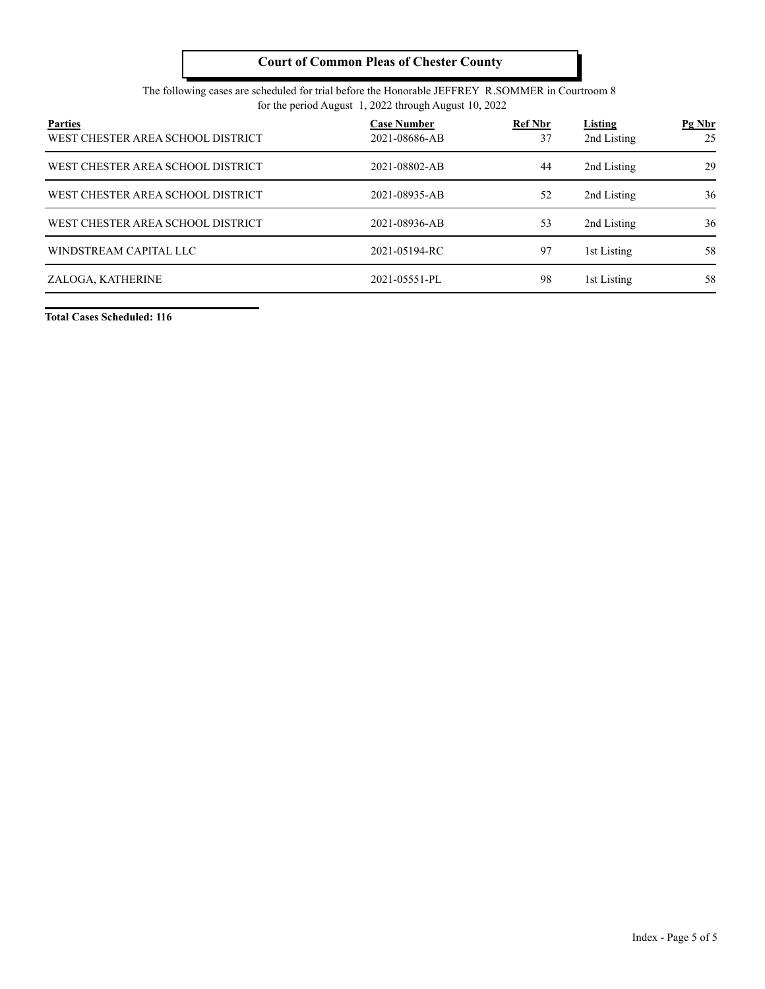#### The following cases are scheduled for trial before the Honorable JEFFREY R.SOMMER in Courtroom 8 for the period August 1, 2022 through August 10, 2022

| <b>Parties</b><br>WEST CHESTER AREA SCHOOL DISTRICT | <b>Case Number</b><br>2021-08686-AB | <b>Ref Nbr</b><br>37 | <b>Listing</b><br>2nd Listing | $Pg$ Nbr<br>25 |
|-----------------------------------------------------|-------------------------------------|----------------------|-------------------------------|----------------|
| WEST CHESTER AREA SCHOOL DISTRICT                   | 2021-08802-AB                       | 44                   | 2nd Listing                   | 29             |
| WEST CHESTER AREA SCHOOL DISTRICT                   | 2021-08935-AB                       | 52                   | 2nd Listing                   | 36             |
| WEST CHESTER AREA SCHOOL DISTRICT                   | 2021-08936-AB                       | 53                   | 2nd Listing                   | 36             |
| WINDSTREAM CAPITAL LLC                              | 2021-05194-RC                       | 97                   | 1st Listing                   | 58             |
| ZALOGA, KATHERINE                                   | 2021-05551-PL                       | 98                   | 1st Listing                   | 58             |

**Total Cases Scheduled: 116**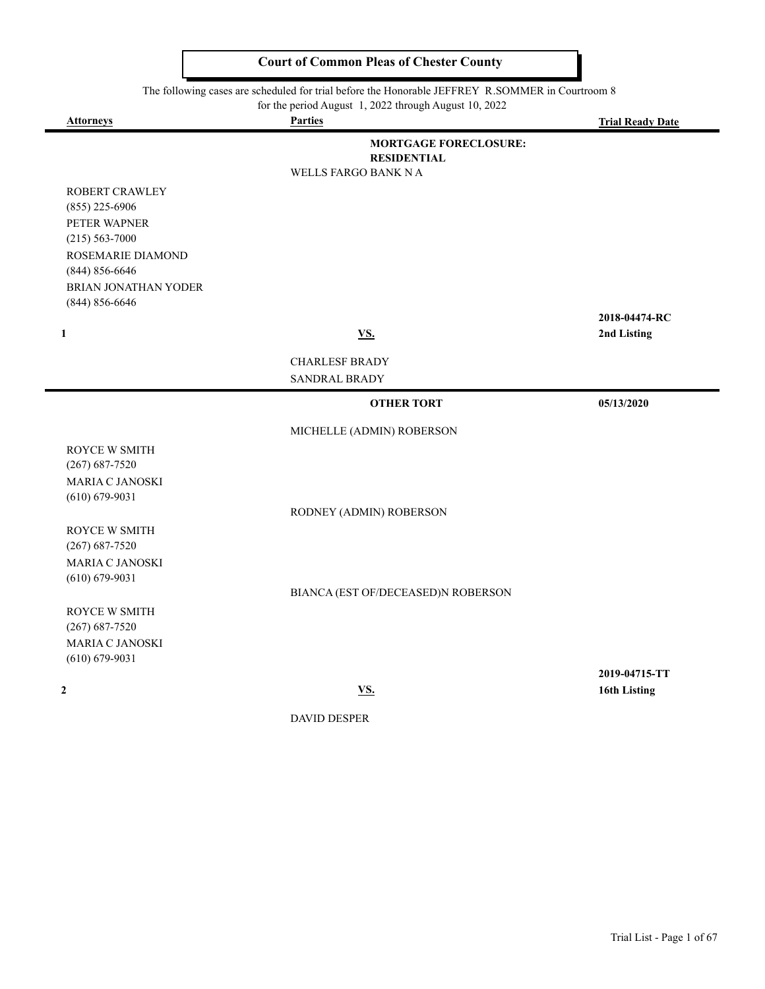The following cases are scheduled for trial before the Honorable JEFFREY R.SOMMER in Courtroom 8<br>for the period August 1 2022 through August 10 2022

for the period  $\Lambda$  and  $\Lambda$  10, 2022 through  $\Lambda$  and  $\Lambda$ 

-

|                             | for the period August $\left  \frac{1}{2} \right $ , 2022 through August 10, 2022 |                              |
|-----------------------------|-----------------------------------------------------------------------------------|------------------------------|
| <b>Attorneys</b>            | <b>Parties</b>                                                                    | <b>Trial Ready Date</b>      |
|                             | <b>MORTGAGE FORECLOSURE:</b><br><b>RESIDENTIAL</b>                                |                              |
|                             | <b>WELLS FARGO BANK N A</b>                                                       |                              |
| ROBERT CRAWLEY              |                                                                                   |                              |
| $(855)$ 225-6906            |                                                                                   |                              |
| PETER WAPNER                |                                                                                   |                              |
| $(215) 563 - 7000$          |                                                                                   |                              |
| ROSEMARIE DIAMOND           |                                                                                   |                              |
| $(844) 856 - 6646$          |                                                                                   |                              |
| <b>BRIAN JONATHAN YODER</b> |                                                                                   |                              |
| $(844) 856 - 6646$          |                                                                                   |                              |
| $\mathbf{1}$                | <b>VS.</b>                                                                        | 2018-04474-RC<br>2nd Listing |
|                             |                                                                                   |                              |
|                             | <b>CHARLESF BRADY</b>                                                             |                              |
|                             | SANDRAL BRADY                                                                     |                              |
|                             | <b>OTHER TORT</b>                                                                 | 05/13/2020                   |
|                             | MICHELLE (ADMIN) ROBERSON                                                         |                              |
| ROYCE W SMITH               |                                                                                   |                              |
| $(267) 687 - 7520$          |                                                                                   |                              |
| <b>MARIA C JANOSKI</b>      |                                                                                   |                              |
| $(610) 679 - 9031$          | RODNEY (ADMIN) ROBERSON                                                           |                              |
| ROYCE W SMITH               |                                                                                   |                              |
| $(267) 687 - 7520$          |                                                                                   |                              |
| <b>MARIA C JANOSKI</b>      |                                                                                   |                              |
| $(610) 679 - 9031$          |                                                                                   |                              |
|                             | BIANCA (EST OF/DECEASED)N ROBERSON                                                |                              |
|                             |                                                                                   |                              |
| ROYCE W SMITH               |                                                                                   |                              |
| $(267) 687 - 7520$          |                                                                                   |                              |
| MARIA C JANOSKI             |                                                                                   |                              |
| $(610) 679 - 9031$          |                                                                                   |                              |
| $\mathbf{2}$                |                                                                                   | 2019-04715-TT                |
|                             | <b>VS.</b><br>DAVID DESPER                                                        | 16th Listing                 |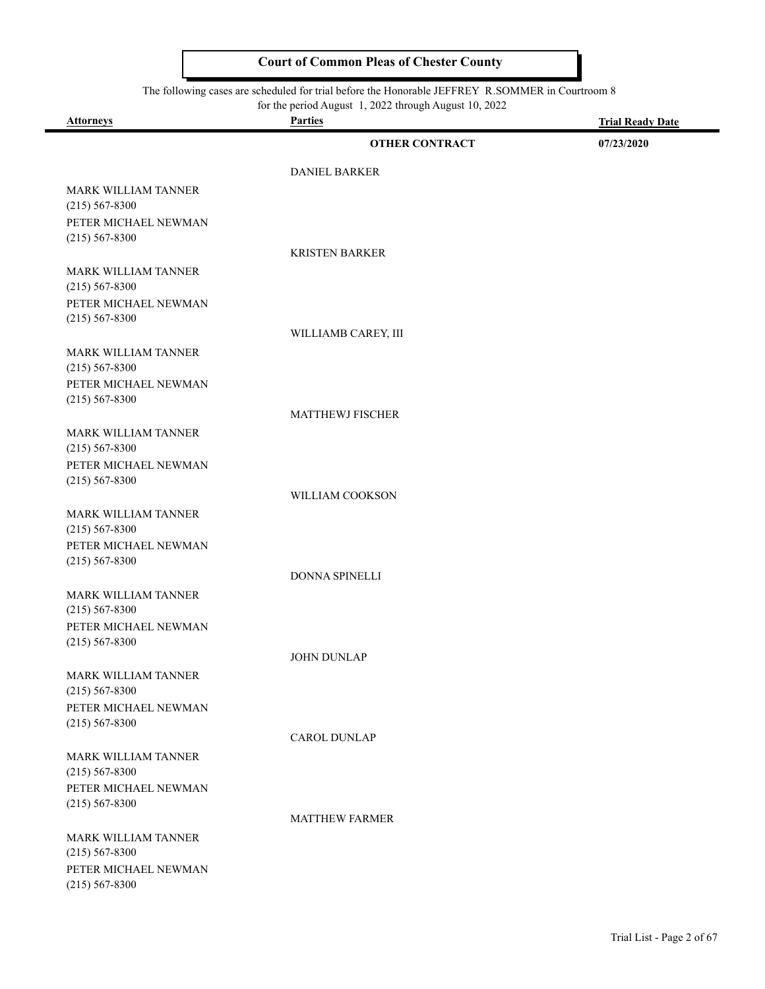#### The following cases are scheduled for trial before the Honorable JEFFREY R.SOMMER in Courtroom 8

۰

|                                            | for the period August 1, 2022 through August 10, 2022 |                         |
|--------------------------------------------|-------------------------------------------------------|-------------------------|
| <b>Attorneys</b>                           | <b>Parties</b>                                        | <b>Trial Ready Date</b> |
|                                            | <b>OTHER CONTRACT</b>                                 | 07/23/2020              |
|                                            |                                                       |                         |
|                                            | <b>DANIEL BARKER</b>                                  |                         |
| MARK WILLIAM TANNER<br>$(215) 567 - 8300$  |                                                       |                         |
| PETER MICHAEL NEWMAN                       |                                                       |                         |
| $(215) 567 - 8300$                         |                                                       |                         |
|                                            | <b>KRISTEN BARKER</b>                                 |                         |
| <b>MARK WILLIAM TANNER</b>                 |                                                       |                         |
| $(215) 567 - 8300$                         |                                                       |                         |
| PETER MICHAEL NEWMAN                       |                                                       |                         |
| $(215) 567 - 8300$                         | WILLIAMB CAREY, III                                   |                         |
| <b>MARK WILLIAM TANNER</b>                 |                                                       |                         |
| $(215) 567 - 8300$                         |                                                       |                         |
| PETER MICHAEL NEWMAN                       |                                                       |                         |
| $(215) 567 - 8300$                         |                                                       |                         |
|                                            | <b>MATTHEWJ FISCHER</b>                               |                         |
| <b>MARK WILLIAM TANNER</b>                 |                                                       |                         |
| $(215) 567 - 8300$                         |                                                       |                         |
| PETER MICHAEL NEWMAN<br>$(215) 567 - 8300$ |                                                       |                         |
|                                            | WILLIAM COOKSON                                       |                         |
| MARK WILLIAM TANNER                        |                                                       |                         |
| $(215) 567 - 8300$                         |                                                       |                         |
| PETER MICHAEL NEWMAN                       |                                                       |                         |
| $(215) 567 - 8300$                         |                                                       |                         |
|                                            | DONNA SPINELLI                                        |                         |
| MARK WILLIAM TANNER                        |                                                       |                         |
| $(215) 567 - 8300$<br>PETER MICHAEL NEWMAN |                                                       |                         |
| $(215) 567 - 8300$                         |                                                       |                         |
|                                            | <b>JOHN DUNLAP</b>                                    |                         |
| MARK WILLIAM TANNER                        |                                                       |                         |
| $(215) 567 - 8300$                         |                                                       |                         |
| PETER MICHAEL NEWMAN                       |                                                       |                         |
| $(215) 567 - 8300$                         | <b>CAROL DUNLAP</b>                                   |                         |
|                                            |                                                       |                         |
| MARK WILLIAM TANNER<br>$(215) 567 - 8300$  |                                                       |                         |
| PETER MICHAEL NEWMAN                       |                                                       |                         |
| $(215) 567 - 8300$                         |                                                       |                         |
|                                            | <b>MATTHEW FARMER</b>                                 |                         |
| <b>MARK WILLIAM TANNER</b>                 |                                                       |                         |
| $(215) 567 - 8300$                         |                                                       |                         |
| PETER MICHAEL NEWMAN                       |                                                       |                         |
| $(215) 567 - 8300$                         |                                                       |                         |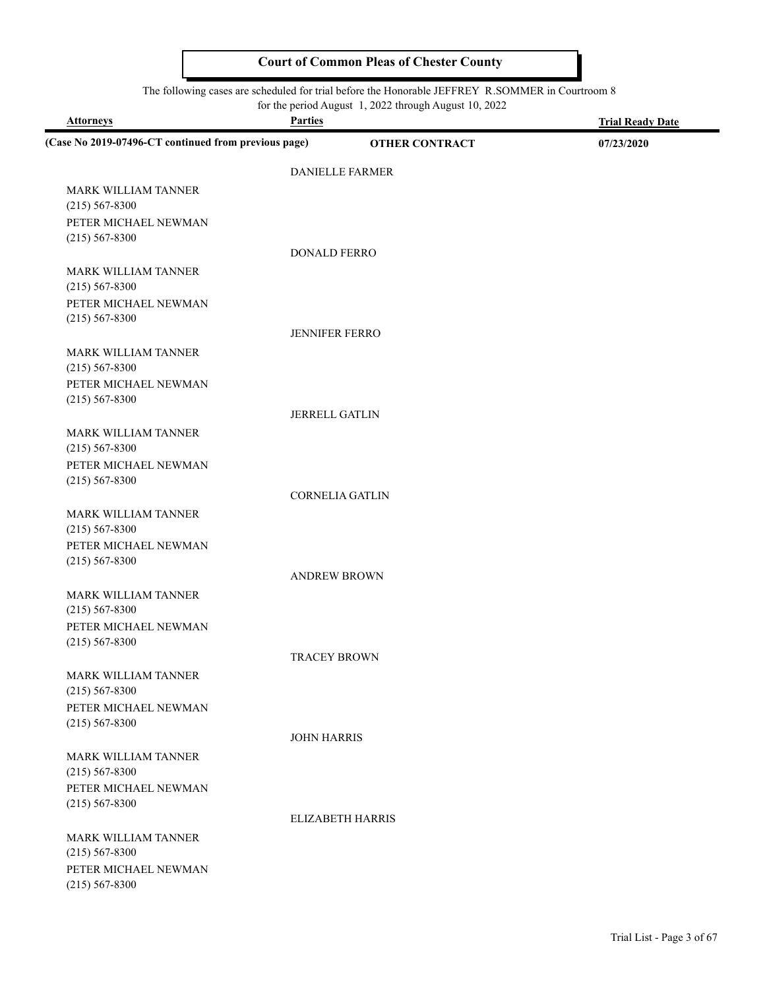#### The following cases are scheduled for trial before the Honorable JEFFREY R.SOMMER in Courtroom 8

for the period August 1, 2022 through August 10, 2022

| <b>Attorneys</b>                                     | <b>Parties</b>          | <b>Trial Ready Date</b> |
|------------------------------------------------------|-------------------------|-------------------------|
| (Case No 2019-07496-CT continued from previous page) | <b>OTHER CONTRACT</b>   | 07/23/2020              |
|                                                      | DANIELLE FARMER         |                         |
| <b>MARK WILLIAM TANNER</b>                           |                         |                         |
| $(215) 567 - 8300$                                   |                         |                         |
| PETER MICHAEL NEWMAN                                 |                         |                         |
| $(215) 567 - 8300$                                   |                         |                         |
|                                                      | DONALD FERRO            |                         |
| <b>MARK WILLIAM TANNER</b>                           |                         |                         |
| $(215) 567 - 8300$                                   |                         |                         |
| PETER MICHAEL NEWMAN                                 |                         |                         |
| $(215) 567 - 8300$                                   | <b>JENNIFER FERRO</b>   |                         |
| <b>MARK WILLIAM TANNER</b>                           |                         |                         |
| $(215) 567 - 8300$                                   |                         |                         |
| PETER MICHAEL NEWMAN                                 |                         |                         |
| $(215) 567 - 8300$                                   |                         |                         |
|                                                      | <b>JERRELL GATLIN</b>   |                         |
| <b>MARK WILLIAM TANNER</b>                           |                         |                         |
| $(215) 567 - 8300$                                   |                         |                         |
| PETER MICHAEL NEWMAN                                 |                         |                         |
| $(215) 567 - 8300$                                   |                         |                         |
|                                                      | <b>CORNELIA GATLIN</b>  |                         |
| MARK WILLIAM TANNER<br>$(215) 567 - 8300$            |                         |                         |
| PETER MICHAEL NEWMAN                                 |                         |                         |
| $(215) 567 - 8300$                                   |                         |                         |
|                                                      | <b>ANDREW BROWN</b>     |                         |
| <b>MARK WILLIAM TANNER</b>                           |                         |                         |
| $(215) 567 - 8300$                                   |                         |                         |
| PETER MICHAEL NEWMAN                                 |                         |                         |
| $(215) 567 - 8300$                                   | <b>TRACEY BROWN</b>     |                         |
|                                                      |                         |                         |
| MARK WILLIAM TANNER<br>$(215) 567 - 8300$            |                         |                         |
| PETER MICHAEL NEWMAN                                 |                         |                         |
| $(215) 567 - 8300$                                   |                         |                         |
|                                                      | <b>JOHN HARRIS</b>      |                         |
| MARK WILLIAM TANNER                                  |                         |                         |
| $(215) 567 - 8300$                                   |                         |                         |
| PETER MICHAEL NEWMAN                                 |                         |                         |
| $(215) 567 - 8300$                                   | <b>ELIZABETH HARRIS</b> |                         |
| <b>MARK WILLIAM TANNER</b>                           |                         |                         |
| $(215) 567 - 8300$                                   |                         |                         |
| PETER MICHAEL NEWMAN                                 |                         |                         |
| $(215) 567 - 8300$                                   |                         |                         |
|                                                      |                         |                         |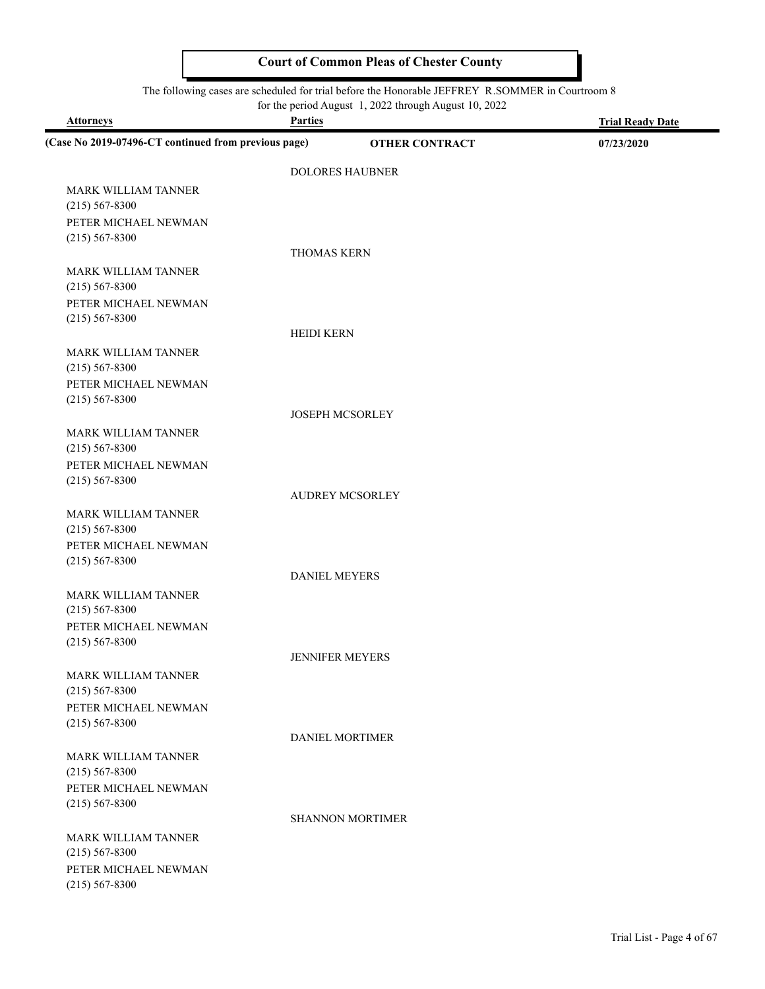#### The following cases are scheduled for trial before the Honorable JEFFREY R.SOMMER in Courtroom 8

| <b>Attorneys</b>                                     | <b>Parties</b>       | for the period August 1, 2022 through August 10, 2022 | <b>Trial Ready Date</b> |
|------------------------------------------------------|----------------------|-------------------------------------------------------|-------------------------|
| (Case No 2019-07496-CT continued from previous page) |                      | <b>OTHER CONTRACT</b>                                 | 07/23/2020              |
|                                                      |                      |                                                       |                         |
| MARK WILLIAM TANNER                                  |                      | <b>DOLORES HAUBNER</b>                                |                         |
| $(215) 567 - 8300$                                   |                      |                                                       |                         |
| PETER MICHAEL NEWMAN                                 |                      |                                                       |                         |
| $(215) 567 - 8300$                                   |                      |                                                       |                         |
|                                                      | <b>THOMAS KERN</b>   |                                                       |                         |
| <b>MARK WILLIAM TANNER</b><br>$(215) 567 - 8300$     |                      |                                                       |                         |
| PETER MICHAEL NEWMAN                                 |                      |                                                       |                         |
| $(215) 567 - 8300$                                   |                      |                                                       |                         |
|                                                      | <b>HEIDI KERN</b>    |                                                       |                         |
| <b>MARK WILLIAM TANNER</b>                           |                      |                                                       |                         |
| $(215) 567 - 8300$<br>PETER MICHAEL NEWMAN           |                      |                                                       |                         |
| $(215) 567 - 8300$                                   |                      |                                                       |                         |
|                                                      |                      | <b>JOSEPH MCSORLEY</b>                                |                         |
| <b>MARK WILLIAM TANNER</b>                           |                      |                                                       |                         |
| $(215) 567 - 8300$                                   |                      |                                                       |                         |
| PETER MICHAEL NEWMAN<br>$(215) 567 - 8300$           |                      |                                                       |                         |
|                                                      |                      | <b>AUDREY MCSORLEY</b>                                |                         |
| <b>MARK WILLIAM TANNER</b>                           |                      |                                                       |                         |
| $(215) 567 - 8300$                                   |                      |                                                       |                         |
| PETER MICHAEL NEWMAN<br>$(215) 567 - 8300$           |                      |                                                       |                         |
|                                                      | <b>DANIEL MEYERS</b> |                                                       |                         |
| MARK WILLIAM TANNER                                  |                      |                                                       |                         |
| $(215) 567 - 8300$                                   |                      |                                                       |                         |
| PETER MICHAEL NEWMAN                                 |                      |                                                       |                         |
| $(215) 567 - 8300$                                   |                      | <b>JENNIFER MEYERS</b>                                |                         |
| <b>MARK WILLIAM TANNER</b>                           |                      |                                                       |                         |
| $(215) 567 - 8300$                                   |                      |                                                       |                         |
| PETER MICHAEL NEWMAN                                 |                      |                                                       |                         |
| $(215)$ 567-8300                                     |                      | DANIEL MORTIMER                                       |                         |
| <b>MARK WILLIAM TANNER</b>                           |                      |                                                       |                         |
| $(215) 567 - 8300$                                   |                      |                                                       |                         |
| PETER MICHAEL NEWMAN                                 |                      |                                                       |                         |
| $(215) 567 - 8300$                                   |                      |                                                       |                         |
| MARK WILLIAM TANNER                                  |                      | <b>SHANNON MORTIMER</b>                               |                         |
| $(215) 567 - 8300$                                   |                      |                                                       |                         |
| PETER MICHAEL NEWMAN                                 |                      |                                                       |                         |
| $(215) 567 - 8300$                                   |                      |                                                       |                         |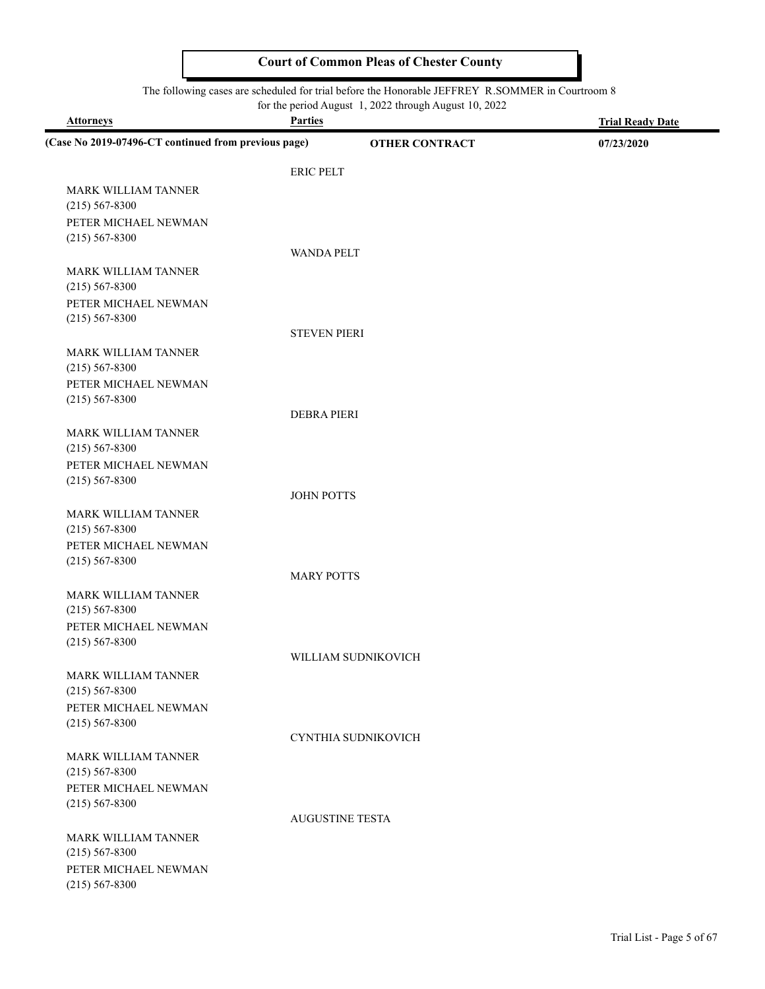#### The following cases are scheduled for trial before the Honorable JEFFREY R.SOMMER in Courtroom 8

for the period August 1, 2022 through August 10, 2022

| <b>Attorneys</b>                                     | <b>Parties</b>         | <b>Trial Ready Date</b> |
|------------------------------------------------------|------------------------|-------------------------|
| (Case No 2019-07496-CT continued from previous page) | <b>OTHER CONTRACT</b>  | 07/23/2020              |
|                                                      | <b>ERIC PELT</b>       |                         |
| <b>MARK WILLIAM TANNER</b>                           |                        |                         |
| $(215) 567 - 8300$                                   |                        |                         |
| PETER MICHAEL NEWMAN                                 |                        |                         |
| $(215) 567 - 8300$                                   |                        |                         |
|                                                      | <b>WANDA PELT</b>      |                         |
| MARK WILLIAM TANNER                                  |                        |                         |
| $(215) 567 - 8300$                                   |                        |                         |
| PETER MICHAEL NEWMAN<br>$(215) 567 - 8300$           |                        |                         |
|                                                      | <b>STEVEN PIERI</b>    |                         |
| <b>MARK WILLIAM TANNER</b>                           |                        |                         |
| $(215) 567 - 8300$                                   |                        |                         |
| PETER MICHAEL NEWMAN                                 |                        |                         |
| $(215) 567 - 8300$                                   |                        |                         |
|                                                      | <b>DEBRA PIERI</b>     |                         |
| MARK WILLIAM TANNER                                  |                        |                         |
| $(215) 567 - 8300$                                   |                        |                         |
| PETER MICHAEL NEWMAN                                 |                        |                         |
| $(215) 567 - 8300$                                   | <b>JOHN POTTS</b>      |                         |
| <b>MARK WILLIAM TANNER</b>                           |                        |                         |
| $(215) 567 - 8300$                                   |                        |                         |
| PETER MICHAEL NEWMAN                                 |                        |                         |
| $(215) 567 - 8300$                                   |                        |                         |
|                                                      | <b>MARY POTTS</b>      |                         |
| MARK WILLIAM TANNER                                  |                        |                         |
| $(215) 567 - 8300$                                   |                        |                         |
| PETER MICHAEL NEWMAN                                 |                        |                         |
| $(215) 567 - 8300$                                   | WILLIAM SUDNIKOVICH    |                         |
| MARK WILLIAM TANNER                                  |                        |                         |
| $(215) 567 - 8300$                                   |                        |                         |
| PETER MICHAEL NEWMAN                                 |                        |                         |
| $(215) 567 - 8300$                                   |                        |                         |
|                                                      | CYNTHIA SUDNIKOVICH    |                         |
| MARK WILLIAM TANNER                                  |                        |                         |
| $(215) 567 - 8300$                                   |                        |                         |
| PETER MICHAEL NEWMAN                                 |                        |                         |
| $(215) 567 - 8300$                                   | <b>AUGUSTINE TESTA</b> |                         |
| MARK WILLIAM TANNER                                  |                        |                         |
| $(215) 567 - 8300$                                   |                        |                         |
| PETER MICHAEL NEWMAN                                 |                        |                         |
| $(215) 567 - 8300$                                   |                        |                         |
|                                                      |                        |                         |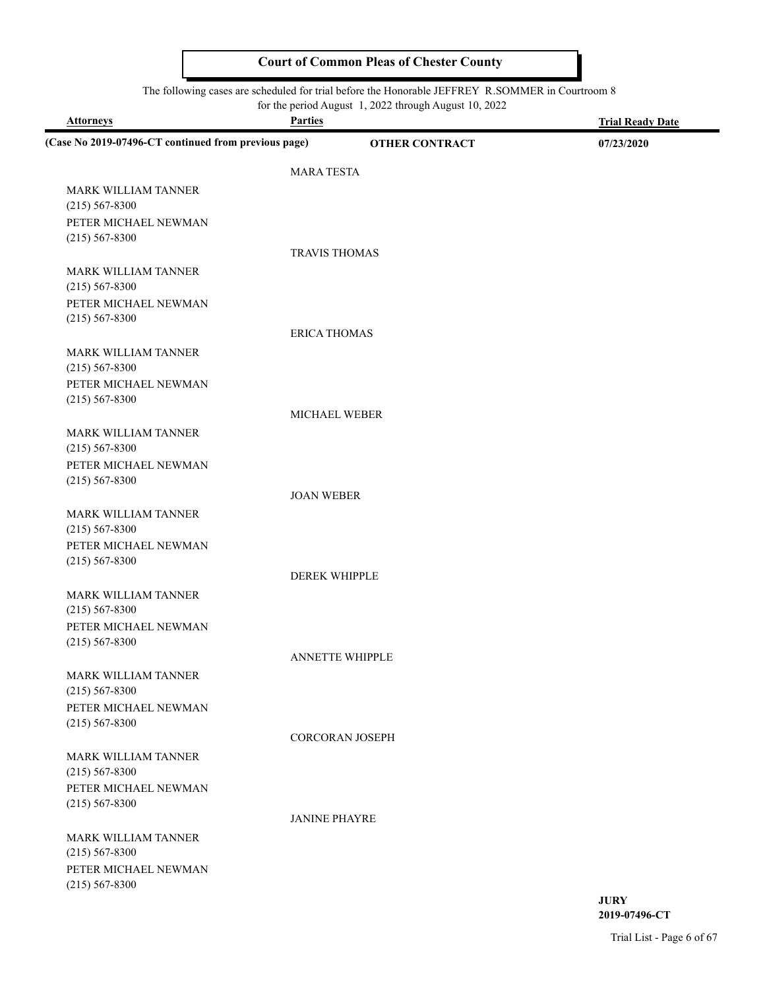#### The following cases are scheduled for trial before the Honorable JEFFREY R.SOMMER in Courtroom 8

for the period August 1, 2022 through August 10, 2022

| <b>Attorneys</b>                                     | <b>Parties</b>         | <b>Trial Ready Date</b> |
|------------------------------------------------------|------------------------|-------------------------|
| (Case No 2019-07496-CT continued from previous page) | <b>OTHER CONTRACT</b>  | 07/23/2020              |
|                                                      | <b>MARA TESTA</b>      |                         |
| <b>MARK WILLIAM TANNER</b>                           |                        |                         |
| $(215) 567 - 8300$                                   |                        |                         |
| PETER MICHAEL NEWMAN                                 |                        |                         |
| $(215) 567 - 8300$                                   |                        |                         |
|                                                      | <b>TRAVIS THOMAS</b>   |                         |
| MARK WILLIAM TANNER                                  |                        |                         |
| $(215) 567 - 8300$                                   |                        |                         |
| PETER MICHAEL NEWMAN                                 |                        |                         |
| $(215) 567 - 8300$                                   |                        |                         |
|                                                      | <b>ERICA THOMAS</b>    |                         |
| <b>MARK WILLIAM TANNER</b>                           |                        |                         |
| $(215) 567 - 8300$                                   |                        |                         |
| PETER MICHAEL NEWMAN                                 |                        |                         |
| $(215) 567 - 8300$                                   |                        |                         |
|                                                      | <b>MICHAEL WEBER</b>   |                         |
| MARK WILLIAM TANNER                                  |                        |                         |
| $(215) 567 - 8300$                                   |                        |                         |
| PETER MICHAEL NEWMAN<br>$(215) 567 - 8300$           |                        |                         |
|                                                      | <b>JOAN WEBER</b>      |                         |
| <b>MARK WILLIAM TANNER</b>                           |                        |                         |
| $(215) 567 - 8300$                                   |                        |                         |
| PETER MICHAEL NEWMAN                                 |                        |                         |
| $(215) 567 - 8300$                                   |                        |                         |
|                                                      | <b>DEREK WHIPPLE</b>   |                         |
| MARK WILLIAM TANNER                                  |                        |                         |
| $(215) 567 - 8300$                                   |                        |                         |
| PETER MICHAEL NEWMAN                                 |                        |                         |
| $(215) 567 - 8300$                                   |                        |                         |
|                                                      | <b>ANNETTE WHIPPLE</b> |                         |
| MARK WILLIAM TANNER                                  |                        |                         |
| $(215) 567 - 8300$                                   |                        |                         |
| PETER MICHAEL NEWMAN                                 |                        |                         |
| $(215) 567 - 8300$                                   |                        |                         |
|                                                      | <b>CORCORAN JOSEPH</b> |                         |
| MARK WILLIAM TANNER                                  |                        |                         |
| $(215) 567 - 8300$                                   |                        |                         |
| PETER MICHAEL NEWMAN                                 |                        |                         |
| $(215) 567 - 8300$                                   | <b>JANINE PHAYRE</b>   |                         |
|                                                      |                        |                         |
| <b>MARK WILLIAM TANNER</b><br>$(215) 567 - 8300$     |                        |                         |
| PETER MICHAEL NEWMAN                                 |                        |                         |
| $(215) 567 - 8300$                                   |                        |                         |
|                                                      |                        | <b>JURY</b>             |

Trial List - Page 6 of 67

**2019-07496-CT**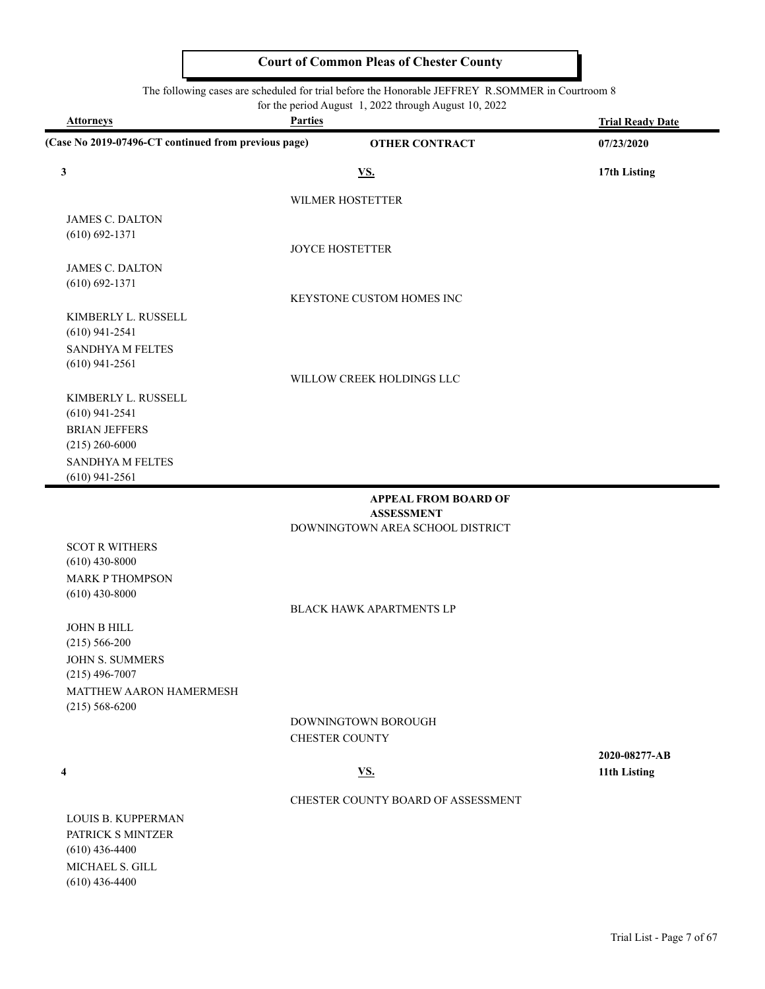#### The following cases are scheduled for trial before the Honorable JEFFREY R.SOMMER in Courtroom 8

for the period August 1, 2022 through August 10, 2022

| <b>Attorneys</b>                                     | <b>Parties</b>                     | <b>Trial Ready Date</b> |
|------------------------------------------------------|------------------------------------|-------------------------|
| (Case No 2019-07496-CT continued from previous page) | <b>OTHER CONTRACT</b>              | 07/23/2020              |
| 3                                                    | <u>VS.</u>                         | 17th Listing            |
|                                                      | WILMER HOSTETTER                   |                         |
| <b>JAMES C. DALTON</b>                               |                                    |                         |
| $(610) 692 - 1371$                                   |                                    |                         |
|                                                      | <b>JOYCE HOSTETTER</b>             |                         |
| <b>JAMES C. DALTON</b>                               |                                    |                         |
| $(610) 692 - 1371$                                   |                                    |                         |
|                                                      | KEYSTONE CUSTOM HOMES INC          |                         |
| KIMBERLY L. RUSSELL<br>$(610)$ 941-2541              |                                    |                         |
| <b>SANDHYA M FELTES</b>                              |                                    |                         |
| $(610)$ 941-2561                                     |                                    |                         |
|                                                      | WILLOW CREEK HOLDINGS LLC          |                         |
| KIMBERLY L. RUSSELL                                  |                                    |                         |
| $(610)$ 941-2541                                     |                                    |                         |
| <b>BRIAN JEFFERS</b>                                 |                                    |                         |
| $(215)$ 260-6000                                     |                                    |                         |
| SANDHYA M FELTES                                     |                                    |                         |
| $(610)$ 941-2561                                     |                                    |                         |
|                                                      | <b>APPEAL FROM BOARD OF</b>        |                         |
|                                                      | <b>ASSESSMENT</b>                  |                         |
|                                                      | DOWNINGTOWN AREA SCHOOL DISTRICT   |                         |
| <b>SCOT R WITHERS</b>                                |                                    |                         |
| $(610)$ 430-8000                                     |                                    |                         |
| <b>MARK P THOMPSON</b><br>$(610)$ 430-8000           |                                    |                         |
|                                                      | <b>BLACK HAWK APARTMENTS LP</b>    |                         |
| JOHN B HILL                                          |                                    |                         |
| $(215) 566 - 200$                                    |                                    |                         |
| JOHN S. SUMMERS                                      |                                    |                         |
| $(215)$ 496-7007                                     |                                    |                         |
| MATTHEW AARON HAMERMESH                              |                                    |                         |
| $(215) 568 - 6200$                                   |                                    |                         |
|                                                      | DOWNINGTOWN BOROUGH                |                         |
|                                                      | <b>CHESTER COUNTY</b>              |                         |
|                                                      |                                    | 2020-08277-AB           |
| 4                                                    | <u>VS.</u>                         | 11th Listing            |
|                                                      | CHESTER COUNTY BOARD OF ASSESSMENT |                         |
| <b>LOUIS B. KUPPERMAN</b>                            |                                    |                         |
| PATRICK S MINTZER                                    |                                    |                         |
| $(610)$ 436-4400                                     |                                    |                         |
| MICHAEL S. GILL                                      |                                    |                         |

(610) 436-4400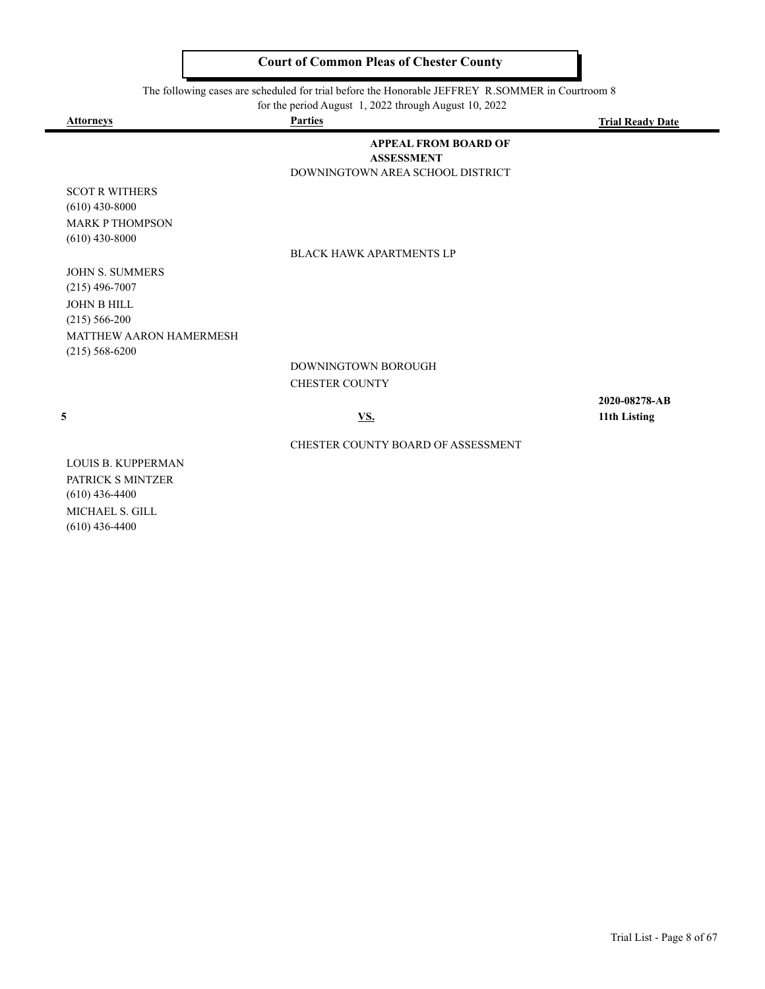The following cases are scheduled for trial before the Honorable JEFFREY R.SOMMER in Courtroom 8

for the period August 1, 2022 through August 10, 2022

| <b>Attorneys</b>          | <b>Parties</b>                     | <b>Trial Ready Date</b> |
|---------------------------|------------------------------------|-------------------------|
|                           | <b>APPEAL FROM BOARD OF</b>        |                         |
|                           | <b>ASSESSMENT</b>                  |                         |
|                           | DOWNINGTOWN AREA SCHOOL DISTRICT   |                         |
| <b>SCOT R WITHERS</b>     |                                    |                         |
| $(610)$ 430-8000          |                                    |                         |
| <b>MARK P THOMPSON</b>    |                                    |                         |
| $(610)$ 430-8000          |                                    |                         |
|                           | <b>BLACK HAWK APARTMENTS LP</b>    |                         |
| <b>JOHN S. SUMMERS</b>    |                                    |                         |
| $(215)$ 496-7007          |                                    |                         |
| <b>JOHN B HILL</b>        |                                    |                         |
| $(215) 566 - 200$         |                                    |                         |
| MATTHEW AARON HAMERMESH   |                                    |                         |
| $(215) 568 - 6200$        |                                    |                         |
|                           | DOWNINGTOWN BOROUGH                |                         |
|                           | <b>CHESTER COUNTY</b>              |                         |
|                           |                                    |                         |
|                           |                                    | 2020-08278-AB           |
| 5                         | <u>VS.</u>                         | 11th Listing            |
|                           | CHESTER COUNTY BOARD OF ASSESSMENT |                         |
| <b>LOUIS B. KUPPERMAN</b> |                                    |                         |
| PATRICK S MINTZER         |                                    |                         |
| $(610)$ 126 1100          |                                    |                         |

(610) 436-4400 MICHAEL S. GILL (610) 436-4400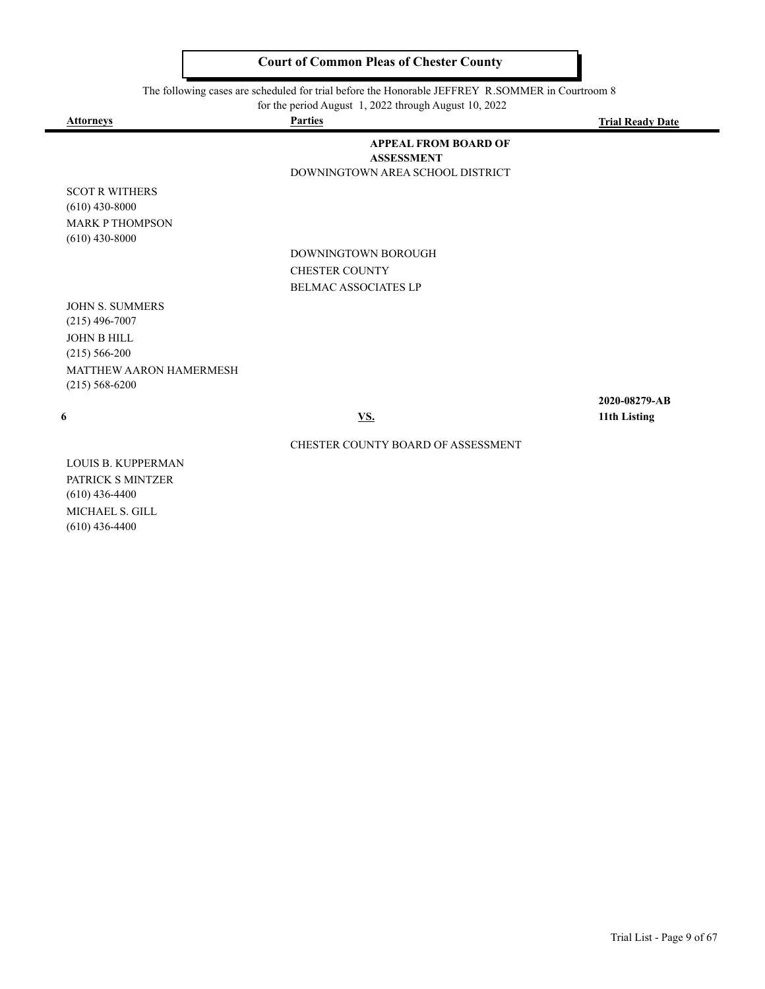The following cases are scheduled for trial before the Honorable JEFFREY R.SOMMER in Courtroom 8

for the period August 1, 2022 through August 10, 2022

| <b>Attorneys</b>               | <b>Parties</b>                                   | <b>Trial Ready Date</b> |
|--------------------------------|--------------------------------------------------|-------------------------|
|                                | <b>APPEAL FROM BOARD OF</b><br><b>ASSESSMENT</b> |                         |
|                                | DOWNINGTOWN AREA SCHOOL DISTRICT                 |                         |
| <b>SCOT R WITHERS</b>          |                                                  |                         |
| $(610)$ 430-8000               |                                                  |                         |
| <b>MARK P THOMPSON</b>         |                                                  |                         |
| $(610)$ 430-8000               |                                                  |                         |
|                                | DOWNINGTOWN BOROUGH                              |                         |
|                                | <b>CHESTER COUNTY</b>                            |                         |
|                                | <b>BELMAC ASSOCIATES LP</b>                      |                         |
| <b>JOHN S. SUMMERS</b>         |                                                  |                         |
| $(215)$ 496-7007               |                                                  |                         |
| JOHN B HILL                    |                                                  |                         |
| $(215) 566 - 200$              |                                                  |                         |
| <b>MATTHEW AARON HAMERMESH</b> |                                                  |                         |

(215) 568-6200

**2020-08279-AB 6 VS. 11th Listing**

#### CHESTER COUNTY BOARD OF ASSESSMENT

LOUIS B. KUPPERMAN PATRICK S MINTZER (610) 436-4400 MICHAEL S. GILL (610) 436-4400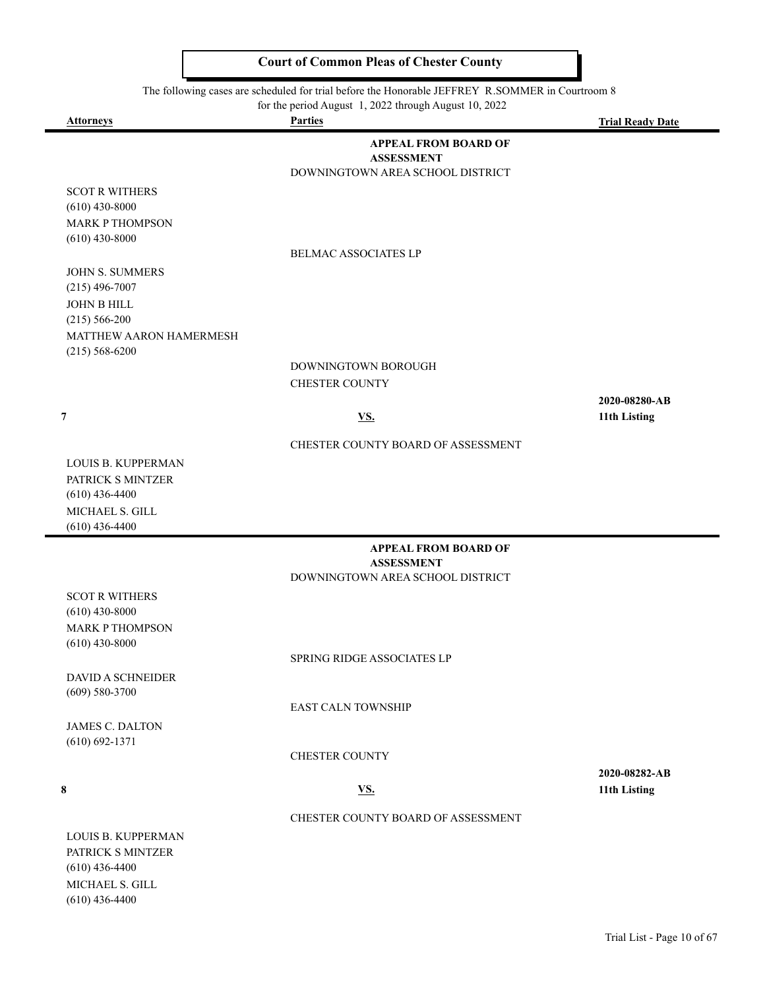#### The following cases are scheduled for trial before the Honorable JEFFREY R.SOMMER in Courtroom 8

for the period August 1, 2022 through August 10, 2022

| <b>Attorneys</b>                          | for the period August $\frac{1}{2}$ , $\frac{2022}{20}$ through August 10, $\frac{2022}{20}$<br><b>Parties</b> | <b>Trial Ready Date</b> |
|-------------------------------------------|----------------------------------------------------------------------------------------------------------------|-------------------------|
|                                           | <b>APPEAL FROM BOARD OF</b>                                                                                    |                         |
|                                           | <b>ASSESSMENT</b>                                                                                              |                         |
|                                           | DOWNINGTOWN AREA SCHOOL DISTRICT                                                                               |                         |
| <b>SCOT R WITHERS</b>                     |                                                                                                                |                         |
| $(610)$ 430-8000                          |                                                                                                                |                         |
| <b>MARK P THOMPSON</b>                    |                                                                                                                |                         |
| $(610)$ 430-8000                          |                                                                                                                |                         |
|                                           | <b>BELMAC ASSOCIATES LP</b>                                                                                    |                         |
| <b>JOHN S. SUMMERS</b>                    |                                                                                                                |                         |
| $(215)$ 496-7007<br>JOHN B HILL           |                                                                                                                |                         |
| $(215) 566 - 200$                         |                                                                                                                |                         |
| MATTHEW AARON HAMERMESH                   |                                                                                                                |                         |
| $(215) 568 - 6200$                        |                                                                                                                |                         |
|                                           | DOWNINGTOWN BOROUGH                                                                                            |                         |
|                                           | <b>CHESTER COUNTY</b>                                                                                          |                         |
|                                           |                                                                                                                | 2020-08280-AB           |
| $\overline{7}$                            | <u>VS.</u>                                                                                                     | 11th Listing            |
|                                           | CHESTER COUNTY BOARD OF ASSESSMENT                                                                             |                         |
| LOUIS B. KUPPERMAN                        |                                                                                                                |                         |
| PATRICK S MINTZER                         |                                                                                                                |                         |
| $(610)$ 436-4400                          |                                                                                                                |                         |
| MICHAEL S. GILL                           |                                                                                                                |                         |
| $(610)$ 436-4400                          |                                                                                                                |                         |
|                                           | <b>APPEAL FROM BOARD OF</b>                                                                                    |                         |
|                                           | <b>ASSESSMENT</b>                                                                                              |                         |
|                                           | DOWNINGTOWN AREA SCHOOL DISTRICT                                                                               |                         |
| <b>SCOT R WITHERS</b><br>$(610)$ 430-8000 |                                                                                                                |                         |
| <b>MARK P THOMPSON</b>                    |                                                                                                                |                         |
| $(610)$ 430-8000                          |                                                                                                                |                         |
|                                           | SPRING RIDGE ASSOCIATES LP                                                                                     |                         |
| <b>DAVID A SCHNEIDER</b>                  |                                                                                                                |                         |
| $(609) 580 - 3700$                        |                                                                                                                |                         |
|                                           | <b>EAST CALN TOWNSHIP</b>                                                                                      |                         |
| <b>JAMES C. DALTON</b>                    |                                                                                                                |                         |
| $(610) 692 - 1371$                        | <b>CHESTER COUNTY</b>                                                                                          |                         |
|                                           |                                                                                                                | 2020-08282-AB           |
| 8                                         | <u>VS.</u>                                                                                                     | 11th Listing            |
|                                           |                                                                                                                |                         |
|                                           | CHESTER COUNTY BOARD OF ASSESSMENT                                                                             |                         |
| LOUIS B. KUPPERMAN                        |                                                                                                                |                         |
| PATRICK S MINTZER                         |                                                                                                                |                         |
| $(610)$ 436-4400                          |                                                                                                                |                         |

MICHAEL S. GILL (610) 436-4400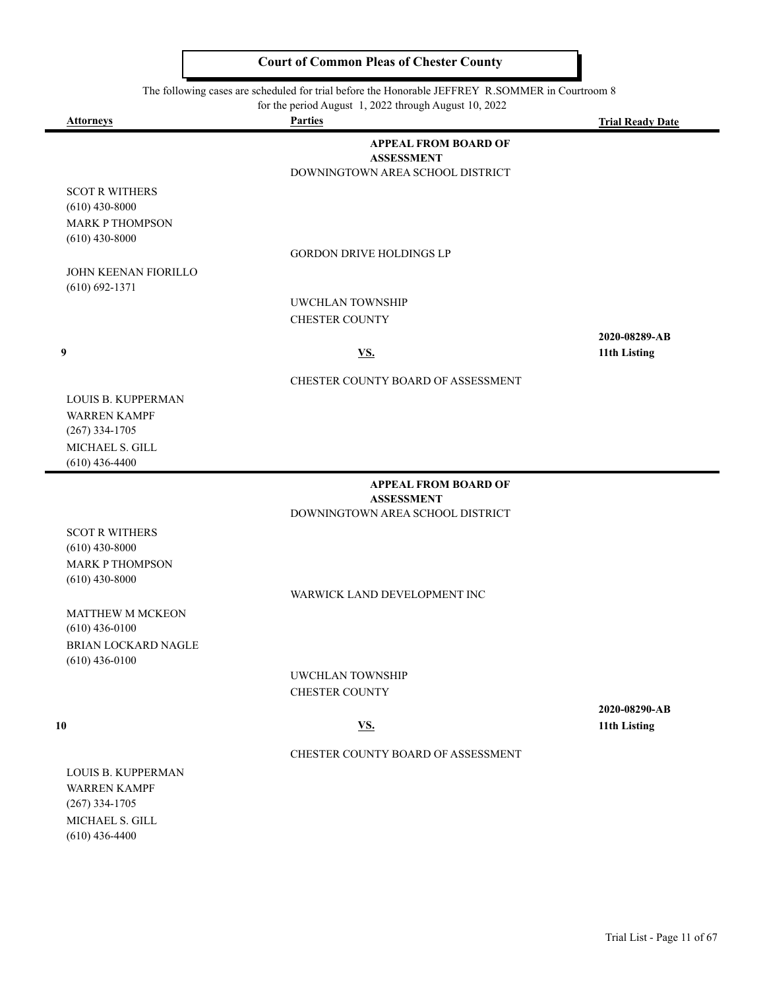The following cases are scheduled for trial before the Honorable JEFFREY R.SOMMER in Courtroom 8

| for the period August 1, 2022 through August 10, 2022                                   |                                                                                      |                         |  |  |
|-----------------------------------------------------------------------------------------|--------------------------------------------------------------------------------------|-------------------------|--|--|
| <b>Attorneys</b>                                                                        | <b>Parties</b>                                                                       | <b>Trial Ready Date</b> |  |  |
|                                                                                         | <b>APPEAL FROM BOARD OF</b><br><b>ASSESSMENT</b><br>DOWNINGTOWN AREA SCHOOL DISTRICT |                         |  |  |
| <b>SCOT R WITHERS</b><br>$(610)$ 430-8000<br><b>MARK P THOMPSON</b><br>$(610)$ 430-8000 |                                                                                      |                         |  |  |
|                                                                                         | <b>GORDON DRIVE HOLDINGS LP</b>                                                      |                         |  |  |
| <b>JOHN KEENAN FIORILLO</b><br>$(610) 692 - 1371$                                       |                                                                                      |                         |  |  |
|                                                                                         | <b>UWCHLAN TOWNSHIP</b>                                                              |                         |  |  |
|                                                                                         | <b>CHESTER COUNTY</b>                                                                |                         |  |  |
|                                                                                         |                                                                                      | 2020-08289-AB           |  |  |
| 9                                                                                       | <u>VS.</u>                                                                           | 11th Listing            |  |  |
|                                                                                         | CHESTER COUNTY BOARD OF ASSESSMENT                                                   |                         |  |  |
| <b>LOUIS B. KUPPERMAN</b><br><b>WARREN KAMPF</b><br>$(267)$ 334-1705                    |                                                                                      |                         |  |  |
| MICHAEL S. GILL<br>$(610)$ 436-4400                                                     |                                                                                      |                         |  |  |
|                                                                                         | <b>APPEAL FROM BOARD OF</b><br><b>ASSESSMENT</b>                                     |                         |  |  |
|                                                                                         | DOWNINGTOWN AREA SCHOOL DISTRICT                                                     |                         |  |  |
| <b>SCOT R WITHERS</b>                                                                   |                                                                                      |                         |  |  |
| $(610)$ 430-8000                                                                        |                                                                                      |                         |  |  |
| <b>MARK P THOMPSON</b>                                                                  |                                                                                      |                         |  |  |
| $(610)$ 430-8000                                                                        |                                                                                      |                         |  |  |
|                                                                                         | WARWICK LAND DEVELOPMENT INC                                                         |                         |  |  |

MATTHEW M MCKEON (610) 436-0100 BRIAN LOCKARD NAGLE (610) 436-0100

> UWCHLAN TOWNSHIP CHESTER COUNTY

#### **10 VS. 11th Listing**

CHESTER COUNTY BOARD OF ASSESSMENT

LOUIS B. KUPPERMAN WARREN KAMPF (267) 334-1705 MICHAEL S. GILL (610) 436-4400

**2020-08290-AB**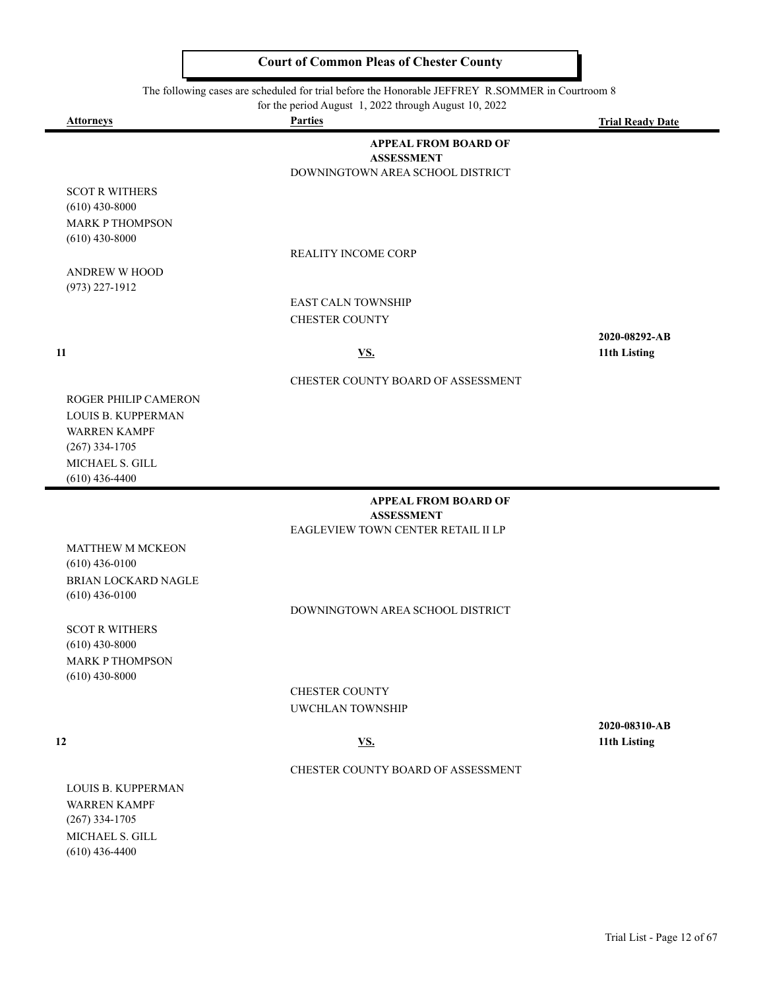|                                                                                                                              | The following cases are scheduled for trial before the Honorable JEFFREY R.SOMMER in Courtroom 8<br>for the period August 1, 2022 through August 10, 2022 |                               |
|------------------------------------------------------------------------------------------------------------------------------|-----------------------------------------------------------------------------------------------------------------------------------------------------------|-------------------------------|
| <b>Attorneys</b>                                                                                                             | <b>Parties</b>                                                                                                                                            | <b>Trial Ready Date</b>       |
|                                                                                                                              | <b>APPEAL FROM BOARD OF</b><br><b>ASSESSMENT</b><br>DOWNINGTOWN AREA SCHOOL DISTRICT                                                                      |                               |
| <b>SCOT R WITHERS</b><br>$(610)$ 430-8000                                                                                    |                                                                                                                                                           |                               |
| <b>MARK P THOMPSON</b><br>$(610)$ 430-8000                                                                                   |                                                                                                                                                           |                               |
|                                                                                                                              | <b>REALITY INCOME CORP</b>                                                                                                                                |                               |
| <b>ANDREW W HOOD</b>                                                                                                         |                                                                                                                                                           |                               |
| $(973)$ 227-1912                                                                                                             | <b>EAST CALN TOWNSHIP</b><br><b>CHESTER COUNTY</b>                                                                                                        |                               |
| 11                                                                                                                           | <u>VS.</u>                                                                                                                                                | 2020-08292-AB<br>11th Listing |
|                                                                                                                              | CHESTER COUNTY BOARD OF ASSESSMENT                                                                                                                        |                               |
| ROGER PHILIP CAMERON<br>LOUIS B. KUPPERMAN<br><b>WARREN KAMPF</b><br>$(267)$ 334-1705<br>MICHAEL S. GILL<br>$(610)$ 436-4400 |                                                                                                                                                           |                               |
|                                                                                                                              | <b>APPEAL FROM BOARD OF</b>                                                                                                                               |                               |
|                                                                                                                              | <b>ASSESSMENT</b><br>EAGLEVIEW TOWN CENTER RETAIL II LP                                                                                                   |                               |
| MATTHEW M MCKEON<br>$(610)$ 436-0100<br>BRIAN LOCKARD NAGLE<br>$(610)$ 436-0100                                              |                                                                                                                                                           |                               |
|                                                                                                                              | DOWNINGTOWN AREA SCHOOL DISTRICT                                                                                                                          |                               |
| <b>SCOT R WITHERS</b><br>$(610)$ 430-8000                                                                                    |                                                                                                                                                           |                               |
| <b>MARK P THOMPSON</b><br>$(610)$ 430-8000                                                                                   |                                                                                                                                                           |                               |
|                                                                                                                              | <b>CHESTER COUNTY</b>                                                                                                                                     |                               |
|                                                                                                                              | <b>UWCHLAN TOWNSHIP</b>                                                                                                                                   |                               |
| 12                                                                                                                           | VS.                                                                                                                                                       | 2020-08310-AB<br>11th Listing |

 $\overline{\phantom{0}}$ 

#### CHESTER COUNTY BOARD OF ASSESSMENT

LOUIS B. KUPPERMAN WARREN KAMPF (267) 334-1705 MICHAEL S. GILL (610) 436-4400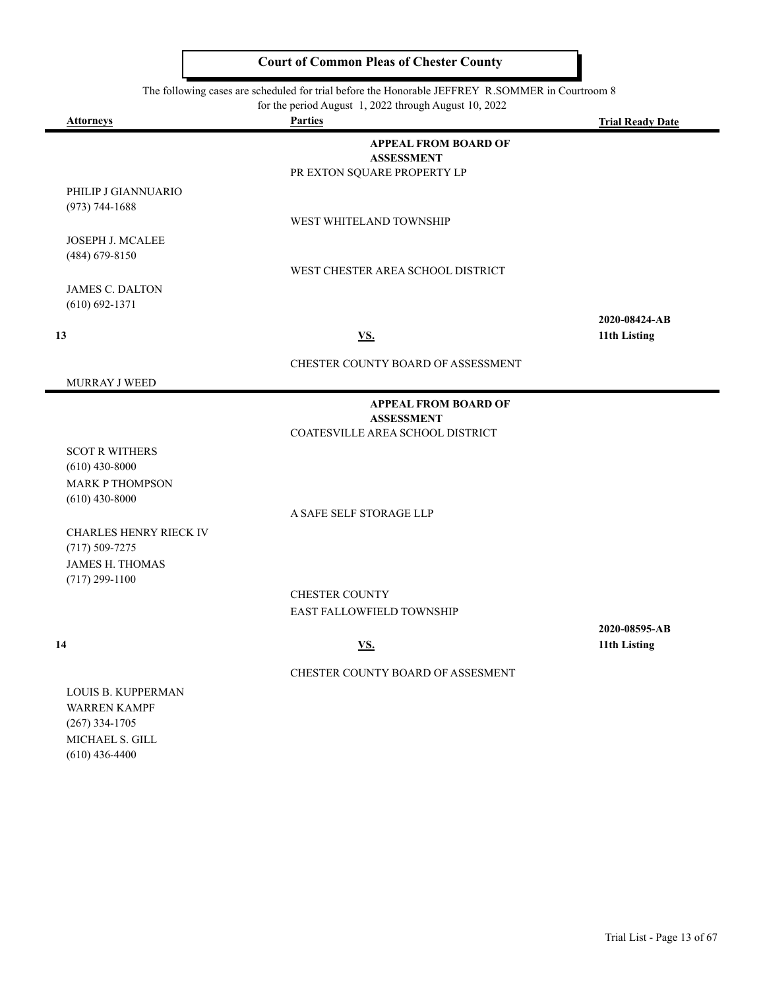The following cases are scheduled for trial before the Honorable JEFFREY R.SOMMER in Courtroom 8

for the period August 1, 2022 through August 10, 2022

| <b>Attorneys</b>                             | <b>Parties</b>                                   | <b>Trial Ready Date</b> |
|----------------------------------------------|--------------------------------------------------|-------------------------|
|                                              | <b>APPEAL FROM BOARD OF</b><br><b>ASSESSMENT</b> |                         |
|                                              | PR EXTON SQUARE PROPERTY LP                      |                         |
| PHILIP J GIANNUARIO                          |                                                  |                         |
| $(973) 744 - 1688$                           |                                                  |                         |
|                                              | WEST WHITELAND TOWNSHIP                          |                         |
| JOSEPH J. MCALEE<br>(484) 679-8150           |                                                  |                         |
|                                              | WEST CHESTER AREA SCHOOL DISTRICT                |                         |
| <b>JAMES C. DALTON</b>                       |                                                  |                         |
| $(610) 692 - 1371$                           |                                                  |                         |
|                                              |                                                  | 2020-08424-AB           |
| 13                                           | <b>VS.</b>                                       | 11th Listing            |
|                                              | CHESTER COUNTY BOARD OF ASSESSMENT               |                         |
| MURRAY J WEED                                |                                                  |                         |
|                                              | <b>APPEAL FROM BOARD OF</b>                      |                         |
|                                              | <b>ASSESSMENT</b>                                |                         |
|                                              | COATESVILLE AREA SCHOOL DISTRICT                 |                         |
| <b>SCOT R WITHERS</b><br>$(610)$ 430-8000    |                                                  |                         |
| <b>MARK P THOMPSON</b>                       |                                                  |                         |
| $(610)$ 430-8000                             |                                                  |                         |
|                                              | A SAFE SELF STORAGE LLP                          |                         |
| CHARLES HENRY RIECK IV                       |                                                  |                         |
| $(717) 509 - 7275$<br><b>JAMES H. THOMAS</b> |                                                  |                         |
| $(717)$ 299-1100                             |                                                  |                         |
|                                              | <b>CHESTER COUNTY</b>                            |                         |
|                                              | EAST FALLOWFIELD TOWNSHIP                        |                         |
|                                              |                                                  | 2020-08595-AB           |
| 14                                           | <u>VS.</u>                                       | 11th Listing            |
|                                              | CHESTER COUNTY BOARD OF ASSESMENT                |                         |
| LOUIS B. KUPPERMAN                           |                                                  |                         |
| <b>WARREN KAMPF</b>                          |                                                  |                         |
| $(267)$ 334-1705                             |                                                  |                         |
| MICHAEL S. GILL<br>$(610)$ 436-4400          |                                                  |                         |
|                                              |                                                  |                         |
|                                              |                                                  |                         |
|                                              |                                                  |                         |
|                                              |                                                  |                         |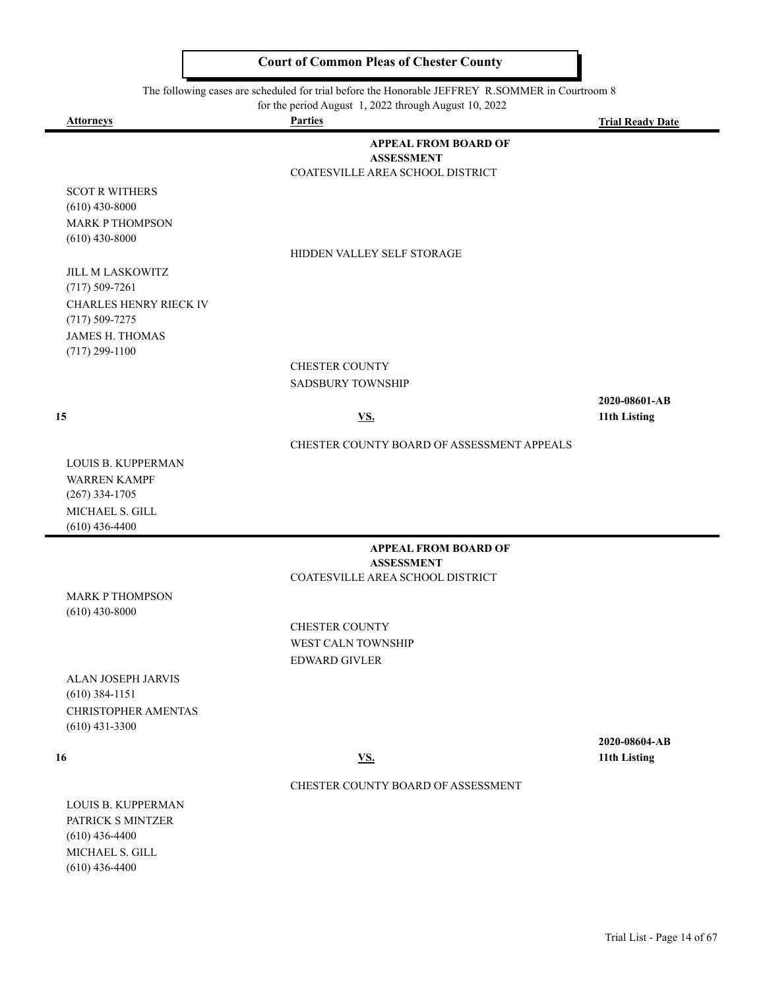The following cases are scheduled for trial before the Honorable JEFFREY R.SOMMER in Courtroom 8

for the period August 1, 2022 through August 10, 2022

 $\blacksquare$ 

 $\blacksquare$ 

| <b>Attorneys</b>                             | <b>Parties</b>                                        | <b>Trial Ready Date</b> |
|----------------------------------------------|-------------------------------------------------------|-------------------------|
|                                              | <b>APPEAL FROM BOARD OF</b>                           |                         |
|                                              | <b>ASSESSMENT</b>                                     |                         |
|                                              | COATESVILLE AREA SCHOOL DISTRICT                      |                         |
| <b>SCOT R WITHERS</b><br>$(610)$ 430-8000    |                                                       |                         |
| <b>MARK P THOMPSON</b>                       |                                                       |                         |
| $(610)$ 430-8000                             |                                                       |                         |
|                                              | HIDDEN VALLEY SELF STORAGE                            |                         |
| <b>JILL M LASKOWITZ</b>                      |                                                       |                         |
| $(717) 509 - 7261$                           |                                                       |                         |
| <b>CHARLES HENRY RIECK IV</b>                |                                                       |                         |
| $(717) 509 - 7275$<br><b>JAMES H. THOMAS</b> |                                                       |                         |
| $(717)$ 299-1100                             |                                                       |                         |
|                                              | <b>CHESTER COUNTY</b>                                 |                         |
|                                              | <b>SADSBURY TOWNSHIP</b>                              |                         |
|                                              |                                                       | 2020-08601-AB           |
| 15                                           | $\underline{\mathbf{V}}\underline{\mathbf{S}}$ .      | 11th Listing            |
|                                              | CHESTER COUNTY BOARD OF ASSESSMENT APPEALS            |                         |
| <b>LOUIS B. KUPPERMAN</b>                    |                                                       |                         |
| <b>WARREN KAMPF</b>                          |                                                       |                         |
| $(267)$ 334-1705                             |                                                       |                         |
| MICHAEL S. GILL                              |                                                       |                         |
| $(610)$ 436-4400                             |                                                       |                         |
|                                              | <b>APPEAL FROM BOARD OF</b>                           |                         |
|                                              | <b>ASSESSMENT</b><br>COATESVILLE AREA SCHOOL DISTRICT |                         |
| <b>MARK P THOMPSON</b>                       |                                                       |                         |
| $(610)$ 430-8000                             |                                                       |                         |
|                                              | <b>CHESTER COUNTY</b>                                 |                         |
|                                              | <b>WEST CALN TOWNSHIP</b>                             |                         |
|                                              | <b>EDWARD GIVLER</b>                                  |                         |
| ALAN JOSEPH JARVIS                           |                                                       |                         |
| $(610)$ 384-1151                             |                                                       |                         |
| CHRISTOPHER AMENTAS<br>$(610)$ 431-3300      |                                                       |                         |
|                                              |                                                       | 2020-08604-AB           |
| 16                                           | <u>VS.</u>                                            | 11th Listing            |
|                                              | CHESTER COUNTY BOARD OF ASSESSMENT                    |                         |
| LOUIS B. KUPPERMAN                           |                                                       |                         |
| PATRICK S MINTZER                            |                                                       |                         |
| $(610)$ 436-4400                             |                                                       |                         |
| MICHAEL S. GILL                              |                                                       |                         |
| $(610)$ 436-4400                             |                                                       |                         |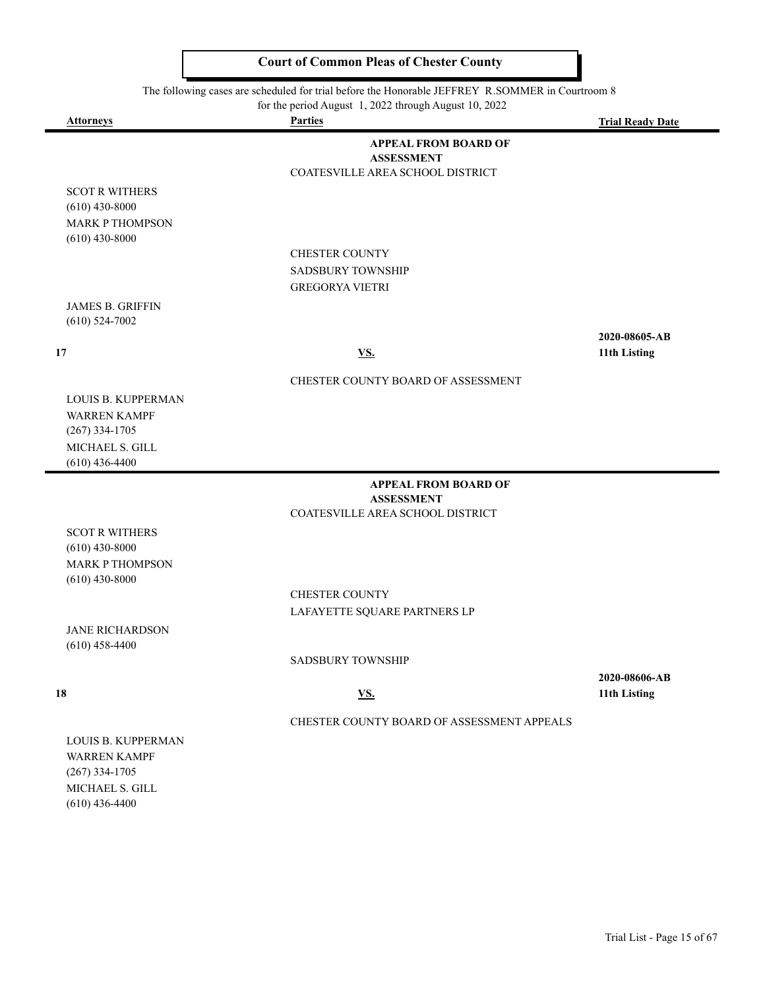The following cases are scheduled for trial before the Honorable JEFFREY R.SOMMER in Courtroom 8

for the period August 1, 2022 through August 10, 2022

| <u>Attorneys</u>                        | for the period August $\frac{1}{2}$ , $\frac{2022}{20}$ through August 10, $\frac{2022}{20}$<br><b>Parties</b> | <b>Trial Ready Date</b> |
|-----------------------------------------|----------------------------------------------------------------------------------------------------------------|-------------------------|
|                                         | <b>APPEAL FROM BOARD OF</b>                                                                                    |                         |
|                                         | <b>ASSESSMENT</b>                                                                                              |                         |
|                                         | COATESVILLE AREA SCHOOL DISTRICT                                                                               |                         |
| <b>SCOT R WITHERS</b>                   |                                                                                                                |                         |
| $(610)$ 430-8000                        |                                                                                                                |                         |
| <b>MARK P THOMPSON</b>                  |                                                                                                                |                         |
| $(610)$ 430-8000                        | CHESTER COUNTY                                                                                                 |                         |
|                                         | <b>SADSBURY TOWNSHIP</b>                                                                                       |                         |
|                                         | <b>GREGORYA VIETRI</b>                                                                                         |                         |
| <b>JAMES B. GRIFFIN</b>                 |                                                                                                                |                         |
| $(610)$ 524-7002                        |                                                                                                                |                         |
|                                         |                                                                                                                | 2020-08605-AB           |
| 17                                      | <u>VS.</u>                                                                                                     | 11th Listing            |
|                                         | CHESTER COUNTY BOARD OF ASSESSMENT                                                                             |                         |
| <b>LOUIS B. KUPPERMAN</b>               |                                                                                                                |                         |
| <b>WARREN KAMPF</b>                     |                                                                                                                |                         |
| $(267)$ 334-1705                        |                                                                                                                |                         |
| MICHAEL S. GILL                         |                                                                                                                |                         |
| $(610)$ 436-4400                        |                                                                                                                |                         |
|                                         | <b>APPEAL FROM BOARD OF</b>                                                                                    |                         |
|                                         | <b>ASSESSMENT</b><br>COATESVILLE AREA SCHOOL DISTRICT                                                          |                         |
| <b>SCOT R WITHERS</b>                   |                                                                                                                |                         |
| $(610)$ 430-8000                        |                                                                                                                |                         |
| <b>MARK P THOMPSON</b>                  |                                                                                                                |                         |
| $(610)$ 430-8000                        |                                                                                                                |                         |
|                                         | <b>CHESTER COUNTY</b>                                                                                          |                         |
|                                         | LAFAYETTE SQUARE PARTNERS LP                                                                                   |                         |
| <b>JANE RICHARDSON</b>                  |                                                                                                                |                         |
| $(610)$ 458-4400                        | <b>SADSBURY TOWNSHIP</b>                                                                                       |                         |
|                                         |                                                                                                                | 2020-08606-AB           |
| 18                                      | <u>VS.</u>                                                                                                     | 11th Listing            |
|                                         |                                                                                                                |                         |
|                                         | CHESTER COUNTY BOARD OF ASSESSMENT APPEALS                                                                     |                         |
| <b>LOUIS B. KUPPERMAN</b>               |                                                                                                                |                         |
| <b>WARREN KAMPF</b><br>$(267)$ 334-1705 |                                                                                                                |                         |
| MICHAEL S. GILL                         |                                                                                                                |                         |
| $(610)$ 436-4400                        |                                                                                                                |                         |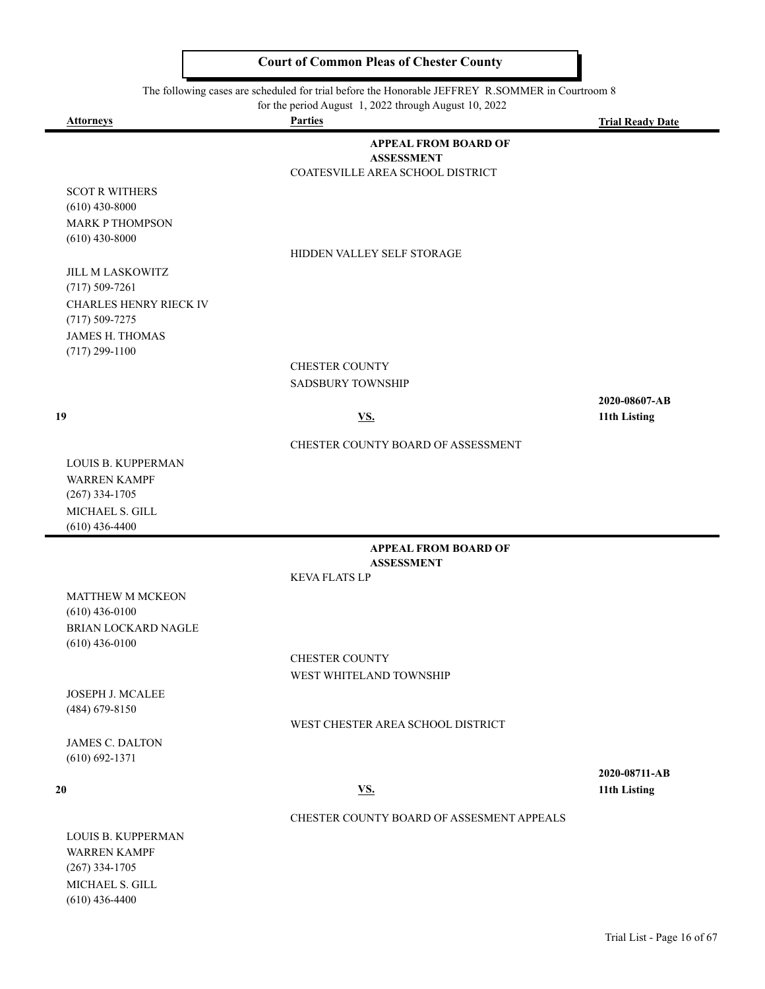The following cases are scheduled for trial before the Honorable JEFFREY R.SOMMER in Courtroom 8

for the period August 1, 2022 through August 10, 2022

| <b>Attorneys</b>                             | for the period August 1, 2022 through August 10, 2022<br><b>Parties</b> | <b>Trial Ready Date</b>       |
|----------------------------------------------|-------------------------------------------------------------------------|-------------------------------|
|                                              | <b>APPEAL FROM BOARD OF</b>                                             |                               |
|                                              | <b>ASSESSMENT</b>                                                       |                               |
|                                              | COATESVILLE AREA SCHOOL DISTRICT                                        |                               |
| <b>SCOT R WITHERS</b>                        |                                                                         |                               |
| $(610)$ 430-8000                             |                                                                         |                               |
| <b>MARK P THOMPSON</b>                       |                                                                         |                               |
| $(610)$ 430-8000                             |                                                                         |                               |
|                                              | HIDDEN VALLEY SELF STORAGE                                              |                               |
| <b>JILL M LASKOWITZ</b>                      |                                                                         |                               |
| $(717) 509 - 7261$                           |                                                                         |                               |
| CHARLES HENRY RIECK IV<br>$(717) 509 - 7275$ |                                                                         |                               |
| <b>JAMES H. THOMAS</b>                       |                                                                         |                               |
| $(717)$ 299-1100                             |                                                                         |                               |
|                                              | <b>CHESTER COUNTY</b>                                                   |                               |
|                                              | <b>SADSBURY TOWNSHIP</b>                                                |                               |
|                                              |                                                                         | 2020-08607-AB                 |
| 19                                           | <u>VS.</u>                                                              | 11th Listing                  |
|                                              |                                                                         |                               |
|                                              | CHESTER COUNTY BOARD OF ASSESSMENT                                      |                               |
| <b>LOUIS B. KUPPERMAN</b>                    |                                                                         |                               |
| <b>WARREN KAMPF</b>                          |                                                                         |                               |
| $(267)$ 334-1705<br>MICHAEL S. GILL          |                                                                         |                               |
| $(610)$ 436-4400                             |                                                                         |                               |
|                                              | <b>APPEAL FROM BOARD OF</b>                                             |                               |
|                                              | <b>ASSESSMENT</b>                                                       |                               |
|                                              | <b>KEVA FLATS LP</b>                                                    |                               |
| <b>MATTHEW M MCKEON</b>                      |                                                                         |                               |
| $(610)$ 436-0100                             |                                                                         |                               |
| BRIAN LOCKARD NAGLE                          |                                                                         |                               |
| $(610)$ 436-0100                             |                                                                         |                               |
|                                              | <b>CHESTER COUNTY</b>                                                   |                               |
|                                              | WEST WHITELAND TOWNSHIP                                                 |                               |
| JOSEPH J. MCALEE                             |                                                                         |                               |
| (484) 679-8150                               |                                                                         |                               |
|                                              | WEST CHESTER AREA SCHOOL DISTRICT                                       |                               |
| <b>JAMES C. DALTON</b>                       |                                                                         |                               |
| $(610) 692 - 1371$                           |                                                                         |                               |
| 20                                           | <u>VS.</u>                                                              | 2020-08711-AB<br>11th Listing |
|                                              |                                                                         |                               |
|                                              | CHESTER COUNTY BOARD OF ASSESMENT APPEALS                               |                               |
| LOUIS B. KUPPERMAN                           |                                                                         |                               |
| <b>WARREN KAMPF</b>                          |                                                                         |                               |
| $(267)$ 334-1705                             |                                                                         |                               |

MICHAEL S. GILL (610) 436-4400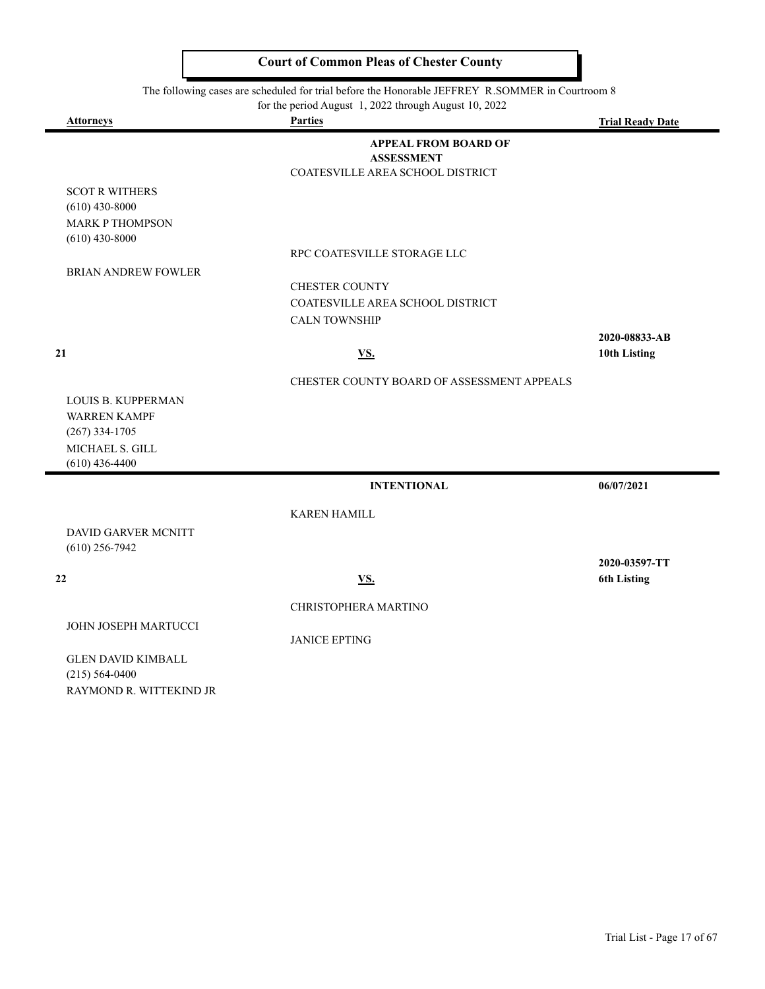The following cases are scheduled for trial before the Honorable JEFFREY R.SOMMER in Courtroom 8

| for the period August 1, 2022 through August 10, 2022 |  |
|-------------------------------------------------------|--|
|                                                       |  |

| <b>Attorneys</b>                                                                                     | 101 the period rugust 1, 2022 through rugust 10, 2022<br><b>Parties</b> | <b>Trial Ready Date</b> |
|------------------------------------------------------------------------------------------------------|-------------------------------------------------------------------------|-------------------------|
|                                                                                                      | <b>APPEAL FROM BOARD OF</b>                                             |                         |
|                                                                                                      | <b>ASSESSMENT</b><br>COATESVILLE AREA SCHOOL DISTRICT                   |                         |
| <b>SCOT R WITHERS</b>                                                                                |                                                                         |                         |
| $(610)$ 430-8000                                                                                     |                                                                         |                         |
| <b>MARK P THOMPSON</b>                                                                               |                                                                         |                         |
| $(610)$ 430-8000                                                                                     |                                                                         |                         |
|                                                                                                      | RPC COATESVILLE STORAGE LLC                                             |                         |
| <b>BRIAN ANDREW FOWLER</b>                                                                           |                                                                         |                         |
|                                                                                                      | <b>CHESTER COUNTY</b>                                                   |                         |
|                                                                                                      | COATESVILLE AREA SCHOOL DISTRICT                                        |                         |
|                                                                                                      | <b>CALN TOWNSHIP</b>                                                    |                         |
|                                                                                                      |                                                                         | 2020-08833-AB           |
| 21                                                                                                   | <u>VS.</u>                                                              | 10th Listing            |
|                                                                                                      | CHESTER COUNTY BOARD OF ASSESSMENT APPEALS                              |                         |
| LOUIS B. KUPPERMAN<br><b>WARREN KAMPF</b><br>$(267)$ 334-1705<br>MICHAEL S. GILL<br>$(610)$ 436-4400 |                                                                         |                         |
|                                                                                                      | <b>INTENTIONAL</b>                                                      | 06/07/2021              |
|                                                                                                      | <b>KAREN HAMILL</b>                                                     |                         |
| DAVID GARVER MCNITT<br>$(610)$ 256-7942                                                              |                                                                         |                         |
|                                                                                                      |                                                                         | 2020-03597-TT           |
| 22                                                                                                   | <b>VS.</b>                                                              | <b>6th Listing</b>      |
|                                                                                                      | CHRISTOPHERA MARTINO                                                    |                         |
| JOHN JOSEPH MARTUCCI                                                                                 |                                                                         |                         |
|                                                                                                      | <b>JANICE EPTING</b>                                                    |                         |
| <b>GLEN DAVID KIMBALL</b><br>$(215)$ 564-0400                                                        |                                                                         |                         |

(215) 564-0400 RAYMOND R. WITTEKIND JR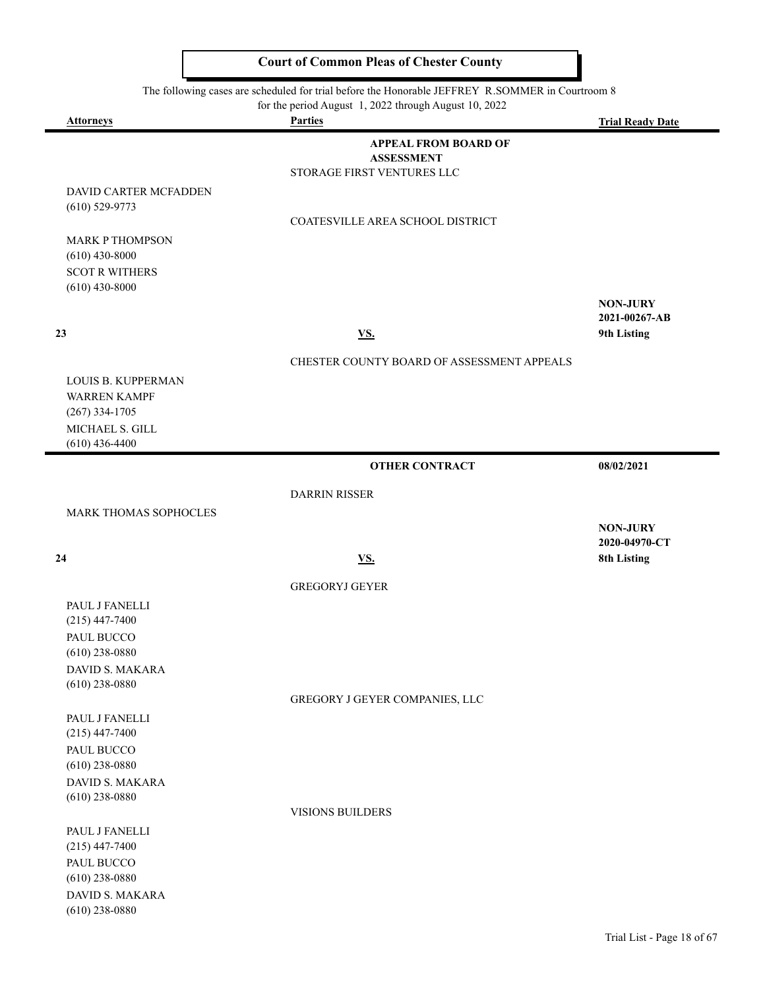The following cases are scheduled for trial before the Honorable JEFFREY R.SOMMER in Courtroom 8<br>for the period August 1, 2022 through August 10, 2022

| for the period August 1, 2022 through August 10, 2022 |  |  |  |  |  |  |
|-------------------------------------------------------|--|--|--|--|--|--|
|-------------------------------------------------------|--|--|--|--|--|--|

| <b>Attorneys</b>                          | for the period August $\left  \frac{1}{2} \right $ , 2022 through August 10, 2022<br><b>Parties</b> | <b>Trial Ready Date</b>          |
|-------------------------------------------|-----------------------------------------------------------------------------------------------------|----------------------------------|
|                                           | <b>APPEAL FROM BOARD OF</b>                                                                         |                                  |
|                                           | <b>ASSESSMENT</b>                                                                                   |                                  |
|                                           | STORAGE FIRST VENTURES LLC                                                                          |                                  |
| DAVID CARTER MCFADDEN<br>$(610)$ 529-9773 |                                                                                                     |                                  |
|                                           | COATESVILLE AREA SCHOOL DISTRICT                                                                    |                                  |
| <b>MARK P THOMPSON</b>                    |                                                                                                     |                                  |
| $(610)$ 430-8000                          |                                                                                                     |                                  |
| <b>SCOT R WITHERS</b>                     |                                                                                                     |                                  |
| $(610)$ 430-8000                          |                                                                                                     |                                  |
|                                           |                                                                                                     | <b>NON-JURY</b><br>2021-00267-AB |
| 23                                        | <b>VS.</b>                                                                                          | 9th Listing                      |
|                                           |                                                                                                     |                                  |
|                                           | CHESTER COUNTY BOARD OF ASSESSMENT APPEALS                                                          |                                  |
| LOUIS B. KUPPERMAN<br><b>WARREN KAMPF</b> |                                                                                                     |                                  |
| $(267)$ 334-1705                          |                                                                                                     |                                  |
| MICHAEL S. GILL                           |                                                                                                     |                                  |
| $(610)$ 436-4400                          |                                                                                                     |                                  |
|                                           | <b>OTHER CONTRACT</b>                                                                               | 08/02/2021                       |
|                                           | <b>DARRIN RISSER</b>                                                                                |                                  |
| MARK THOMAS SOPHOCLES                     |                                                                                                     |                                  |
|                                           |                                                                                                     | <b>NON-JURY</b>                  |
| 24                                        | <b>VS.</b>                                                                                          | 2020-04970-CT<br>8th Listing     |
|                                           |                                                                                                     |                                  |
|                                           | <b>GREGORYJ GEYER</b>                                                                               |                                  |
| PAUL J FANELLI                            |                                                                                                     |                                  |
| $(215)$ 447-7400<br>PAUL BUCCO            |                                                                                                     |                                  |
| $(610)$ 238-0880                          |                                                                                                     |                                  |
| DAVID S. MAKARA                           |                                                                                                     |                                  |
| $(610)$ 238-0880                          |                                                                                                     |                                  |
|                                           | GREGORY J GEYER COMPANIES, LLC                                                                      |                                  |
| PAUL J FANELLI                            |                                                                                                     |                                  |
| $(215)$ 447-7400<br>PAUL BUCCO            |                                                                                                     |                                  |
| $(610)$ 238-0880                          |                                                                                                     |                                  |
| <b>DAVID S. MAKARA</b>                    |                                                                                                     |                                  |
| $(610)$ 238-0880                          |                                                                                                     |                                  |
|                                           | VISIONS BUILDERS                                                                                    |                                  |
| PAUL J FANELLI<br>$(215)$ 447-7400        |                                                                                                     |                                  |
| PAUL BUCCO                                |                                                                                                     |                                  |
| $(610)$ 238-0880                          |                                                                                                     |                                  |
| DAVID S. MAKARA                           |                                                                                                     |                                  |
| $(610)$ 238-0880                          |                                                                                                     |                                  |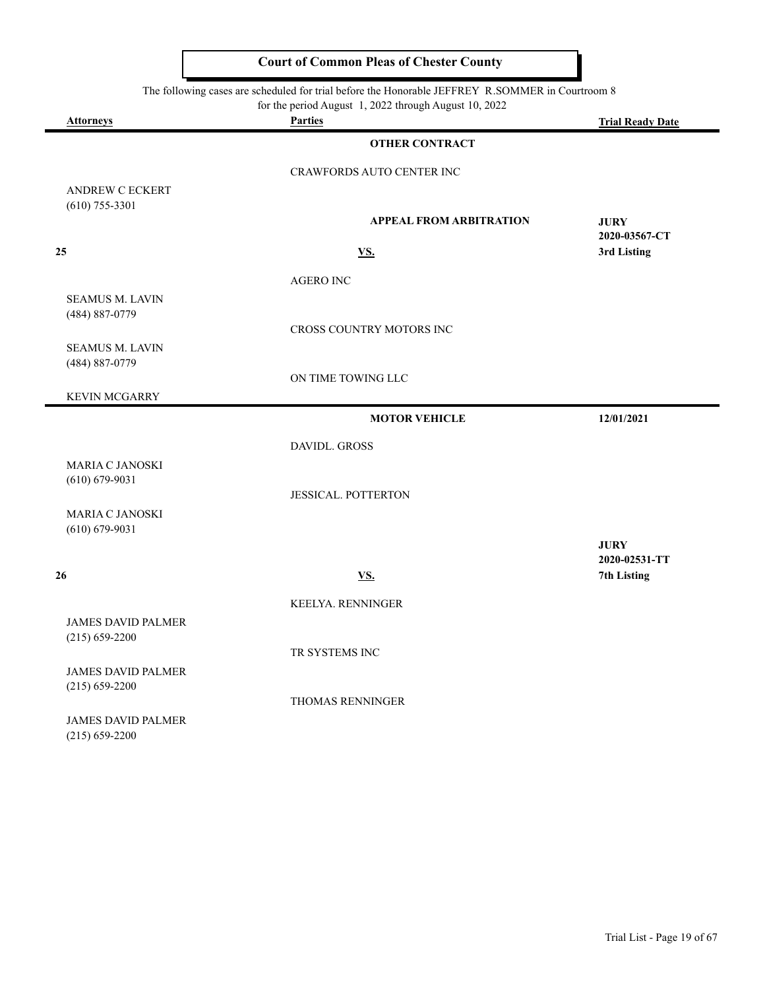| The following cases are scheduled for trial before the Honorable JEFFREY R.SOMMER in Courtroom 8 |                                                                         |                              |  |
|--------------------------------------------------------------------------------------------------|-------------------------------------------------------------------------|------------------------------|--|
| <b>Attorneys</b>                                                                                 | for the period August 1, 2022 through August 10, 2022<br><b>Parties</b> | <b>Trial Ready Date</b>      |  |
|                                                                                                  | <b>OTHER CONTRACT</b>                                                   |                              |  |
|                                                                                                  | CRAWFORDS AUTO CENTER INC                                               |                              |  |
| <b>ANDREW C ECKERT</b>                                                                           |                                                                         |                              |  |
| $(610)$ 755-3301                                                                                 | <b>APPEAL FROM ARBITRATION</b>                                          | <b>JURY</b><br>2020-03567-CT |  |
| 25                                                                                               | <b>VS.</b>                                                              | 3rd Listing                  |  |
|                                                                                                  | <b>AGERO INC</b>                                                        |                              |  |
| <b>SEAMUS M. LAVIN</b><br>(484) 887-0779                                                         |                                                                         |                              |  |
|                                                                                                  | <b>CROSS COUNTRY MOTORS INC</b>                                         |                              |  |
| <b>SEAMUS M. LAVIN</b><br>(484) 887-0779                                                         |                                                                         |                              |  |
|                                                                                                  | ON TIME TOWING LLC                                                      |                              |  |
| <b>KEVIN MCGARRY</b>                                                                             |                                                                         |                              |  |
|                                                                                                  | <b>MOTOR VEHICLE</b>                                                    | 12/01/2021                   |  |
|                                                                                                  | <b>DAVIDL. GROSS</b>                                                    |                              |  |
| <b>MARIA C JANOSKI</b><br>$(610) 679 - 9031$                                                     |                                                                         |                              |  |
|                                                                                                  | <b>JESSICAL. POTTERTON</b>                                              |                              |  |
| <b>MARIA C JANOSKI</b><br>$(610) 679 - 9031$                                                     |                                                                         |                              |  |
|                                                                                                  |                                                                         | <b>JURY</b><br>2020-02531-TT |  |
| 26                                                                                               | <b>VS.</b>                                                              | 7th Listing                  |  |
|                                                                                                  | KEELYA. RENNINGER                                                       |                              |  |
| <b>JAMES DAVID PALMER</b><br>$(215) 659 - 2200$                                                  |                                                                         |                              |  |
|                                                                                                  | TR SYSTEMS INC                                                          |                              |  |
| <b>JAMES DAVID PALMER</b><br>$(215) 659 - 2200$                                                  |                                                                         |                              |  |
|                                                                                                  | <b>THOMAS RENNINGER</b>                                                 |                              |  |

JAMES DAVID PALMER (215) 659-2200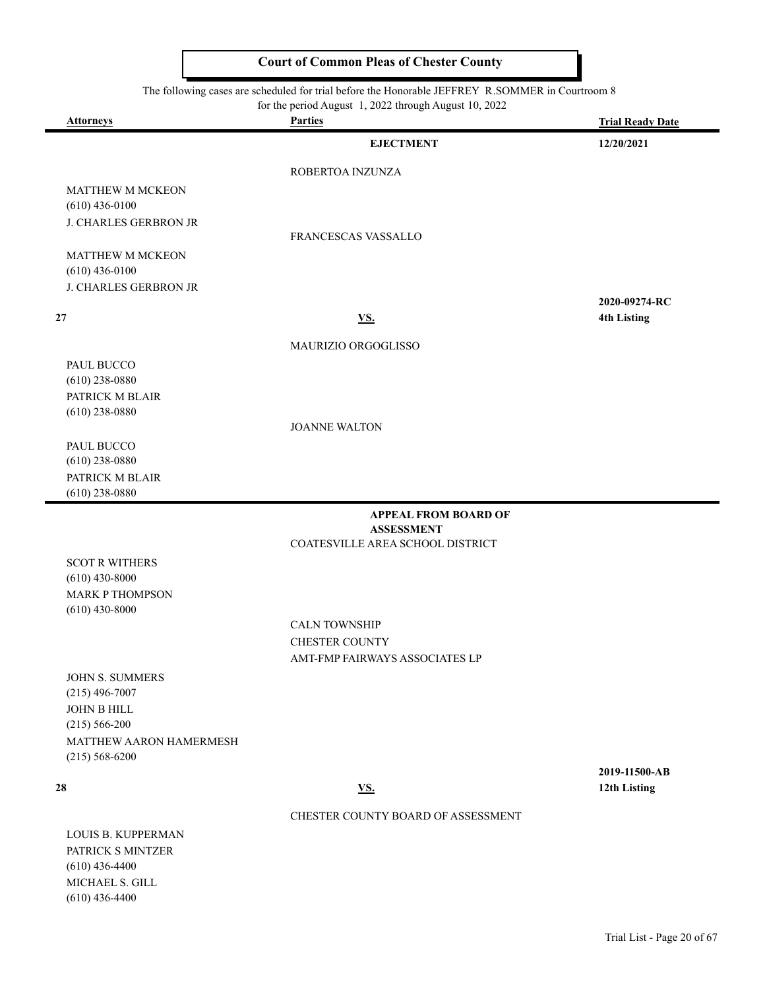The following cases are scheduled for trial before the Honorable JEFFREY R.SOMMER in Courtroom 8

| for the period August 1, 2022 through August 10, 2022 |  |  |
|-------------------------------------------------------|--|--|
|                                                       |  |  |

| <b>Attorneys</b>                              | for the period August $\frac{1}{2}$ , $\frac{2022}{20}$ through August 10, $\frac{2022}{20}$<br><b>Parties</b> | <b>Trial Ready Date</b>             |
|-----------------------------------------------|----------------------------------------------------------------------------------------------------------------|-------------------------------------|
|                                               | <b>EJECTMENT</b>                                                                                               | 12/20/2021                          |
|                                               | ROBERTOA INZUNZA                                                                                               |                                     |
| MATTHEW M MCKEON                              |                                                                                                                |                                     |
| $(610)$ 436-0100                              |                                                                                                                |                                     |
| J. CHARLES GERBRON JR                         | FRANCESCAS VASSALLO                                                                                            |                                     |
| <b>MATTHEW M MCKEON</b>                       |                                                                                                                |                                     |
| $(610)$ 436-0100                              |                                                                                                                |                                     |
| J. CHARLES GERBRON JR                         |                                                                                                                |                                     |
| 27                                            | <b>VS.</b>                                                                                                     | 2020-09274-RC<br><b>4th Listing</b> |
|                                               |                                                                                                                |                                     |
|                                               | MAURIZIO ORGOGLISSO                                                                                            |                                     |
| PAUL BUCCO                                    |                                                                                                                |                                     |
| $(610)$ 238-0880<br>PATRICK M BLAIR           |                                                                                                                |                                     |
| $(610)$ 238-0880                              |                                                                                                                |                                     |
|                                               | <b>JOANNE WALTON</b>                                                                                           |                                     |
| PAUL BUCCO                                    |                                                                                                                |                                     |
| $(610)$ 238-0880                              |                                                                                                                |                                     |
| PATRICK M BLAIR<br>$(610)$ 238-0880           |                                                                                                                |                                     |
|                                               | <b>APPEAL FROM BOARD OF</b>                                                                                    |                                     |
|                                               | <b>ASSESSMENT</b>                                                                                              |                                     |
|                                               | COATESVILLE AREA SCHOOL DISTRICT                                                                               |                                     |
| <b>SCOT R WITHERS</b><br>$(610)$ 430-8000     |                                                                                                                |                                     |
| <b>MARK P THOMPSON</b><br>$(610)$ 430-8000    |                                                                                                                |                                     |
|                                               | <b>CALN TOWNSHIP</b>                                                                                           |                                     |
|                                               | <b>CHESTER COUNTY</b>                                                                                          |                                     |
|                                               | AMT-FMP FAIRWAYS ASSOCIATES LP                                                                                 |                                     |
| <b>JOHN S. SUMMERS</b>                        |                                                                                                                |                                     |
| $(215)$ 496-7007<br>JOHN B HILL               |                                                                                                                |                                     |
| $(215) 566 - 200$                             |                                                                                                                |                                     |
| MATTHEW AARON HAMERMESH<br>$(215) 568 - 6200$ |                                                                                                                |                                     |
|                                               |                                                                                                                | 2019-11500-AB                       |
| 28                                            | <b>VS.</b>                                                                                                     | 12th Listing                        |
|                                               | CHESTER COUNTY BOARD OF ASSESSMENT                                                                             |                                     |
| LOUIS B. KUPPERMAN                            |                                                                                                                |                                     |
| PATRICK S MINTZER<br>$(610)$ 436-4400         |                                                                                                                |                                     |
| MICHAEL S. GILL                               |                                                                                                                |                                     |

(610) 436-4400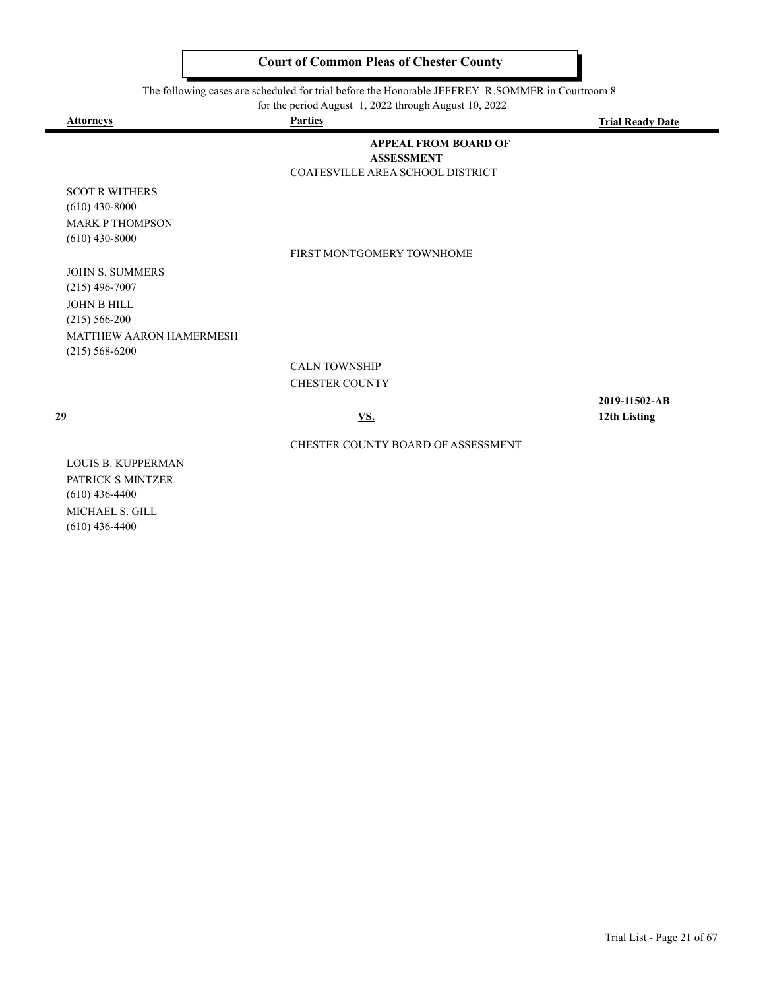The following cases are scheduled for trial before the Honorable JEFFREY R.SOMMER in Courtroom 8

for the period August 1, 2022 through August 10, 2022

| <b>Attorneys</b>                          | <b>Parties</b>                                                                       | <b>Trial Ready Date</b> |
|-------------------------------------------|--------------------------------------------------------------------------------------|-------------------------|
|                                           | <b>APPEAL FROM BOARD OF</b><br><b>ASSESSMENT</b><br>COATESVILLE AREA SCHOOL DISTRICT |                         |
|                                           |                                                                                      |                         |
| <b>SCOT R WITHERS</b><br>$(610)$ 430-8000 |                                                                                      |                         |
| <b>MARK P THOMPSON</b>                    |                                                                                      |                         |
| $(610)$ 430-8000                          |                                                                                      |                         |
|                                           | FIRST MONTGOMERY TOWNHOME                                                            |                         |
| <b>JOHN S. SUMMERS</b>                    |                                                                                      |                         |
| $(215)$ 496-7007                          |                                                                                      |                         |
| <b>JOHN B HILL</b>                        |                                                                                      |                         |
| $(215) 566 - 200$                         |                                                                                      |                         |
| MATTHEW AARON HAMERMESH                   |                                                                                      |                         |
| $(215) 568 - 6200$                        |                                                                                      |                         |
|                                           | <b>CALN TOWNSHIP</b>                                                                 |                         |
|                                           | <b>CHESTER COUNTY</b>                                                                |                         |
|                                           |                                                                                      | 2019-11502-AB           |
| 29                                        | <u>VS.</u>                                                                           | 12th Listing            |
|                                           | CHESTER COUNTY BOARD OF ASSESSMENT                                                   |                         |
| <b>LOUIS B. KUPPERMAN</b>                 |                                                                                      |                         |

PATRICK S MINTZER (610) 436-4400 MICHAEL S. GILL (610) 436-4400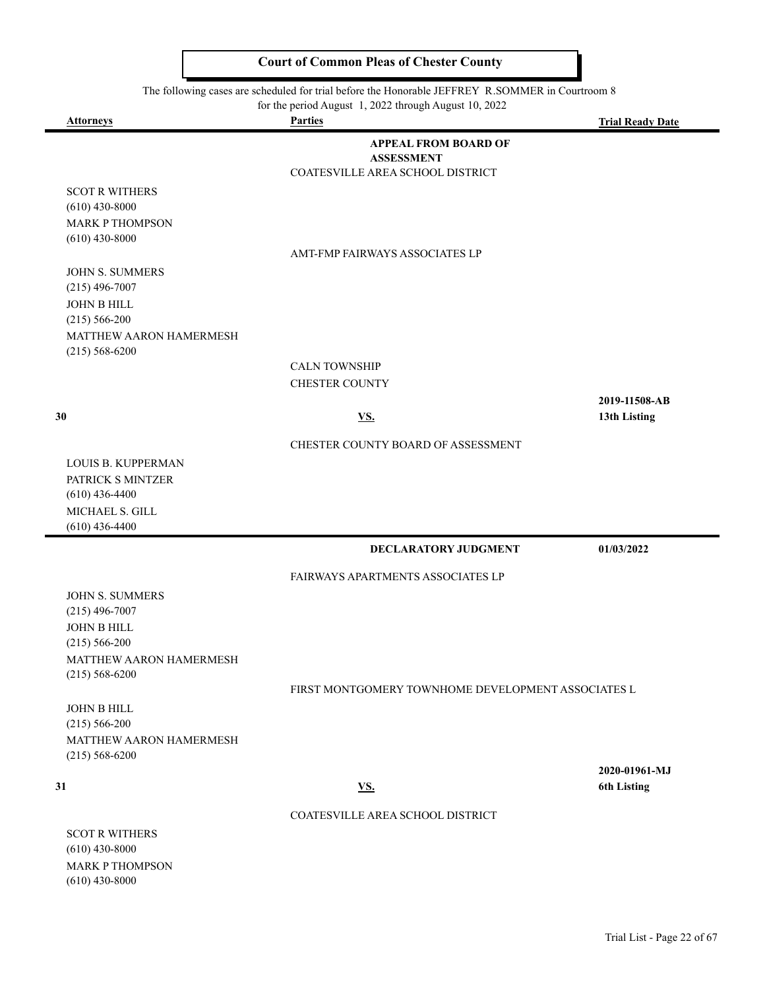The following cases are scheduled for trial before the Honorable JEFFREY R.SOMMER in Courtroom 8

for the period August 1, 2022 through August 10, 2022

 $\blacksquare$ 

 $\blacksquare$ 

| <b>Attorneys</b>                              | <b>Parties</b>                                        | <b>Trial Ready Date</b> |
|-----------------------------------------------|-------------------------------------------------------|-------------------------|
|                                               | <b>APPEAL FROM BOARD OF</b>                           |                         |
|                                               | <b>ASSESSMENT</b><br>COATESVILLE AREA SCHOOL DISTRICT |                         |
| <b>SCOT R WITHERS</b>                         |                                                       |                         |
| $(610)$ 430-8000                              |                                                       |                         |
| <b>MARK P THOMPSON</b>                        |                                                       |                         |
| $(610)$ 430-8000                              | AMT-FMP FAIRWAYS ASSOCIATES LP                        |                         |
| JOHN S. SUMMERS                               |                                                       |                         |
| $(215)$ 496-7007                              |                                                       |                         |
| <b>JOHN B HILL</b>                            |                                                       |                         |
| $(215) 566 - 200$                             |                                                       |                         |
| MATTHEW AARON HAMERMESH<br>$(215) 568 - 6200$ |                                                       |                         |
|                                               | <b>CALN TOWNSHIP</b>                                  |                         |
|                                               | <b>CHESTER COUNTY</b>                                 |                         |
|                                               |                                                       | 2019-11508-AB           |
| 30                                            | <b>VS.</b>                                            | 13th Listing            |
|                                               | CHESTER COUNTY BOARD OF ASSESSMENT                    |                         |
| <b>LOUIS B. KUPPERMAN</b>                     |                                                       |                         |
| PATRICK S MINTZER                             |                                                       |                         |
| $(610)$ 436-4400<br>MICHAEL S. GILL           |                                                       |                         |
| $(610)$ 436-4400                              |                                                       |                         |
|                                               | DECLARATORY JUDGMENT                                  | 01/03/2022              |
|                                               | FAIRWAYS APARTMENTS ASSOCIATES LP                     |                         |
| JOHN S. SUMMERS                               |                                                       |                         |
| $(215)$ 496-7007                              |                                                       |                         |
| <b>JOHN B HILL</b>                            |                                                       |                         |
| $(215) 566 - 200$<br>MATTHEW AARON HAMERMESH  |                                                       |                         |
| $(215) 568 - 6200$                            |                                                       |                         |
|                                               | FIRST MONTGOMERY TOWNHOME DEVELOPMENT ASSOCIATES L    |                         |
| JOHN B HILL                                   |                                                       |                         |
| $(215) 566 - 200$<br>MATTHEW AARON HAMERMESH  |                                                       |                         |
| $(215) 568 - 6200$                            |                                                       |                         |
|                                               |                                                       | 2020-01961-MJ           |
| 31                                            | <u>VS.</u>                                            | <b>6th Listing</b>      |
|                                               | COATESVILLE AREA SCHOOL DISTRICT                      |                         |
| <b>SCOT R WITHERS</b>                         |                                                       |                         |
| $(610)$ 430-8000                              |                                                       |                         |
| <b>MARK P THOMPSON</b><br>$(610)$ 430-8000    |                                                       |                         |
|                                               |                                                       |                         |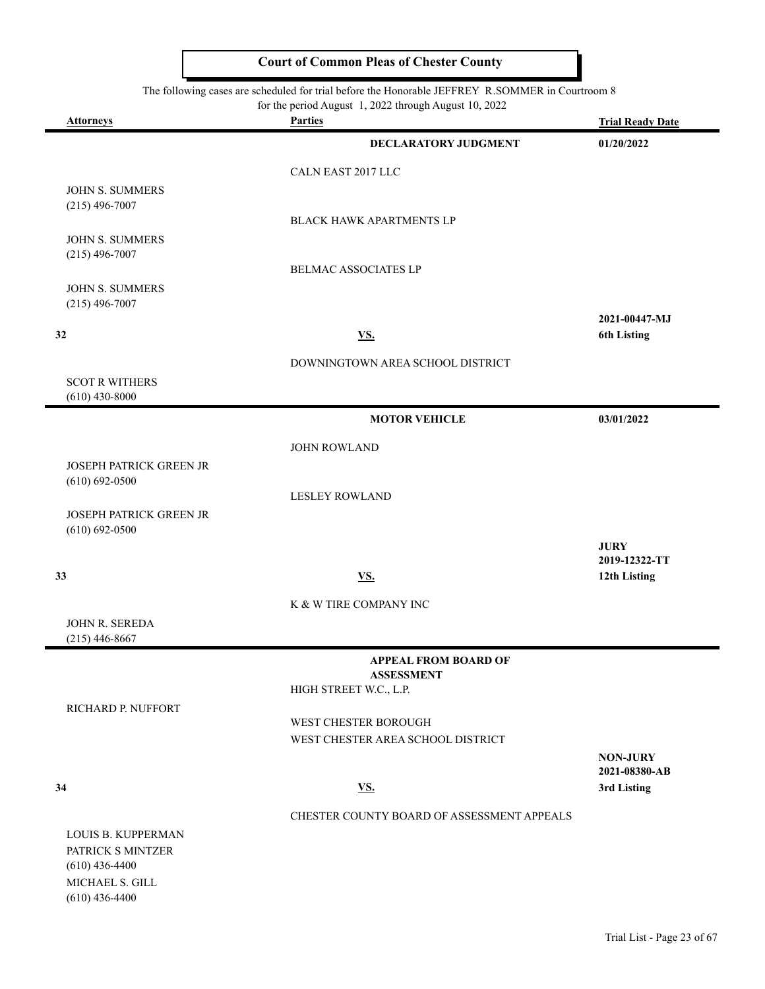#### The following cases are scheduled for trial before the Honorable JEFFREY R.SOMMER in Courtroom 8

|                                     | for the period August 1, 2022 through August 10, 2022 |                         |
|-------------------------------------|-------------------------------------------------------|-------------------------|
| <b>Attorneys</b>                    | <b>Parties</b>                                        | <b>Trial Ready Date</b> |
|                                     | DECLARATORY JUDGMENT                                  | 01/20/2022              |
|                                     | CALN EAST 2017 LLC                                    |                         |
| <b>JOHN S. SUMMERS</b>              |                                                       |                         |
| $(215)$ 496-7007                    |                                                       |                         |
|                                     | <b>BLACK HAWK APARTMENTS LP</b>                       |                         |
| JOHN S. SUMMERS                     |                                                       |                         |
| $(215)$ 496-7007                    | BELMAC ASSOCIATES LP                                  |                         |
| JOHN S. SUMMERS                     |                                                       |                         |
| $(215)$ 496-7007                    |                                                       |                         |
|                                     |                                                       | 2021-00447-MJ           |
| 32                                  | <u>VS.</u>                                            | <b>6th Listing</b>      |
|                                     | DOWNINGTOWN AREA SCHOOL DISTRICT                      |                         |
| <b>SCOT R WITHERS</b>               |                                                       |                         |
| $(610)$ 430-8000                    |                                                       |                         |
|                                     | <b>MOTOR VEHICLE</b>                                  | 03/01/2022              |
|                                     | <b>JOHN ROWLAND</b>                                   |                         |
| <b>JOSEPH PATRICK GREEN JR</b>      |                                                       |                         |
| $(610) 692 - 0500$                  |                                                       |                         |
|                                     | <b>LESLEY ROWLAND</b>                                 |                         |
| <b>JOSEPH PATRICK GREEN JR</b>      |                                                       |                         |
| $(610) 692 - 0500$                  |                                                       | <b>JURY</b>             |
|                                     |                                                       | 2019-12322-TT           |
| 33                                  | <u>VS.</u>                                            | 12th Listing            |
|                                     | K & W TIRE COMPANY INC                                |                         |
| JOHN R. SEREDA                      |                                                       |                         |
| $(215)$ 446-8667                    |                                                       |                         |
|                                     | <b>APPEAL FROM BOARD OF</b>                           |                         |
|                                     | <b>ASSESSMENT</b>                                     |                         |
|                                     | HIGH STREET W.C., L.P.                                |                         |
| RICHARD P. NUFFORT                  | WEST CHESTER BOROUGH                                  |                         |
|                                     | WEST CHESTER AREA SCHOOL DISTRICT                     |                         |
|                                     |                                                       | <b>NON-JURY</b>         |
|                                     |                                                       | 2021-08380-AB           |
| 34                                  | <u>VS.</u>                                            | 3rd Listing             |
|                                     | CHESTER COUNTY BOARD OF ASSESSMENT APPEALS            |                         |
| LOUIS B. KUPPERMAN                  |                                                       |                         |
| PATRICK S MINTZER                   |                                                       |                         |
| $(610)$ 436-4400<br>MICHAEL S. GILL |                                                       |                         |
|                                     |                                                       |                         |

(610) 436-4400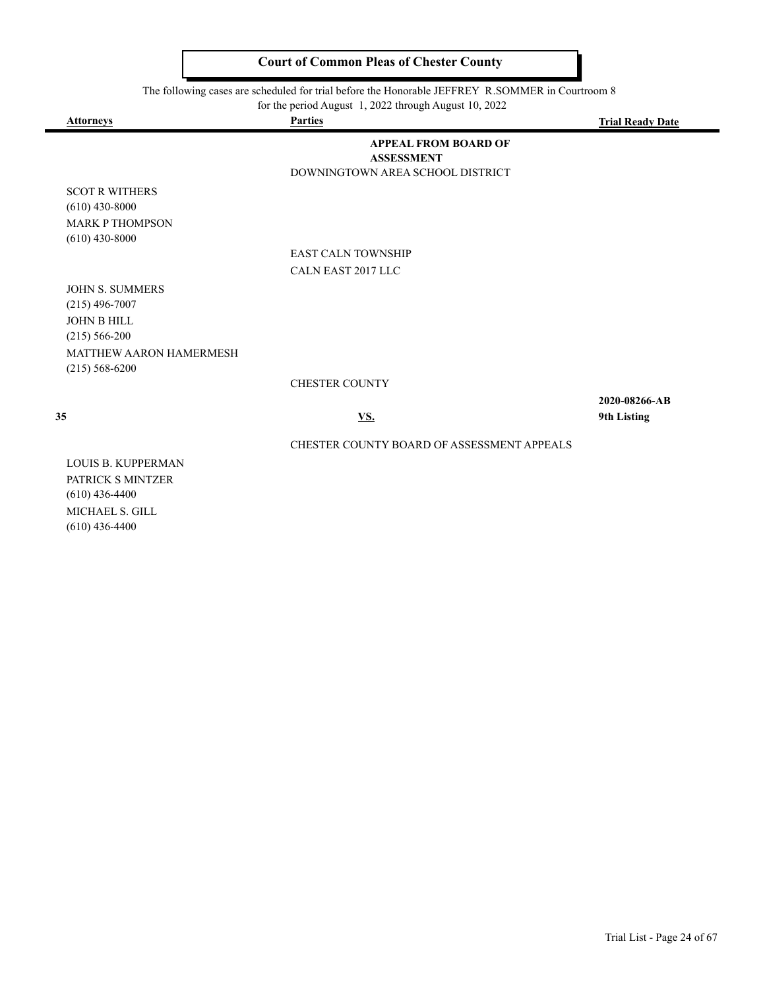The following cases are scheduled for trial before the Honorable JEFFREY R.SOMMER in Courtroom 8

for the period August 1, 2022 through August 10, 2022

| <b>Attorneys</b>                                                    | <b>Parties</b>                                                                       | <b>Trial Ready Date</b>      |
|---------------------------------------------------------------------|--------------------------------------------------------------------------------------|------------------------------|
|                                                                     | <b>APPEAL FROM BOARD OF</b><br><b>ASSESSMENT</b><br>DOWNINGTOWN AREA SCHOOL DISTRICT |                              |
| <b>SCOT R WITHERS</b><br>$(610)$ 430-8000<br><b>MARK P THOMPSON</b> |                                                                                      |                              |
| $(610)$ 430-8000                                                    |                                                                                      |                              |
|                                                                     | <b>EAST CALN TOWNSHIP</b>                                                            |                              |
|                                                                     | CALN EAST 2017 LLC                                                                   |                              |
| <b>JOHN S. SUMMERS</b><br>$(215)$ 496-7007<br><b>JOHN B HILL</b>    |                                                                                      |                              |
| $(215) 566 - 200$                                                   |                                                                                      |                              |
| <b>MATTHEW AARON HAMERMESH</b><br>$(215) 568 - 6200$                |                                                                                      |                              |
|                                                                     | <b>CHESTER COUNTY</b>                                                                |                              |
| 35                                                                  | <u>VS.</u>                                                                           | 2020-08266-AB<br>9th Listing |
|                                                                     | CHESTER COUNTY BOARD OF ASSESSMENT APPEALS                                           |                              |
| <b>LOUIS B. KUPPERMAN</b><br>PATRICK S MINTZER                      |                                                                                      |                              |

(610) 436-4400 MICHAEL S. GILL (610) 436-4400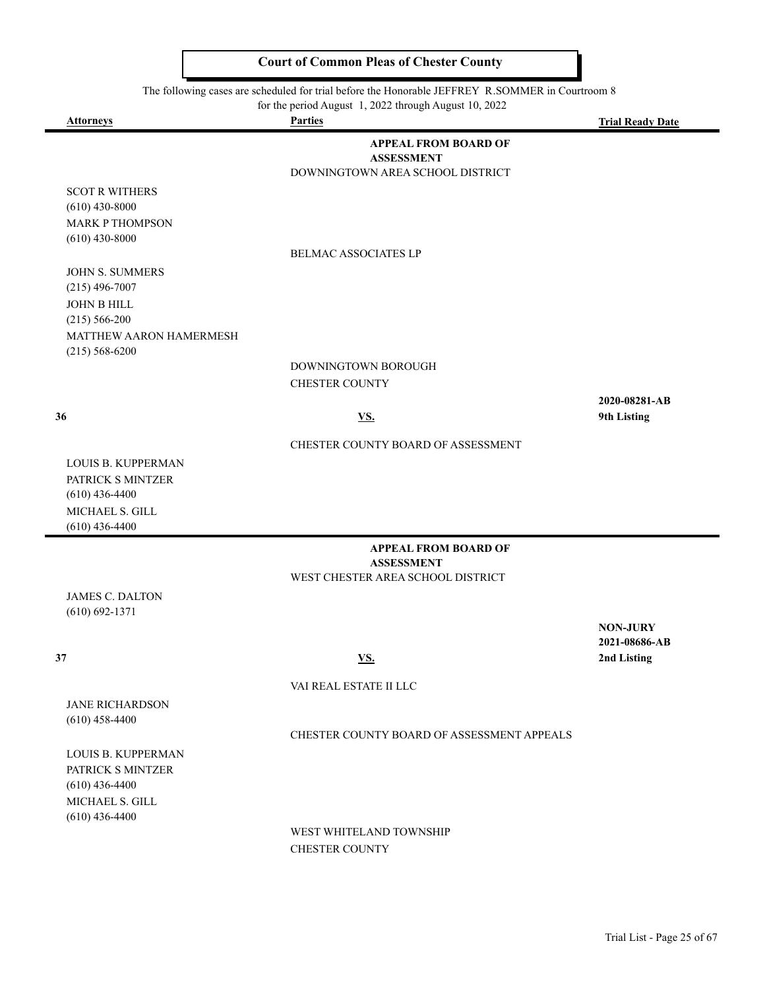The following cases are scheduled for trial before the Honorable JEFFREY R.SOMMER in Courtroom 8

for the period August 1, 2022 through August 10, 2022

 $\blacksquare$ 

 $\blacksquare$ 

| Attorneys                                    | <b>Parties</b>                                        | <b>Trial Ready Date</b> |
|----------------------------------------------|-------------------------------------------------------|-------------------------|
|                                              | <b>APPEAL FROM BOARD OF</b>                           |                         |
|                                              | <b>ASSESSMENT</b><br>DOWNINGTOWN AREA SCHOOL DISTRICT |                         |
| <b>SCOT R WITHERS</b>                        |                                                       |                         |
| $(610)$ 430-8000                             |                                                       |                         |
| <b>MARK P THOMPSON</b>                       |                                                       |                         |
| $(610)$ 430-8000                             |                                                       |                         |
|                                              | <b>BELMAC ASSOCIATES LP</b>                           |                         |
| <b>JOHN S. SUMMERS</b>                       |                                                       |                         |
| $(215)$ 496-7007                             |                                                       |                         |
| <b>JOHN B HILL</b>                           |                                                       |                         |
| $(215) 566 - 200$<br>MATTHEW AARON HAMERMESH |                                                       |                         |
| $(215) 568 - 6200$                           |                                                       |                         |
|                                              | DOWNINGTOWN BOROUGH                                   |                         |
|                                              | <b>CHESTER COUNTY</b>                                 |                         |
|                                              |                                                       | 2020-08281-AB           |
| 36                                           | <b>VS.</b>                                            | 9th Listing             |
|                                              | CHESTER COUNTY BOARD OF ASSESSMENT                    |                         |
| <b>LOUIS B. KUPPERMAN</b>                    |                                                       |                         |
| PATRICK S MINTZER                            |                                                       |                         |
| $(610)$ 436-4400                             |                                                       |                         |
| MICHAEL S. GILL                              |                                                       |                         |
| $(610)$ 436-4400                             |                                                       |                         |
|                                              | <b>APPEAL FROM BOARD OF</b><br><b>ASSESSMENT</b>      |                         |
|                                              | WEST CHESTER AREA SCHOOL DISTRICT                     |                         |
| <b>JAMES C. DALTON</b>                       |                                                       |                         |
| $(610) 692 - 1371$                           |                                                       |                         |
|                                              |                                                       | <b>NON-JURY</b>         |
|                                              |                                                       | 2021-08686-AB           |
| 37                                           | <u>VS.</u>                                            | 2nd Listing             |
|                                              | VAI REAL ESTATE II LLC                                |                         |
| <b>JANE RICHARDSON</b>                       |                                                       |                         |
| $(610)$ 458-4400                             |                                                       |                         |
|                                              | CHESTER COUNTY BOARD OF ASSESSMENT APPEALS            |                         |
| <b>LOUIS B. KUPPERMAN</b>                    |                                                       |                         |
| PATRICK S MINTZER<br>$(610)$ 436-4400        |                                                       |                         |
| MICHAEL S. GILL                              |                                                       |                         |
| $(610)$ 436-4400                             |                                                       |                         |

WEST WHITELAND TOWNSHIP CHESTER COUNTY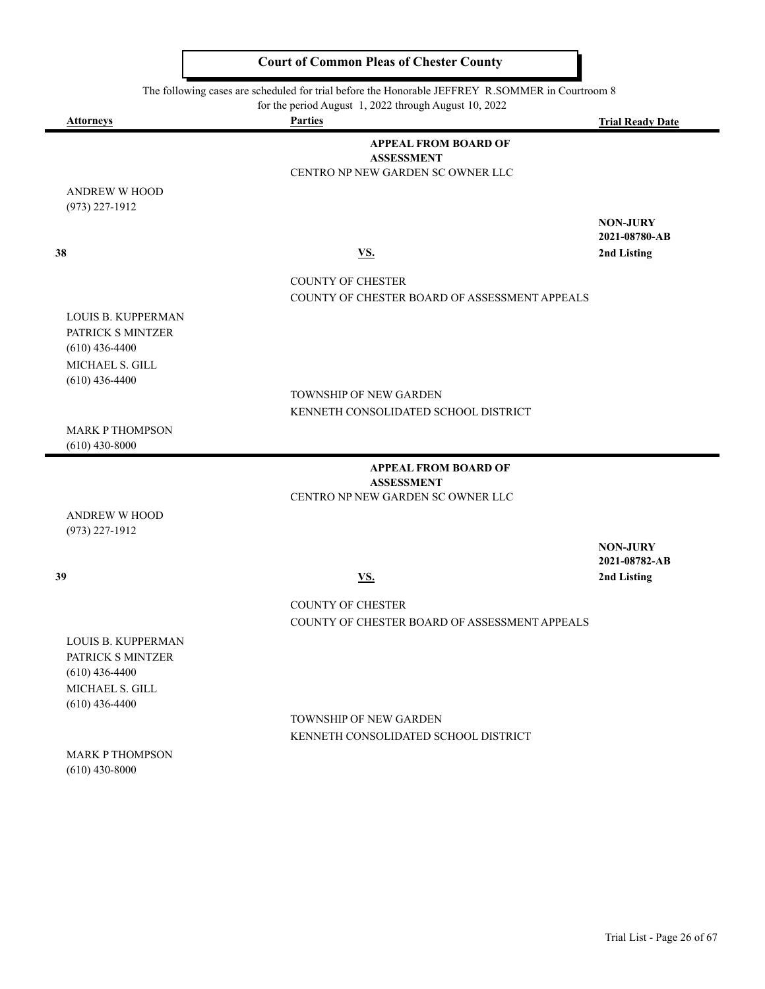The following cases are scheduled for trial before the Honorable JEFFREY R.SOMMER in Courtroom 8

for the period August 1, 2022 through August 10, 2022

 $\blacksquare$ 

|                           | for the period August $\frac{1}{2}$ , 2022 through August 10, 2022 |                         |
|---------------------------|--------------------------------------------------------------------|-------------------------|
| <b>Attorneys</b>          | <b>Parties</b>                                                     | <b>Trial Ready Date</b> |
|                           | <b>APPEAL FROM BOARD OF</b>                                        |                         |
|                           | <b>ASSESSMENT</b>                                                  |                         |
|                           | CENTRO NP NEW GARDEN SC OWNER LLC                                  |                         |
| <b>ANDREW W HOOD</b>      |                                                                    |                         |
| $(973)$ 227-1912          |                                                                    |                         |
|                           |                                                                    | <b>NON-JURY</b>         |
|                           |                                                                    | 2021-08780-AB           |
| 38                        | <b>VS.</b>                                                         | 2nd Listing             |
|                           |                                                                    |                         |
|                           | <b>COUNTY OF CHESTER</b>                                           |                         |
|                           | COUNTY OF CHESTER BOARD OF ASSESSMENT APPEALS                      |                         |
| LOUIS B. KUPPERMAN        |                                                                    |                         |
| PATRICK S MINTZER         |                                                                    |                         |
| $(610)$ 436-4400          |                                                                    |                         |
| MICHAEL S. GILL           |                                                                    |                         |
| $(610)$ 436-4400          |                                                                    |                         |
|                           | <b>TOWNSHIP OF NEW GARDEN</b>                                      |                         |
|                           | KENNETH CONSOLIDATED SCHOOL DISTRICT                               |                         |
| <b>MARK P THOMPSON</b>    |                                                                    |                         |
| $(610)$ 430-8000          |                                                                    |                         |
|                           | <b>APPEAL FROM BOARD OF</b>                                        |                         |
|                           | <b>ASSESSMENT</b>                                                  |                         |
|                           | CENTRO NP NEW GARDEN SC OWNER LLC                                  |                         |
| <b>ANDREW W HOOD</b>      |                                                                    |                         |
| $(973)$ 227-1912          |                                                                    |                         |
|                           |                                                                    | <b>NON-JURY</b>         |
|                           |                                                                    | 2021-08782-AB           |
| 39                        | $\underline{\mathbf{V}}\underline{\mathbf{S}}$ .                   | 2nd Listing             |
|                           |                                                                    |                         |
|                           | <b>COUNTY OF CHESTER</b>                                           |                         |
|                           | COUNTY OF CHESTER BOARD OF ASSESSMENT APPEALS                      |                         |
| <b>LOUIS B. KUPPERMAN</b> |                                                                    |                         |
| PATRICK S MINTZER         |                                                                    |                         |
| $(610)$ 436-4400          |                                                                    |                         |
| MICHAEL S. GILL           |                                                                    |                         |
| $(610)$ 436-4400          |                                                                    |                         |
|                           | TOWNSHIP OF NEW GARDEN                                             |                         |
|                           | KENNETH CONSOLIDATED SCHOOL DISTRICT                               |                         |
| <b>MARK P THOMPSON</b>    |                                                                    |                         |
| $(610)$ 430-8000          |                                                                    |                         |
|                           |                                                                    |                         |
|                           |                                                                    |                         |
|                           |                                                                    |                         |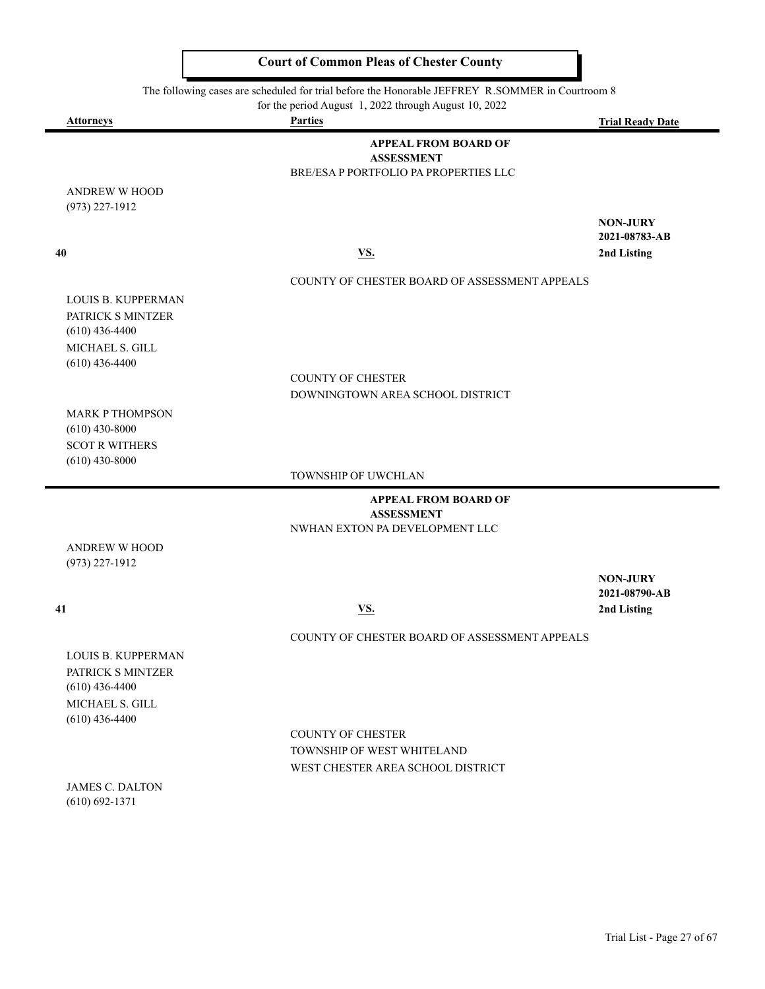The following cases are scheduled for trial before the Honorable JEFFREY R.SOMMER in Courtroom 8

for the period August 1, 2022 through August 10, 2022

| <b>Attorneys</b>                           | <b>Parties</b>                                   | <b>Trial Ready Date</b>          |
|--------------------------------------------|--------------------------------------------------|----------------------------------|
|                                            | <b>APPEAL FROM BOARD OF</b>                      |                                  |
|                                            | <b>ASSESSMENT</b>                                |                                  |
|                                            | BRE/ESA P PORTFOLIO PA PROPERTIES LLC            |                                  |
| ANDREW W HOOD                              |                                                  |                                  |
| $(973)$ 227-1912                           |                                                  |                                  |
|                                            |                                                  | <b>NON-JURY</b><br>2021-08783-AB |
| 40                                         | $\underline{\mathbf{V}}\underline{\mathbf{S}}$ . | 2nd Listing                      |
|                                            |                                                  |                                  |
|                                            | COUNTY OF CHESTER BOARD OF ASSESSMENT APPEALS    |                                  |
| LOUIS B. KUPPERMAN                         |                                                  |                                  |
| PATRICK S MINTZER                          |                                                  |                                  |
| $(610)$ 436-4400                           |                                                  |                                  |
| MICHAEL S. GILL                            |                                                  |                                  |
| $(610)$ 436-4400                           | <b>COUNTY OF CHESTER</b>                         |                                  |
|                                            | DOWNINGTOWN AREA SCHOOL DISTRICT                 |                                  |
|                                            |                                                  |                                  |
| <b>MARK P THOMPSON</b><br>$(610)$ 430-8000 |                                                  |                                  |
| <b>SCOT R WITHERS</b>                      |                                                  |                                  |
| $(610)$ 430-8000                           |                                                  |                                  |
|                                            | TOWNSHIP OF UWCHLAN                              |                                  |
|                                            | <b>APPEAL FROM BOARD OF</b>                      |                                  |
|                                            | <b>ASSESSMENT</b>                                |                                  |
|                                            | NWHAN EXTON PA DEVELOPMENT LLC                   |                                  |
| <b>ANDREW W HOOD</b>                       |                                                  |                                  |
| $(973)$ 227-1912                           |                                                  |                                  |
|                                            |                                                  | <b>NON-JURY</b><br>2021-08790-AB |
| 41                                         | $\underline{\mathbf{V}}\underline{\mathbf{S}}$ . | 2nd Listing                      |
|                                            |                                                  |                                  |
|                                            | COUNTY OF CHESTER BOARD OF ASSESSMENT APPEALS    |                                  |
| LOUIS B. KUPPERMAN                         |                                                  |                                  |
| PATRICK S MINTZER                          |                                                  |                                  |
| $(610)$ 436-4400                           |                                                  |                                  |
| MICHAEL S. GILL<br>$(610)$ 436-4400        |                                                  |                                  |
|                                            | <b>COUNTY OF CHESTER</b>                         |                                  |
|                                            | TOWNSHIP OF WEST WHITELAND                       |                                  |
|                                            | WEST CHESTER AREA SCHOOL DISTRICT                |                                  |
| <b>JAMES C. DALTON</b>                     |                                                  |                                  |
| $(610) 692 - 1371$                         |                                                  |                                  |
|                                            |                                                  |                                  |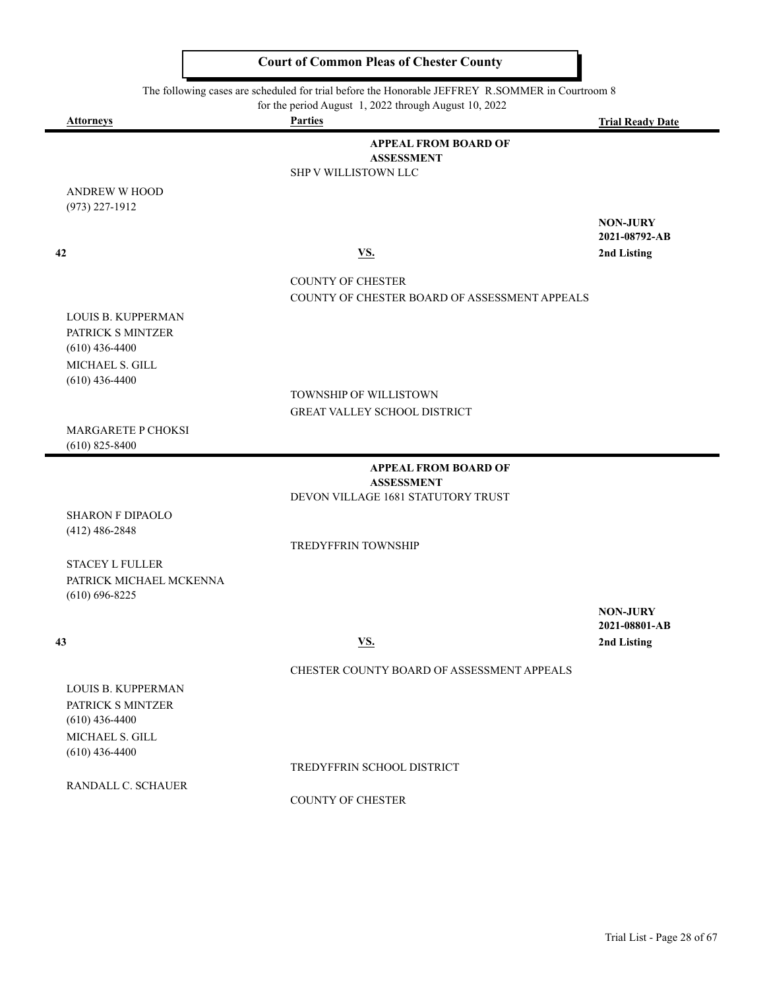The following cases are scheduled for trial before the Honorable JEFFREY R.SOMMER in Courtroom 8

for the period August 1, 2022 through August 10, 2022

| <b>Attorneys</b>                            | <b>Parties</b>                                | <b>Trial Ready Date</b>          |
|---------------------------------------------|-----------------------------------------------|----------------------------------|
|                                             | <b>APPEAL FROM BOARD OF</b>                   |                                  |
|                                             | <b>ASSESSMENT</b>                             |                                  |
|                                             | <b>SHP V WILLISTOWN LLC</b>                   |                                  |
| <b>ANDREW W HOOD</b><br>$(973)$ 227-1912    |                                               |                                  |
|                                             |                                               | <b>NON-JURY</b>                  |
|                                             |                                               | 2021-08792-AB                    |
| 42                                          | <b>VS.</b>                                    | 2nd Listing                      |
|                                             | <b>COUNTY OF CHESTER</b>                      |                                  |
|                                             | COUNTY OF CHESTER BOARD OF ASSESSMENT APPEALS |                                  |
| LOUIS B. KUPPERMAN                          |                                               |                                  |
| PATRICK S MINTZER                           |                                               |                                  |
| $(610)$ 436-4400                            |                                               |                                  |
| MICHAEL S. GILL                             |                                               |                                  |
| $(610)$ 436-4400                            | TOWNSHIP OF WILLISTOWN                        |                                  |
|                                             | GREAT VALLEY SCHOOL DISTRICT                  |                                  |
| MARGARETE P CHOKSI                          |                                               |                                  |
| $(610)$ 825-8400                            |                                               |                                  |
|                                             | <b>APPEAL FROM BOARD OF</b>                   |                                  |
|                                             | <b>ASSESSMENT</b>                             |                                  |
|                                             | DEVON VILLAGE 1681 STATUTORY TRUST            |                                  |
| <b>SHARON F DIPAOLO</b><br>$(412)$ 486-2848 |                                               |                                  |
|                                             | TREDYFFRIN TOWNSHIP                           |                                  |
| <b>STACEY L FULLER</b>                      |                                               |                                  |
| PATRICK MICHAEL MCKENNA                     |                                               |                                  |
| $(610) 696 - 8225$                          |                                               |                                  |
|                                             |                                               | <b>NON-JURY</b><br>2021-08801-AB |
| 43                                          | <b>VS.</b>                                    | 2nd Listing                      |
|                                             |                                               |                                  |
|                                             | CHESTER COUNTY BOARD OF ASSESSMENT APPEALS    |                                  |
| <b>LOUIS B. KUPPERMAN</b>                   |                                               |                                  |
| PATRICK S MINTZER<br>$(610)$ 436-4400       |                                               |                                  |
| MICHAEL S. GILL                             |                                               |                                  |
| $(610)$ 436-4400                            |                                               |                                  |
|                                             | TREDYFFRIN SCHOOL DISTRICT                    |                                  |
| RANDALL C. SCHAUER                          |                                               |                                  |
|                                             | <b>COUNTY OF CHESTER</b>                      |                                  |
|                                             |                                               |                                  |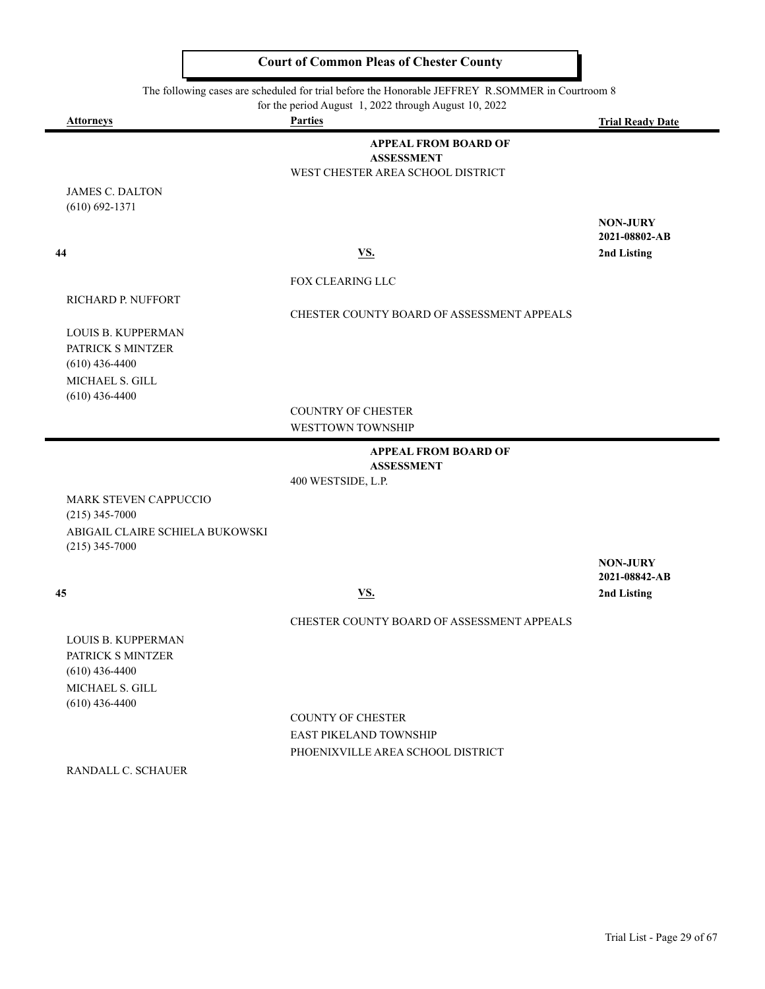The following cases are scheduled for trial before the Honorable JEFFREY R.SOMMER in Courtroom 8

| for the period August 1, 2022 through August 10, 2022 |                                                                                       |                                                 |  |  |
|-------------------------------------------------------|---------------------------------------------------------------------------------------|-------------------------------------------------|--|--|
| <b>Attorneys</b>                                      | <b>Parties</b>                                                                        | <b>Trial Ready Date</b>                         |  |  |
|                                                       | <b>APPEAL FROM BOARD OF</b><br><b>ASSESSMENT</b><br>WEST CHESTER AREA SCHOOL DISTRICT |                                                 |  |  |
| <b>JAMES C. DALTON</b><br>$(610) 692 - 1371$          |                                                                                       |                                                 |  |  |
| 44                                                    | VS.                                                                                   | <b>NON-JURY</b><br>2021-08802-AB<br>2nd Listing |  |  |
|                                                       |                                                                                       |                                                 |  |  |
|                                                       | <b>FOX CLEARING LLC</b>                                                               |                                                 |  |  |
| <b>RICHARD P. NUFFORT</b>                             | CHESTER COUNTY BOARD OF ASSESSMENT APPEALS                                            |                                                 |  |  |
| <b>LOUIS B. KUPPERMAN</b>                             |                                                                                       |                                                 |  |  |
| PATRICK S MINTZER                                     |                                                                                       |                                                 |  |  |
| $(610)$ 436-4400<br>MICHAEL S. GILL                   |                                                                                       |                                                 |  |  |
| $(610)$ 436-4400                                      |                                                                                       |                                                 |  |  |
|                                                       | <b>COUNTRY OF CHESTER</b>                                                             |                                                 |  |  |
|                                                       | WESTTOWN TOWNSHIP                                                                     |                                                 |  |  |
|                                                       | <b>APPEAL FROM BOARD OF</b><br><b>ASSESSMENT</b>                                      |                                                 |  |  |
|                                                       | 400 WESTSIDE, L.P.                                                                    |                                                 |  |  |
| <b>MARK STEVEN CAPPUCCIO</b>                          |                                                                                       |                                                 |  |  |
| $(215)$ 345-7000<br>ABIGAIL CLAIRE SCHIELA BUKOWSKI   |                                                                                       |                                                 |  |  |
| $(215)$ 345-7000                                      |                                                                                       |                                                 |  |  |
|                                                       |                                                                                       | <b>NON-JURY</b><br>2021-08842-AB                |  |  |

 $\blacksquare$ 

 **45 VS. 2nd Listing**

#### CHESTER COUNTY BOARD OF ASSESSMENT APPEALS

LOUIS B. KUPPERMAN PATRICK S MINTZER (610) 436-4400 MICHAEL S. GILL (610) 436-4400

> COUNTY OF CHESTER EAST PIKELAND TOWNSHIP PHOENIXVILLE AREA SCHOOL DISTRICT

RANDALL C. SCHAUER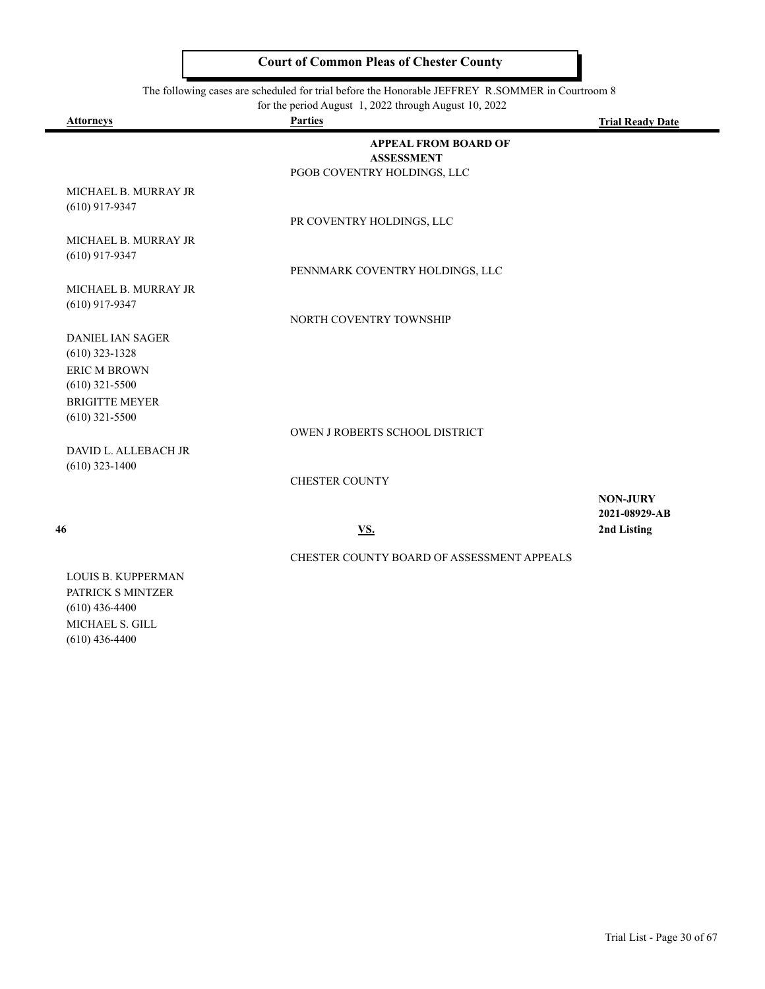The following cases are scheduled for trial before the Honorable JEFFREY R.SOMMER in Courtroom 8

|  | for the period August 1, 2022 through August 10, 2022 |  |
|--|-------------------------------------------------------|--|
|--|-------------------------------------------------------|--|

| <b>Attorneys</b>                            | <b>Parties</b>                                   | <b>Trial Ready Date</b>          |
|---------------------------------------------|--------------------------------------------------|----------------------------------|
|                                             | <b>APPEAL FROM BOARD OF</b><br><b>ASSESSMENT</b> |                                  |
|                                             | PGOB COVENTRY HOLDINGS, LLC                      |                                  |
| MICHAEL B. MURRAY JR<br>$(610)$ 917-9347    |                                                  |                                  |
|                                             | PR COVENTRY HOLDINGS, LLC                        |                                  |
| MICHAEL B. MURRAY JR<br>$(610)$ 917-9347    |                                                  |                                  |
|                                             | PENNMARK COVENTRY HOLDINGS, LLC                  |                                  |
| MICHAEL B. MURRAY JR<br>$(610)$ 917-9347    |                                                  |                                  |
|                                             | NORTH COVENTRY TOWNSHIP                          |                                  |
| <b>DANIEL IAN SAGER</b><br>$(610)$ 323-1328 |                                                  |                                  |
| <b>ERIC M BROWN</b><br>$(610)$ 321-5500     |                                                  |                                  |
| <b>BRIGITTE MEYER</b><br>$(610)$ 321-5500   |                                                  |                                  |
|                                             | OWEN J ROBERTS SCHOOL DISTRICT                   |                                  |
| DAVID L. ALLEBACH JR<br>$(610)$ 323-1400    |                                                  |                                  |
|                                             | <b>CHESTER COUNTY</b>                            |                                  |
|                                             |                                                  | <b>NON-JURY</b><br>2021-08929-AB |
| 46                                          | <u>VS.</u>                                       | 2nd Listing                      |
|                                             | CHESTER COUNTY BOARD OF ASSESSMENT APPEALS       |                                  |

LOUIS B. KUPPERMAN PATRICK S MINTZER (610) 436-4400 MICHAEL S. GILL (610) 436-4400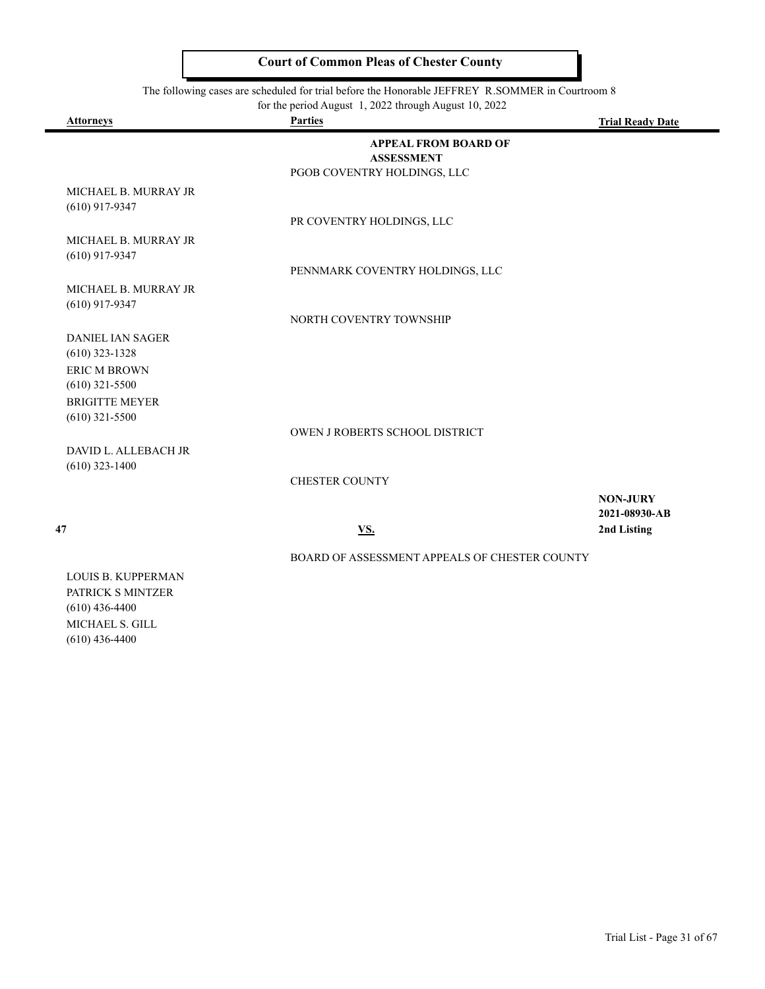The following cases are scheduled for trial before the Honorable JEFFREY R.SOMMER in Courtroom 8

|  | for the period August 1, 2022 through August 10, 2022 |  |
|--|-------------------------------------------------------|--|
|--|-------------------------------------------------------|--|

| <b>Attorneys</b>                            | <b>Parties</b>                                                                  | <b>Trial Ready Date</b>          |
|---------------------------------------------|---------------------------------------------------------------------------------|----------------------------------|
|                                             | <b>APPEAL FROM BOARD OF</b><br><b>ASSESSMENT</b><br>PGOB COVENTRY HOLDINGS, LLC |                                  |
| MICHAEL B. MURRAY JR<br>$(610)$ 917-9347    |                                                                                 |                                  |
|                                             | PR COVENTRY HOLDINGS, LLC                                                       |                                  |
| MICHAEL B. MURRAY JR<br>$(610)$ 917-9347    |                                                                                 |                                  |
|                                             | PENNMARK COVENTRY HOLDINGS, LLC                                                 |                                  |
| MICHAEL B. MURRAY JR<br>$(610)$ 917-9347    |                                                                                 |                                  |
|                                             | NORTH COVENTRY TOWNSHIP                                                         |                                  |
| <b>DANIEL IAN SAGER</b><br>$(610)$ 323-1328 |                                                                                 |                                  |
| <b>ERIC M BROWN</b><br>$(610)$ 321-5500     |                                                                                 |                                  |
| <b>BRIGITTE MEYER</b><br>$(610)$ 321-5500   |                                                                                 |                                  |
|                                             | OWEN J ROBERTS SCHOOL DISTRICT                                                  |                                  |
| DAVID L. ALLEBACH JR<br>$(610)$ 323-1400    |                                                                                 |                                  |
|                                             | <b>CHESTER COUNTY</b>                                                           |                                  |
|                                             |                                                                                 | <b>NON-JURY</b><br>2021-08930-AB |
| 47                                          | VS.                                                                             | 2nd Listing                      |
|                                             | BOARD OF ASSESSMENT APPEALS OF CHESTER COUNTY                                   |                                  |

LOUIS B. KUPPERMAN PATRICK S MINTZER (610) 436-4400 MICHAEL S. GILL (610) 436-4400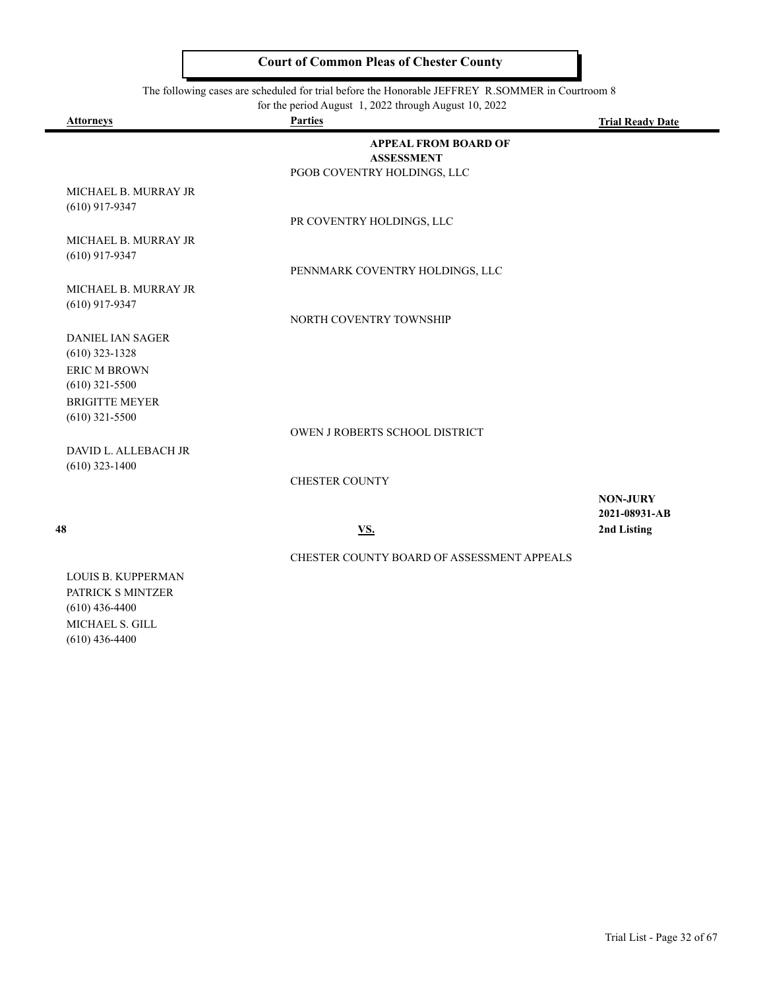The following cases are scheduled for trial before the Honorable JEFFREY R.SOMMER in Courtroom 8

|  | for the period August 1, 2022 through August 10, 2022 |  |
|--|-------------------------------------------------------|--|
|--|-------------------------------------------------------|--|

| <b>Attorneys</b>                            | <b>Parties</b>                                   | <b>Trial Ready Date</b>          |
|---------------------------------------------|--------------------------------------------------|----------------------------------|
|                                             | <b>APPEAL FROM BOARD OF</b><br><b>ASSESSMENT</b> |                                  |
|                                             | PGOB COVENTRY HOLDINGS, LLC                      |                                  |
| MICHAEL B. MURRAY JR<br>$(610)$ 917-9347    |                                                  |                                  |
|                                             | PR COVENTRY HOLDINGS, LLC                        |                                  |
| MICHAEL B. MURRAY JR<br>$(610)$ 917-9347    |                                                  |                                  |
|                                             | PENNMARK COVENTRY HOLDINGS, LLC                  |                                  |
| MICHAEL B. MURRAY JR<br>$(610)$ 917-9347    |                                                  |                                  |
|                                             | NORTH COVENTRY TOWNSHIP                          |                                  |
| <b>DANIEL IAN SAGER</b><br>$(610)$ 323-1328 |                                                  |                                  |
| <b>ERIC M BROWN</b><br>$(610)$ 321-5500     |                                                  |                                  |
| <b>BRIGITTE MEYER</b><br>$(610)$ 321-5500   |                                                  |                                  |
|                                             | OWEN J ROBERTS SCHOOL DISTRICT                   |                                  |
| DAVID L. ALLEBACH JR<br>$(610)$ 323-1400    |                                                  |                                  |
|                                             | <b>CHESTER COUNTY</b>                            |                                  |
|                                             |                                                  | <b>NON-JURY</b><br>2021-08931-AB |
| 48                                          | <u>VS.</u>                                       | 2nd Listing                      |
|                                             | CHESTER COUNTY BOARD OF ASSESSMENT APPEALS       |                                  |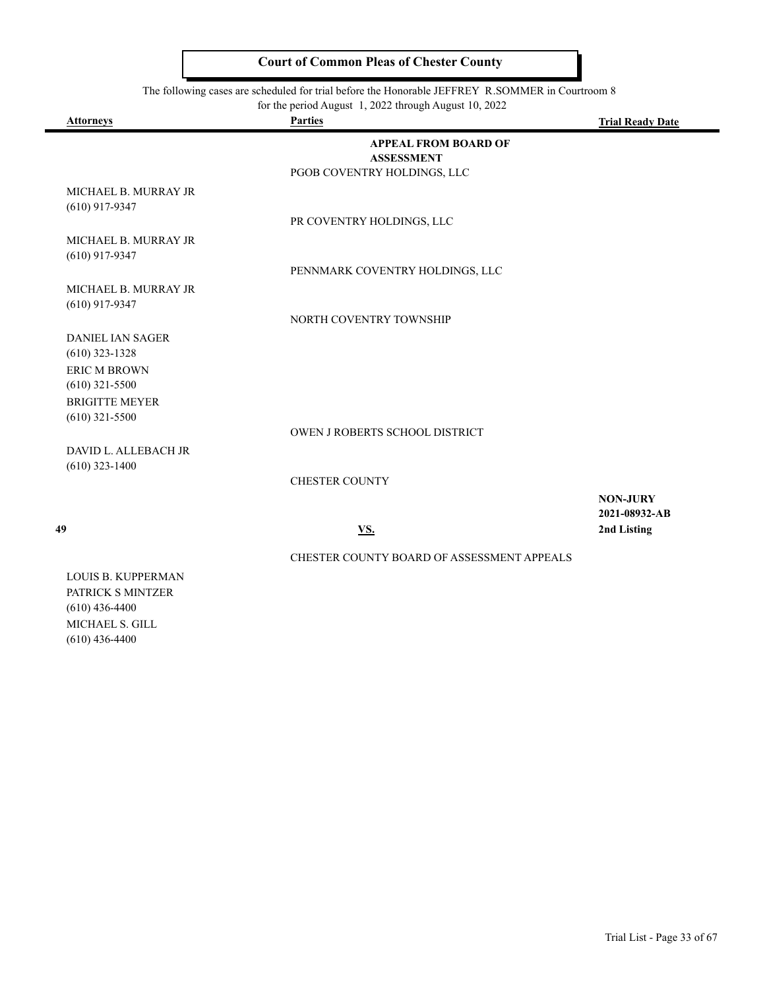The following cases are scheduled for trial before the Honorable JEFFREY R.SOMMER in Courtroom 8

|  | for the period August 1, 2022 through August 10, 2022 |  |
|--|-------------------------------------------------------|--|
|--|-------------------------------------------------------|--|

| <b>Attorneys</b>                            | <b>Parties</b>                                   | <b>Trial Ready Date</b>          |
|---------------------------------------------|--------------------------------------------------|----------------------------------|
|                                             | <b>APPEAL FROM BOARD OF</b><br><b>ASSESSMENT</b> |                                  |
|                                             | PGOB COVENTRY HOLDINGS, LLC                      |                                  |
| MICHAEL B. MURRAY JR<br>$(610)$ 917-9347    |                                                  |                                  |
|                                             | PR COVENTRY HOLDINGS, LLC                        |                                  |
| MICHAEL B. MURRAY JR<br>$(610)$ 917-9347    |                                                  |                                  |
|                                             | PENNMARK COVENTRY HOLDINGS, LLC                  |                                  |
| MICHAEL B. MURRAY JR<br>$(610)$ 917-9347    |                                                  |                                  |
|                                             | NORTH COVENTRY TOWNSHIP                          |                                  |
| <b>DANIEL IAN SAGER</b><br>$(610)$ 323-1328 |                                                  |                                  |
| <b>ERIC M BROWN</b><br>$(610)$ 321-5500     |                                                  |                                  |
| <b>BRIGITTE MEYER</b>                       |                                                  |                                  |
| $(610)$ 321-5500                            | OWEN J ROBERTS SCHOOL DISTRICT                   |                                  |
| DAVID L. ALLEBACH JR                        |                                                  |                                  |
| $(610)$ 323-1400                            |                                                  |                                  |
|                                             | <b>CHESTER COUNTY</b>                            |                                  |
|                                             |                                                  | <b>NON-JURY</b><br>2021-08932-AB |
| 49                                          | <u>VS.</u>                                       | 2nd Listing                      |
|                                             | CHESTER COUNTY BOARD OF ASSESSMENT APPEALS       |                                  |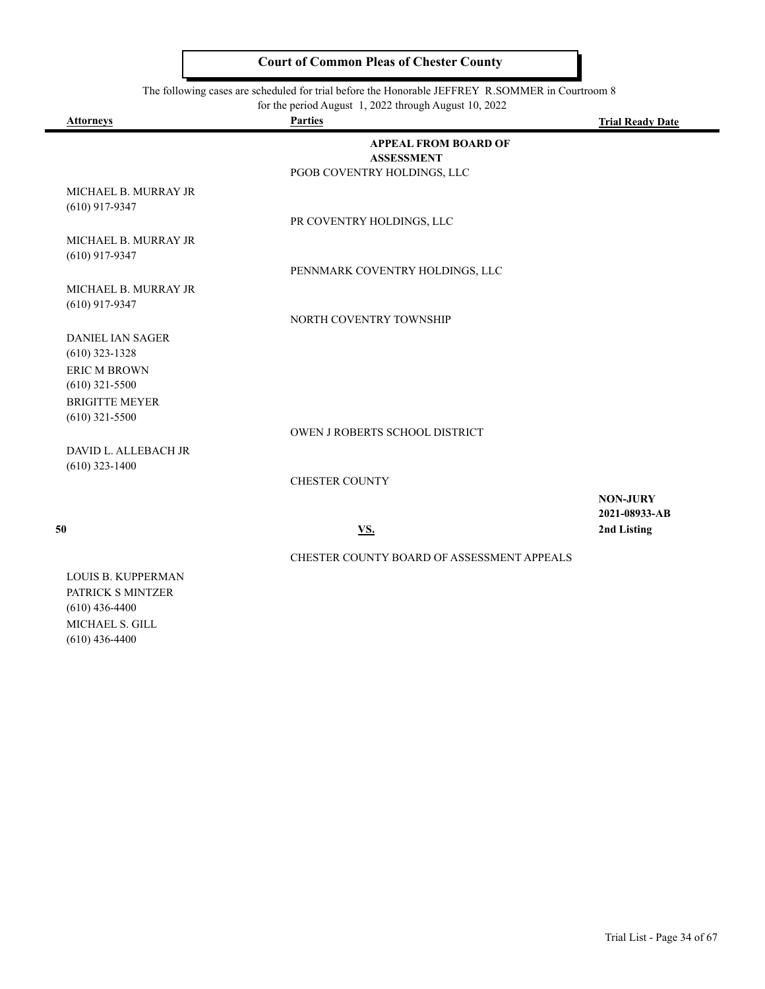The following cases are scheduled for trial before the Honorable JEFFREY R.SOMMER in Courtroom 8

|  | for the period August 1, 2022 through August 10, 2022 |  |
|--|-------------------------------------------------------|--|
|--|-------------------------------------------------------|--|

| <b>Attorneys</b>                            | <b>Parties</b>                                   | <b>Trial Ready Date</b>          |
|---------------------------------------------|--------------------------------------------------|----------------------------------|
|                                             | <b>APPEAL FROM BOARD OF</b><br><b>ASSESSMENT</b> |                                  |
|                                             | PGOB COVENTRY HOLDINGS, LLC                      |                                  |
| MICHAEL B. MURRAY JR<br>$(610)$ 917-9347    |                                                  |                                  |
|                                             | PR COVENTRY HOLDINGS, LLC                        |                                  |
| MICHAEL B. MURRAY JR<br>$(610)$ 917-9347    |                                                  |                                  |
|                                             | PENNMARK COVENTRY HOLDINGS, LLC                  |                                  |
| MICHAEL B. MURRAY JR<br>$(610)$ 917-9347    |                                                  |                                  |
|                                             | NORTH COVENTRY TOWNSHIP                          |                                  |
| <b>DANIEL IAN SAGER</b><br>$(610)$ 323-1328 |                                                  |                                  |
| <b>ERIC M BROWN</b><br>$(610)$ 321-5500     |                                                  |                                  |
| <b>BRIGITTE MEYER</b>                       |                                                  |                                  |
| $(610)$ 321-5500                            |                                                  |                                  |
|                                             | OWEN J ROBERTS SCHOOL DISTRICT                   |                                  |
| DAVID L. ALLEBACH JR<br>$(610)$ 323-1400    |                                                  |                                  |
|                                             | <b>CHESTER COUNTY</b>                            |                                  |
|                                             |                                                  | <b>NON-JURY</b><br>2021-08933-AB |
| 50                                          | <u>VS.</u>                                       | 2nd Listing                      |
|                                             | CHESTER COUNTY BOARD OF ASSESSMENT APPEALS       |                                  |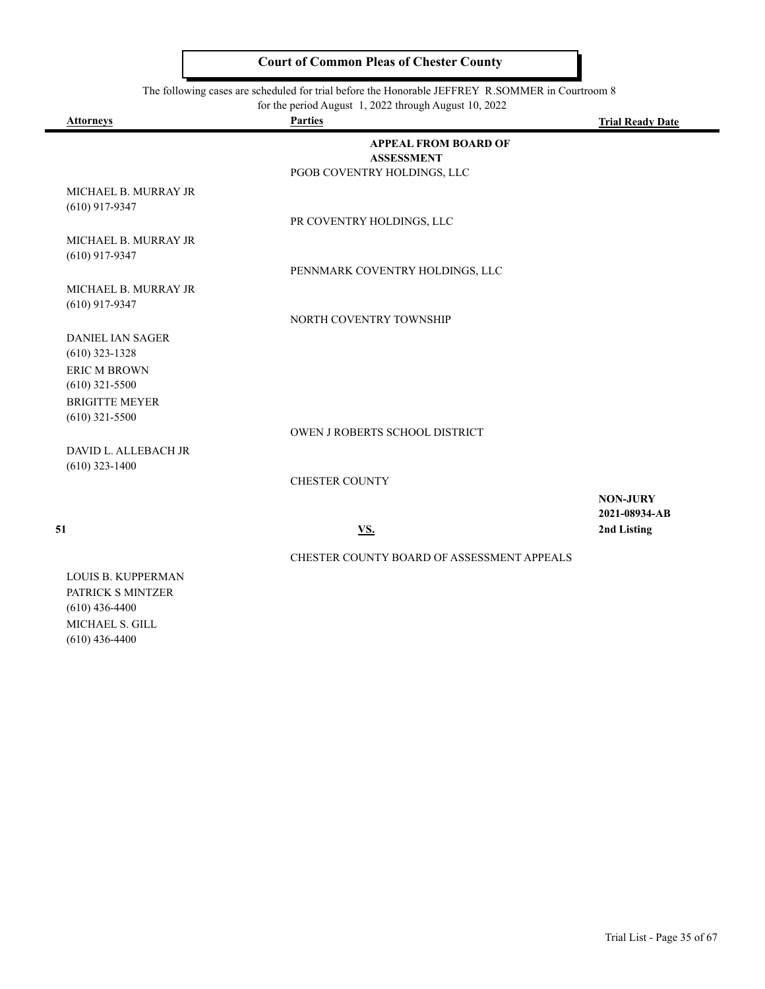The following cases are scheduled for trial before the Honorable JEFFREY R.SOMMER in Courtroom 8

|  | for the period August 1, 2022 through August 10, 2022 |  |
|--|-------------------------------------------------------|--|
|--|-------------------------------------------------------|--|

| <b>Attorneys</b>                            | <b>Parties</b>                                   | <b>Trial Ready Date</b>          |
|---------------------------------------------|--------------------------------------------------|----------------------------------|
|                                             | <b>APPEAL FROM BOARD OF</b><br><b>ASSESSMENT</b> |                                  |
|                                             | PGOB COVENTRY HOLDINGS, LLC                      |                                  |
| MICHAEL B. MURRAY JR<br>$(610)$ 917-9347    |                                                  |                                  |
|                                             | PR COVENTRY HOLDINGS, LLC                        |                                  |
| MICHAEL B. MURRAY JR<br>$(610)$ 917-9347    |                                                  |                                  |
|                                             | PENNMARK COVENTRY HOLDINGS, LLC                  |                                  |
| MICHAEL B. MURRAY JR<br>$(610)$ 917-9347    |                                                  |                                  |
|                                             | NORTH COVENTRY TOWNSHIP                          |                                  |
| <b>DANIEL IAN SAGER</b><br>$(610)$ 323-1328 |                                                  |                                  |
| <b>ERIC M BROWN</b>                         |                                                  |                                  |
| $(610)$ 321-5500                            |                                                  |                                  |
| <b>BRIGITTE MEYER</b><br>$(610)$ 321-5500   |                                                  |                                  |
|                                             | OWEN J ROBERTS SCHOOL DISTRICT                   |                                  |
| DAVID L. ALLEBACH JR<br>$(610)$ 323-1400    |                                                  |                                  |
|                                             | <b>CHESTER COUNTY</b>                            |                                  |
|                                             |                                                  | <b>NON-JURY</b><br>2021-08934-AB |
| 51                                          | VS.                                              | 2nd Listing                      |
|                                             | CHESTER COUNTY BOARD OF ASSESSMENT APPEALS       |                                  |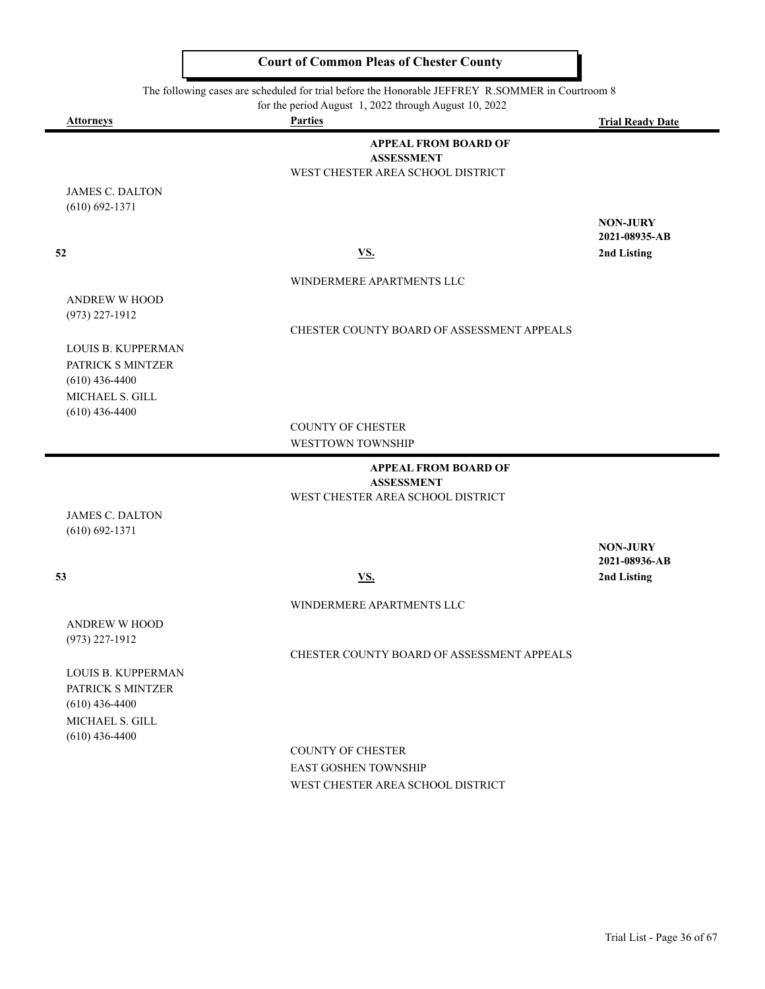The following cases are scheduled for trial before the Honorable JEFFREY R.SOMMER in Courtroom 8

for the period August 1, 2022 through August 10, 2022

| <b>Attorneys</b>                    | <b>Parties</b>                                         | <b>Trial Ready Date</b> |
|-------------------------------------|--------------------------------------------------------|-------------------------|
|                                     | <b>APPEAL FROM BOARD OF</b>                            |                         |
|                                     | <b>ASSESSMENT</b>                                      |                         |
|                                     | WEST CHESTER AREA SCHOOL DISTRICT                      |                         |
| <b>JAMES C. DALTON</b>              |                                                        |                         |
| $(610) 692 - 1371$                  |                                                        | <b>NON-JURY</b>         |
|                                     |                                                        | 2021-08935-AB           |
| 52                                  | <b>VS.</b>                                             | 2nd Listing             |
|                                     |                                                        |                         |
|                                     | WINDERMERE APARTMENTS LLC                              |                         |
| <b>ANDREW W HOOD</b>                |                                                        |                         |
| $(973)$ 227-1912                    | CHESTER COUNTY BOARD OF ASSESSMENT APPEALS             |                         |
| LOUIS B. KUPPERMAN                  |                                                        |                         |
| PATRICK S MINTZER                   |                                                        |                         |
| $(610)$ 436-4400                    |                                                        |                         |
| MICHAEL S. GILL                     |                                                        |                         |
| $(610)$ 436-4400                    |                                                        |                         |
|                                     | <b>COUNTY OF CHESTER</b>                               |                         |
|                                     | WESTTOWN TOWNSHIP                                      |                         |
|                                     | <b>APPEAL FROM BOARD OF</b>                            |                         |
|                                     | <b>ASSESSMENT</b><br>WEST CHESTER AREA SCHOOL DISTRICT |                         |
| <b>JAMES C. DALTON</b>              |                                                        |                         |
| $(610) 692 - 1371$                  |                                                        |                         |
|                                     |                                                        | <b>NON-JURY</b>         |
|                                     |                                                        | 2021-08936-AB           |
| 53                                  | <b>VS.</b>                                             | 2nd Listing             |
|                                     | WINDERMERE APARTMENTS LLC                              |                         |
| <b>ANDREW W HOOD</b>                |                                                        |                         |
| $(973)$ 227-1912                    |                                                        |                         |
|                                     | CHESTER COUNTY BOARD OF ASSESSMENT APPEALS             |                         |
| <b>LOUIS B. KUPPERMAN</b>           |                                                        |                         |
| PATRICK S MINTZER                   |                                                        |                         |
| $(610)$ 436-4400<br>MICHAEL S. GILL |                                                        |                         |
|                                     |                                                        |                         |

COUNTY OF CHESTER EAST GOSHEN TOWNSHIP WEST CHESTER AREA SCHOOL DISTRICT

(610) 436-4400

 $\blacksquare$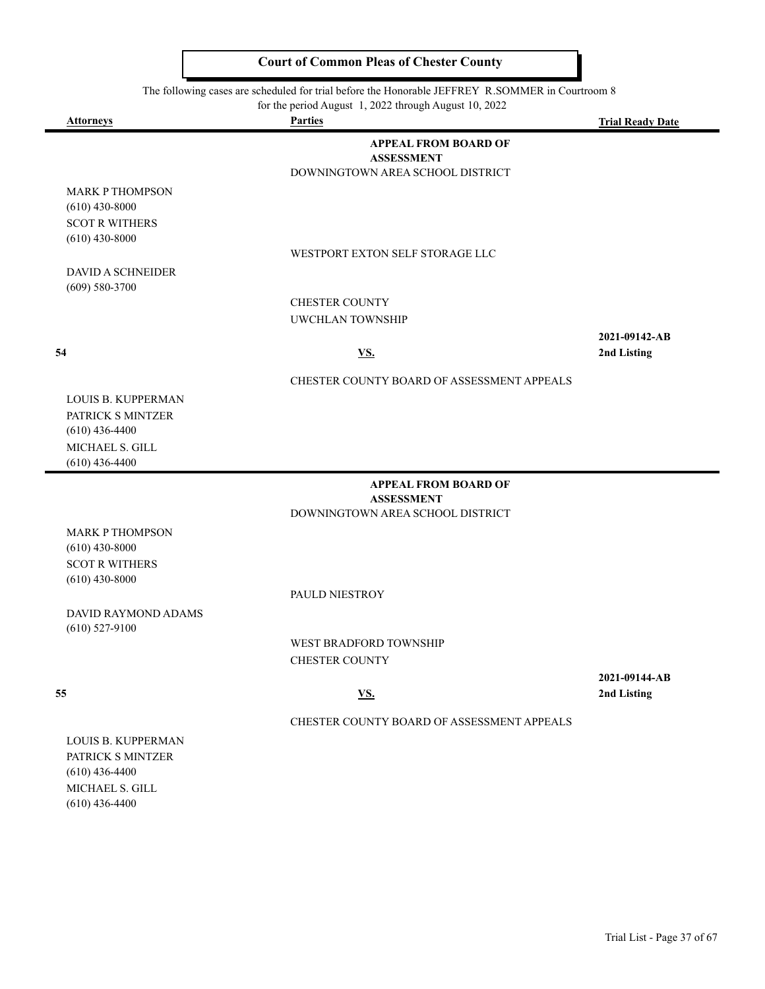The following cases are scheduled for trial before the Honorable JEFFREY R.SOMMER in Courtroom 8

|                                                                     | for the period August 1, 2022 through August 10, 2022                                |                         |
|---------------------------------------------------------------------|--------------------------------------------------------------------------------------|-------------------------|
| <b>Attorneys</b>                                                    | <b>Parties</b>                                                                       | <b>Trial Ready Date</b> |
|                                                                     | <b>APPEAL FROM BOARD OF</b><br><b>ASSESSMENT</b><br>DOWNINGTOWN AREA SCHOOL DISTRICT |                         |
| <b>MARK P THOMPSON</b><br>$(610)$ 430-8000<br><b>SCOT R WITHERS</b> |                                                                                      |                         |
| $(610)$ 430-8000<br><b>DAVID A SCHNEIDER</b>                        | WESTPORT EXTON SELF STORAGE LLC                                                      |                         |
| $(609) 580 - 3700$                                                  |                                                                                      |                         |
|                                                                     | CHESTER COUNTY                                                                       |                         |
|                                                                     | <b>UWCHLAN TOWNSHIP</b>                                                              |                         |
|                                                                     |                                                                                      | 2021-09142-AB           |
| 54                                                                  | VS.                                                                                  | 2nd Listing             |
|                                                                     | CHESTER COUNTY BOARD OF ASSESSMENT APPEALS                                           |                         |
| LOUIS B. KUPPERMAN                                                  |                                                                                      |                         |
| PATRICK S MINTZER<br>$(610)$ 436-4400                               |                                                                                      |                         |
| MICHAEL S. GILL                                                     |                                                                                      |                         |
| $(610)$ 436-4400                                                    |                                                                                      |                         |
|                                                                     | <b>APPEAL FROM BOARD OF</b><br><b>ASSESSMENT</b>                                     |                         |
|                                                                     | DOWNINGTOWN AREA SCHOOL DISTRICT                                                     |                         |
| <b>MARK P THOMPSON</b><br>$(610)$ 430-8000                          |                                                                                      |                         |
| <b>SCOT R WITHERS</b>                                               |                                                                                      |                         |
| $(610)$ 430-8000                                                    |                                                                                      |                         |
|                                                                     | PAULD NIESTROY                                                                       |                         |
| <b>DAVID RAYMOND ADAMS</b><br>$(610)$ 527-9100                      |                                                                                      |                         |
|                                                                     | <b>WEST BRADFORD TOWNSHIP</b>                                                        |                         |
|                                                                     | <b>CHESTER COUNTY</b>                                                                |                         |

**2021-09144-AB 55 VS. 2nd Listing**

CHESTER COUNTY BOARD OF ASSESSMENT APPEALS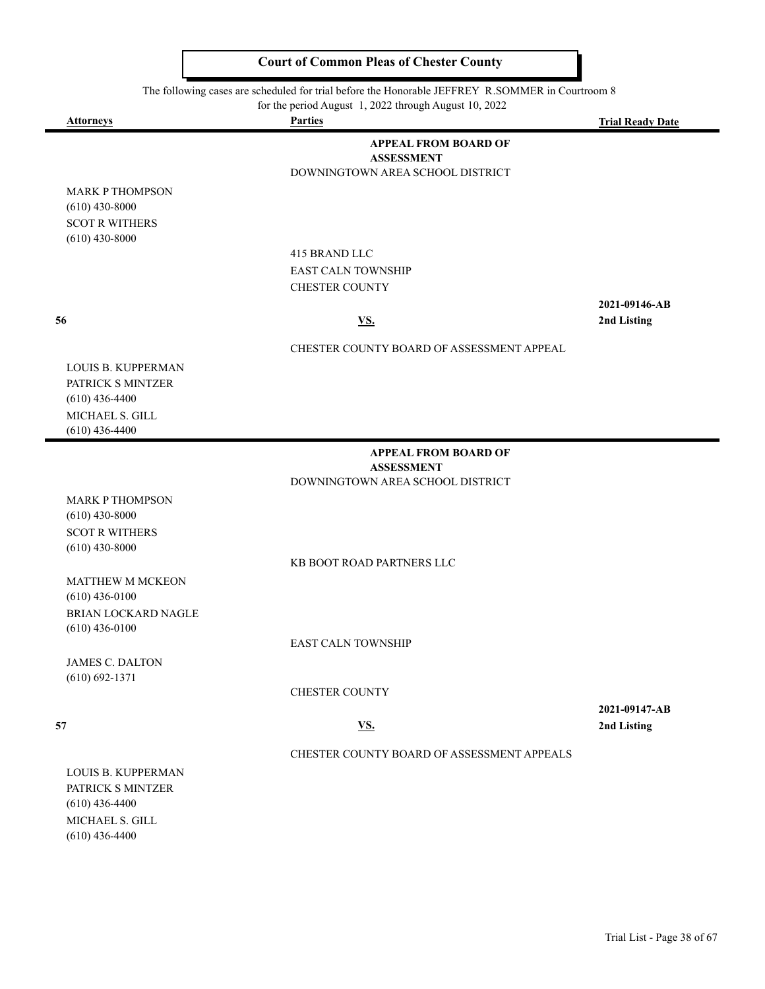The following cases are scheduled for trial before the Honorable JEFFREY R.SOMMER in Courtroom 8

for the period August 1, 2022 through August 10, 2022

| <b>Attorneys</b>                           | for the period August $\frac{1}{2}$ , $\frac{2022}{2}$ through August 10, $\frac{2022}{2}$<br><b>Parties</b> | <b>Trial Ready Date</b>      |
|--------------------------------------------|--------------------------------------------------------------------------------------------------------------|------------------------------|
|                                            | <b>APPEAL FROM BOARD OF</b>                                                                                  |                              |
|                                            | <b>ASSESSMENT</b>                                                                                            |                              |
|                                            | DOWNINGTOWN AREA SCHOOL DISTRICT                                                                             |                              |
| <b>MARK P THOMPSON</b><br>$(610)$ 430-8000 |                                                                                                              |                              |
| <b>SCOT R WITHERS</b>                      |                                                                                                              |                              |
| $(610)$ 430-8000                           |                                                                                                              |                              |
|                                            | 415 BRAND LLC                                                                                                |                              |
|                                            | EAST CALN TOWNSHIP                                                                                           |                              |
|                                            | <b>CHESTER COUNTY</b>                                                                                        |                              |
|                                            |                                                                                                              | 2021-09146-AB                |
| 56                                         | <b>VS.</b>                                                                                                   | 2nd Listing                  |
|                                            | CHESTER COUNTY BOARD OF ASSESSMENT APPEAL                                                                    |                              |
| LOUIS B. KUPPERMAN                         |                                                                                                              |                              |
| PATRICK S MINTZER                          |                                                                                                              |                              |
| $(610)$ 436-4400                           |                                                                                                              |                              |
| MICHAEL S. GILL                            |                                                                                                              |                              |
| $(610)$ 436-4400                           |                                                                                                              |                              |
|                                            | <b>APPEAL FROM BOARD OF</b><br><b>ASSESSMENT</b>                                                             |                              |
|                                            | DOWNINGTOWN AREA SCHOOL DISTRICT                                                                             |                              |
| <b>MARK P THOMPSON</b>                     |                                                                                                              |                              |
| $(610)$ 430-8000                           |                                                                                                              |                              |
| <b>SCOT R WITHERS</b>                      |                                                                                                              |                              |
| $(610)$ 430-8000                           |                                                                                                              |                              |
|                                            | KB BOOT ROAD PARTNERS LLC                                                                                    |                              |
| MATTHEW M MCKEON<br>$(610)$ 436-0100       |                                                                                                              |                              |
| BRIAN LOCKARD NAGLE                        |                                                                                                              |                              |
| $(610)$ 436-0100                           |                                                                                                              |                              |
|                                            | <b>EAST CALN TOWNSHIP</b>                                                                                    |                              |
| <b>JAMES C. DALTON</b>                     |                                                                                                              |                              |
| $(610) 692 - 1371$                         |                                                                                                              |                              |
|                                            | <b>CHESTER COUNTY</b>                                                                                        |                              |
| 57                                         | <b>VS.</b>                                                                                                   | 2021-09147-AB<br>2nd Listing |
|                                            |                                                                                                              |                              |
|                                            | CHESTER COUNTY BOARD OF ASSESSMENT APPEALS                                                                   |                              |
| LOUIS B. KUPPERMAN                         |                                                                                                              |                              |
| PATRICK S MINTZER<br>$(610)$ 436-4400      |                                                                                                              |                              |
| MICHAEL S. GILL                            |                                                                                                              |                              |
| $(610)$ 436-4400                           |                                                                                                              |                              |
|                                            |                                                                                                              |                              |
|                                            |                                                                                                              |                              |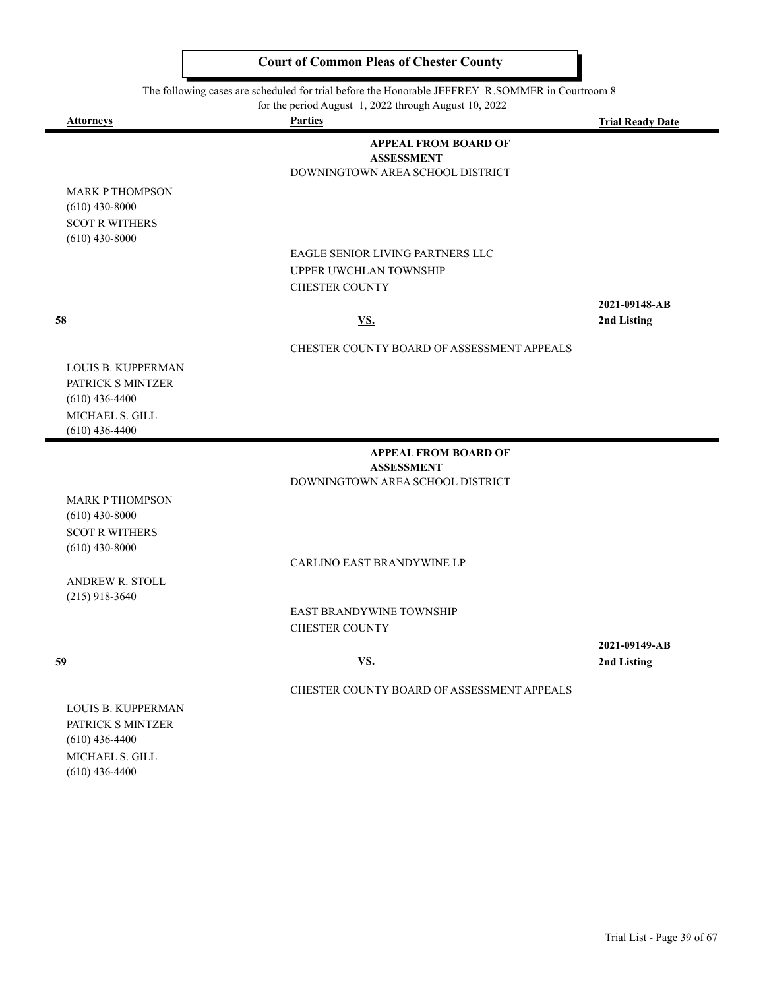The following cases are scheduled for trial before the Honorable JEFFREY R.SOMMER in Courtroom 8

for the period August 1, 2022 through August 10, 2022

| <u>Attorneys</u>                                                                      | <b>Parties</b>                                                                             | <b>Trial Ready Date</b>      |
|---------------------------------------------------------------------------------------|--------------------------------------------------------------------------------------------|------------------------------|
|                                                                                       | <b>APPEAL FROM BOARD OF</b><br><b>ASSESSMENT</b><br>DOWNINGTOWN AREA SCHOOL DISTRICT       |                              |
| <b>MARK P THOMPSON</b><br>$(610)$ 430-8000<br><b>SCOT R WITHERS</b>                   |                                                                                            |                              |
| $(610)$ 430-8000                                                                      | <b>EAGLE SENIOR LIVING PARTNERS LLC</b><br>UPPER UWCHLAN TOWNSHIP<br><b>CHESTER COUNTY</b> |                              |
| 58                                                                                    | <u>VS.</u>                                                                                 | 2021-09148-AB<br>2nd Listing |
|                                                                                       | CHESTER COUNTY BOARD OF ASSESSMENT APPEALS                                                 |                              |
| <b>LOUIS B. KUPPERMAN</b><br>PATRICK S MINTZER<br>$(610)$ 436-4400                    |                                                                                            |                              |
| MICHAEL S. GILL<br>$(610)$ 436-4400                                                   |                                                                                            |                              |
|                                                                                       | <b>APPEAL FROM BOARD OF</b>                                                                |                              |
|                                                                                       | <b>ASSESSMENT</b><br>DOWNINGTOWN AREA SCHOOL DISTRICT                                      |                              |
| <b>MARK P THOMPSON</b>                                                                |                                                                                            |                              |
| $(610)$ 430-8000                                                                      |                                                                                            |                              |
| <b>SCOT R WITHERS</b>                                                                 |                                                                                            |                              |
| $(610)$ 430-8000                                                                      | CARLINO EAST BRANDYWINE LP                                                                 |                              |
| ANDREW R. STOLL                                                                       |                                                                                            |                              |
| $(215)$ 918-3640                                                                      |                                                                                            |                              |
|                                                                                       | EAST BRANDYWINE TOWNSHIP                                                                   |                              |
|                                                                                       | <b>CHESTER COUNTY</b>                                                                      | 2021-09149-AB                |
| 59                                                                                    | <u>VS.</u>                                                                                 | 2nd Listing                  |
|                                                                                       | CHESTER COUNTY BOARD OF ASSESSMENT APPEALS                                                 |                              |
| <b>LOUIS B. KUPPERMAN</b><br>PATRICK S MINTZER<br>$(610)$ 436-4400<br>MICHAEL S. GILL |                                                                                            |                              |
| $(610)$ 436-4400                                                                      |                                                                                            |                              |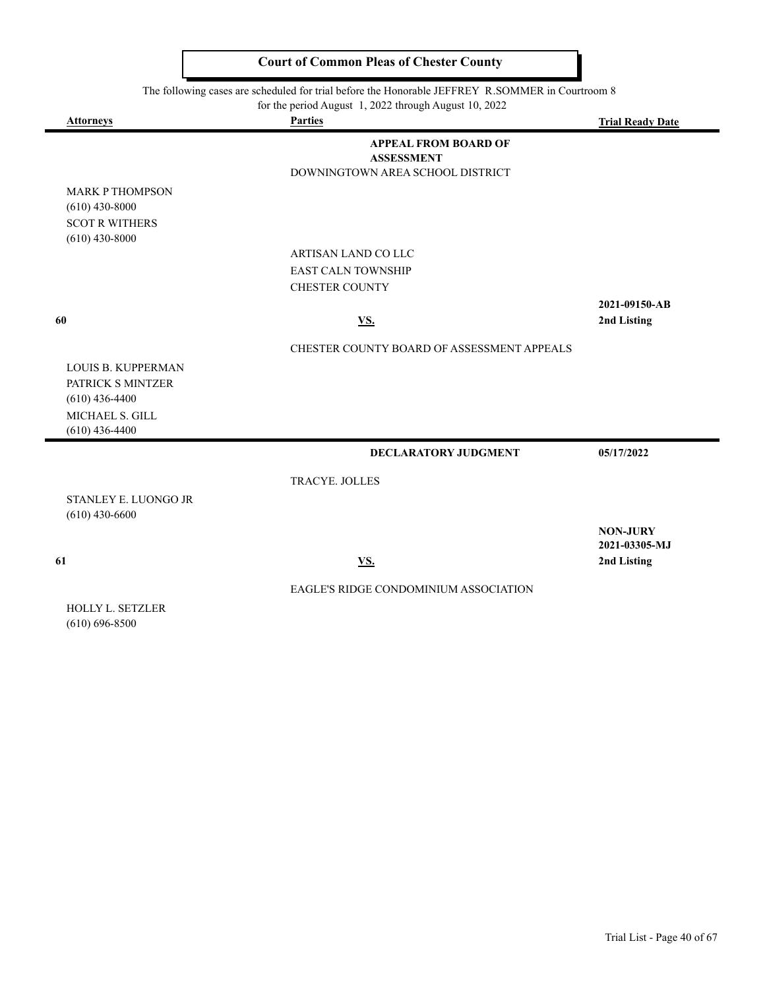The following cases are scheduled for trial before the Honorable JEFFREY R.SOMMER in Courtroom 8

| <b>Attorneys</b>                                                                                          | $101$ and $100$ $110$ , $100$ $11$ , $2022$ and $00$ , $100$ , $2022$<br><b>Parties</b> | <b>Trial Ready Date</b> |
|-----------------------------------------------------------------------------------------------------------|-----------------------------------------------------------------------------------------|-------------------------|
|                                                                                                           | <b>APPEAL FROM BOARD OF</b><br><b>ASSESSMENT</b><br>DOWNINGTOWN AREA SCHOOL DISTRICT    |                         |
| <b>MARK P THOMPSON</b>                                                                                    |                                                                                         |                         |
| $(610)$ 430-8000                                                                                          |                                                                                         |                         |
| <b>SCOT R WITHERS</b>                                                                                     |                                                                                         |                         |
| $(610)$ 430-8000                                                                                          |                                                                                         |                         |
|                                                                                                           | ARTISAN LAND CO LLC                                                                     |                         |
|                                                                                                           | <b>EAST CALN TOWNSHIP</b>                                                               |                         |
|                                                                                                           | <b>CHESTER COUNTY</b>                                                                   |                         |
|                                                                                                           |                                                                                         | 2021-09150-AB           |
| 60                                                                                                        | <b>VS.</b>                                                                              | 2nd Listing             |
|                                                                                                           | CHESTER COUNTY BOARD OF ASSESSMENT APPEALS                                              |                         |
| <b>LOUIS B. KUPPERMAN</b><br>PATRICK S MINTZER<br>$(610)$ 436-4400<br>MICHAEL S. GILL<br>$(610)$ 436-4400 |                                                                                         |                         |
|                                                                                                           | DECLARATORY JUDGMENT                                                                    | 05/17/2022              |
|                                                                                                           | TRACYE. JOLLES                                                                          |                         |
| STANLEY E. LUONGO JR                                                                                      |                                                                                         |                         |
| $(610)$ 430-6600                                                                                          |                                                                                         |                         |
|                                                                                                           |                                                                                         | <b>NON-JURY</b>         |
|                                                                                                           |                                                                                         | 2021-03305-MJ           |
| 61                                                                                                        | <b>VS.</b>                                                                              | 2nd Listing             |
|                                                                                                           | EAGLE'S RIDGE CONDOMINIUM ASSOCIATION                                                   |                         |
| HOLLY L. SETZLER<br>$(610) 696 - 8500$                                                                    |                                                                                         |                         |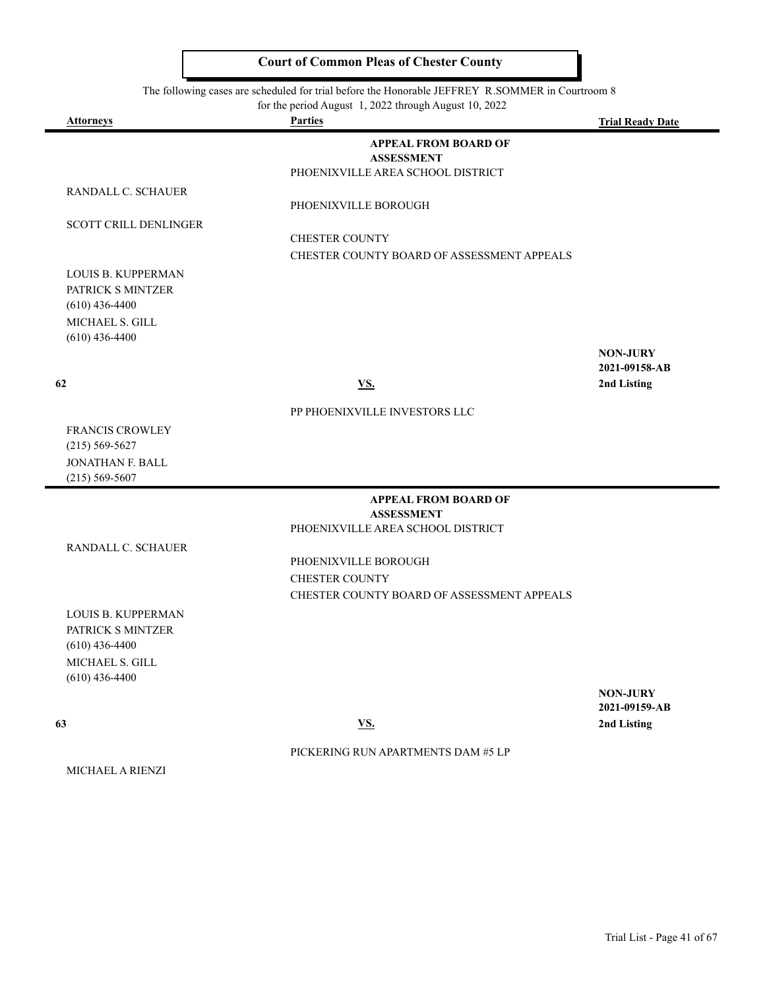The following cases are scheduled for trial before the Honorable JEFFREY R.SOMMER in Courtroom 8

| for the period August 1, 2022 through August 10, 2022 |  |  |  |
|-------------------------------------------------------|--|--|--|
|-------------------------------------------------------|--|--|--|

| <u>Attorneys</u>                      | <b>Parties</b>                                | <b>Trial Ready Date</b> |
|---------------------------------------|-----------------------------------------------|-------------------------|
|                                       | <b>APPEAL FROM BOARD OF</b>                   |                         |
|                                       | <b>ASSESSMENT</b>                             |                         |
|                                       | PHOENIXVILLE AREA SCHOOL DISTRICT             |                         |
| RANDALL C. SCHAUER                    | PHOENIXVILLE BOROUGH                          |                         |
|                                       |                                               |                         |
| SCOTT CRILL DENLINGER                 | <b>CHESTER COUNTY</b>                         |                         |
|                                       | CHESTER COUNTY BOARD OF ASSESSMENT APPEALS    |                         |
| LOUIS B. KUPPERMAN                    |                                               |                         |
| PATRICK S MINTZER                     |                                               |                         |
| $(610)$ 436-4400                      |                                               |                         |
| MICHAEL S. GILL                       |                                               |                         |
| $(610)$ 436-4400                      |                                               |                         |
|                                       |                                               | <b>NON-JURY</b>         |
|                                       |                                               | 2021-09158-AB           |
| 62                                    | <b>VS.</b>                                    | 2nd Listing             |
|                                       | PP PHOENIXVILLE INVESTORS LLC                 |                         |
| FRANCIS CROWLEY                       |                                               |                         |
| $(215) 569 - 5627$                    |                                               |                         |
| JONATHAN F. BALL                      |                                               |                         |
| $(215) 569 - 5607$                    |                                               |                         |
|                                       | <b>APPEAL FROM BOARD OF</b>                   |                         |
|                                       | <b>ASSESSMENT</b>                             |                         |
|                                       | PHOENIXVILLE AREA SCHOOL DISTRICT             |                         |
| RANDALL C. SCHAUER                    |                                               |                         |
|                                       | PHOENIXVILLE BOROUGH<br><b>CHESTER COUNTY</b> |                         |
|                                       |                                               |                         |
|                                       | CHESTER COUNTY BOARD OF ASSESSMENT APPEALS    |                         |
| LOUIS B. KUPPERMAN                    |                                               |                         |
| PATRICK S MINTZER<br>$(610)$ 436-4400 |                                               |                         |
| MICHAEL S. GILL                       |                                               |                         |
| $(610)$ 436-4400                      |                                               |                         |
|                                       |                                               | <b>NON-JURY</b>         |
|                                       |                                               | 2021-09159-AB           |
| 63                                    | $\underline{\mathbf{VS}}$ .                   | 2nd Listing             |
|                                       | PICKERING RUN APARTMENTS DAM #5 LP            |                         |
| MICHAEL A RIENZI                      |                                               |                         |
|                                       |                                               |                         |
|                                       |                                               |                         |
|                                       |                                               |                         |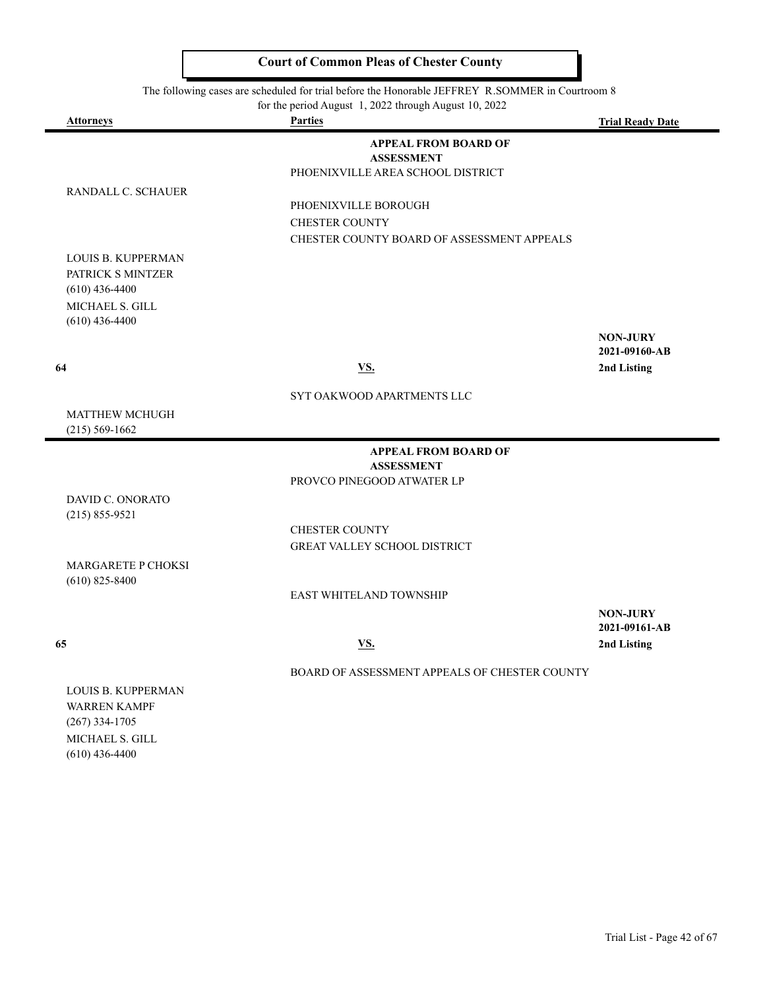The following cases are scheduled for trial before the Honorable JEFFREY R.SOMMER in Courtroom 8

for the period August 1, 2022 through August 10, 2022

| <b>Attorneys</b>                    | <b>Parties</b>                                         | <b>Trial Ready Date</b> |
|-------------------------------------|--------------------------------------------------------|-------------------------|
|                                     | <b>APPEAL FROM BOARD OF</b>                            |                         |
|                                     | <b>ASSESSMENT</b><br>PHOENIXVILLE AREA SCHOOL DISTRICT |                         |
| RANDALL C. SCHAUER                  |                                                        |                         |
|                                     | PHOENIXVILLE BOROUGH                                   |                         |
|                                     | <b>CHESTER COUNTY</b>                                  |                         |
|                                     | CHESTER COUNTY BOARD OF ASSESSMENT APPEALS             |                         |
| LOUIS B. KUPPERMAN                  |                                                        |                         |
| PATRICK S MINTZER                   |                                                        |                         |
| $(610)$ 436-4400                    |                                                        |                         |
| MICHAEL S. GILL                     |                                                        |                         |
| $(610)$ 436-4400                    |                                                        | <b>NON-JURY</b>         |
|                                     |                                                        | 2021-09160-AB           |
| 64                                  | VS.                                                    | 2nd Listing             |
|                                     | SYT OAKWOOD APARTMENTS LLC                             |                         |
| <b>MATTHEW MCHUGH</b>               |                                                        |                         |
| $(215) 569 - 1662$                  |                                                        |                         |
|                                     | <b>APPEAL FROM BOARD OF</b>                            |                         |
|                                     | <b>ASSESSMENT</b>                                      |                         |
|                                     | PROVCO PINEGOOD ATWATER LP                             |                         |
| DAVID C. ONORATO                    |                                                        |                         |
| $(215) 855 - 9521$                  | <b>CHESTER COUNTY</b>                                  |                         |
|                                     | GREAT VALLEY SCHOOL DISTRICT                           |                         |
| MARGARETE P CHOKSI                  |                                                        |                         |
| $(610)$ 825-8400                    |                                                        |                         |
|                                     | <b>EAST WHITELAND TOWNSHIP</b>                         |                         |
|                                     |                                                        | <b>NON-JURY</b>         |
|                                     |                                                        | 2021-09161-AB           |
| 65                                  | <u>VS.</u>                                             | 2nd Listing             |
|                                     | BOARD OF ASSESSMENT APPEALS OF CHESTER COUNTY          |                         |
| LOUIS B. KUPPERMAN                  |                                                        |                         |
| <b>WARREN KAMPF</b>                 |                                                        |                         |
| $(267)$ 334-1705                    |                                                        |                         |
| MICHAEL S. GILL<br>$(610)$ 436-4400 |                                                        |                         |
|                                     |                                                        |                         |
|                                     |                                                        |                         |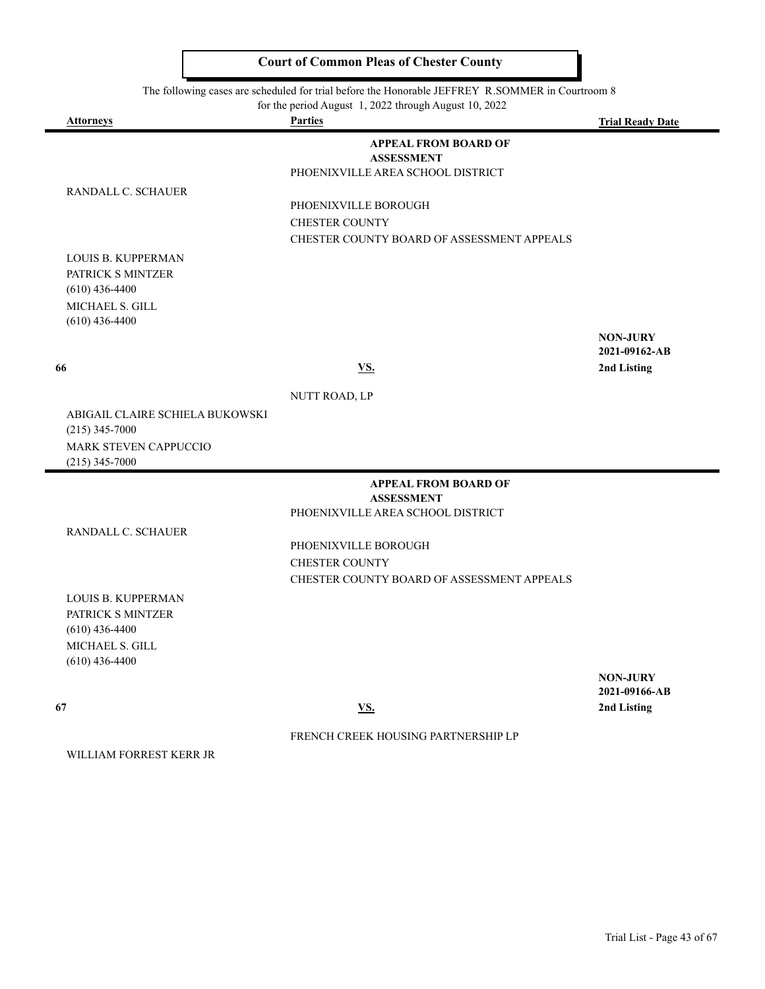The following cases are scheduled for trial before the Honorable JEFFREY R.SOMMER in Courtroom 8

for the period August 1, 2022 through August 10, 2022

| <u>Attorneys</u>                           | <b>Parties</b>                                         | <b>Trial Ready Date</b> |
|--------------------------------------------|--------------------------------------------------------|-------------------------|
|                                            | <b>APPEAL FROM BOARD OF</b>                            |                         |
|                                            | <b>ASSESSMENT</b><br>PHOENIXVILLE AREA SCHOOL DISTRICT |                         |
| RANDALL C. SCHAUER                         |                                                        |                         |
|                                            | PHOENIXVILLE BOROUGH                                   |                         |
|                                            | <b>CHESTER COUNTY</b>                                  |                         |
|                                            | CHESTER COUNTY BOARD OF ASSESSMENT APPEALS             |                         |
| <b>LOUIS B. KUPPERMAN</b>                  |                                                        |                         |
| PATRICK S MINTZER                          |                                                        |                         |
| $(610)$ 436-4400                           |                                                        |                         |
| <b>MICHAEL S. GILL</b><br>$(610)$ 436-4400 |                                                        |                         |
|                                            |                                                        | <b>NON-JURY</b>         |
|                                            |                                                        | 2021-09162-AB           |
| 66                                         | <b>VS.</b>                                             | 2nd Listing             |
|                                            | NUTT ROAD, LP                                          |                         |
| ABIGAIL CLAIRE SCHIELA BUKOWSKI            |                                                        |                         |
| $(215)$ 345-7000                           |                                                        |                         |
| MARK STEVEN CAPPUCCIO                      |                                                        |                         |
| $(215)$ 345-7000                           |                                                        |                         |
|                                            | <b>APPEAL FROM BOARD OF</b>                            |                         |
|                                            | <b>ASSESSMENT</b><br>PHOENIXVILLE AREA SCHOOL DISTRICT |                         |
| RANDALL C. SCHAUER                         |                                                        |                         |
|                                            | PHOENIXVILLE BOROUGH                                   |                         |
|                                            | <b>CHESTER COUNTY</b>                                  |                         |
|                                            | CHESTER COUNTY BOARD OF ASSESSMENT APPEALS             |                         |
| <b>LOUIS B. KUPPERMAN</b>                  |                                                        |                         |
| PATRICK S MINTZER                          |                                                        |                         |
| $(610)$ 436-4400                           |                                                        |                         |
| MICHAEL S. GILL<br>$(610)$ 436-4400        |                                                        |                         |
|                                            |                                                        | <b>NON-JURY</b>         |
|                                            |                                                        | 2021-09166-AB           |
| 67                                         | <b>VS.</b>                                             | 2nd Listing             |
|                                            | FRENCH CREEK HOUSING PARTNERSHIP LP                    |                         |
| WILLIAM FORREST KERR JR                    |                                                        |                         |
|                                            |                                                        |                         |
|                                            |                                                        |                         |
|                                            |                                                        |                         |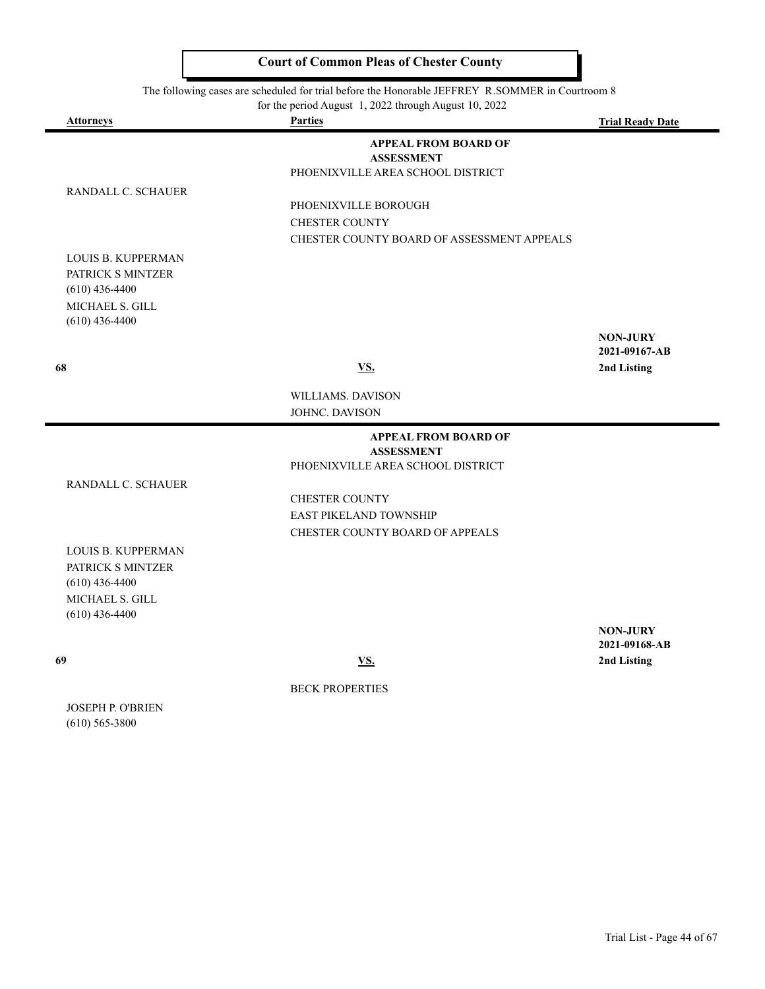The following cases are scheduled for trial before the Honorable JEFFREY R.SOMMER in Courtroom 8

|  | for the period August 1, 2022 through August 10, 2022 |  |
|--|-------------------------------------------------------|--|
|--|-------------------------------------------------------|--|

| <b>Attorneys</b>   | <b>Parties</b>                             | <b>Trial Ready Date</b>          |
|--------------------|--------------------------------------------|----------------------------------|
|                    | <b>APPEAL FROM BOARD OF</b>                |                                  |
|                    | <b>ASSESSMENT</b>                          |                                  |
|                    | PHOENIXVILLE AREA SCHOOL DISTRICT          |                                  |
| RANDALL C. SCHAUER | PHOENIXVILLE BOROUGH                       |                                  |
|                    | <b>CHESTER COUNTY</b>                      |                                  |
|                    | CHESTER COUNTY BOARD OF ASSESSMENT APPEALS |                                  |
| LOUIS B. KUPPERMAN |                                            |                                  |
| PATRICK S MINTZER  |                                            |                                  |
| $(610)$ 436-4400   |                                            |                                  |
| MICHAEL S. GILL    |                                            |                                  |
| $(610)$ 436-4400   |                                            |                                  |
|                    |                                            | <b>NON-JURY</b>                  |
|                    |                                            | 2021-09167-AB                    |
| 68                 | <u>VS.</u>                                 | 2nd Listing                      |
|                    | WILLIAMS. DAVISON                          |                                  |
|                    | JOHNC. DAVISON                             |                                  |
|                    | <b>APPEAL FROM BOARD OF</b>                |                                  |
|                    | <b>ASSESSMENT</b>                          |                                  |
|                    | PHOENIXVILLE AREA SCHOOL DISTRICT          |                                  |
| RANDALL C. SCHAUER |                                            |                                  |
|                    | <b>CHESTER COUNTY</b>                      |                                  |
|                    | EAST PIKELAND TOWNSHIP                     |                                  |
|                    | CHESTER COUNTY BOARD OF APPEALS            |                                  |
| LOUIS B. KUPPERMAN |                                            |                                  |
| PATRICK S MINTZER  |                                            |                                  |
| $(610)$ 436-4400   |                                            |                                  |
| MICHAEL S. GILL    |                                            |                                  |
| $(610)$ 436-4400   |                                            |                                  |
|                    |                                            | <b>NON-JURY</b><br>2021-09168-AB |
| 69                 | <u>VS.</u>                                 | 2nd Listing                      |
|                    |                                            |                                  |
|                    | <b>BECK PROPERTIES</b>                     |                                  |
| JOSEPH P. O'BRIEN  |                                            |                                  |
| $(610)$ 565-3800   |                                            |                                  |
|                    |                                            |                                  |
|                    |                                            |                                  |
|                    |                                            |                                  |
|                    |                                            |                                  |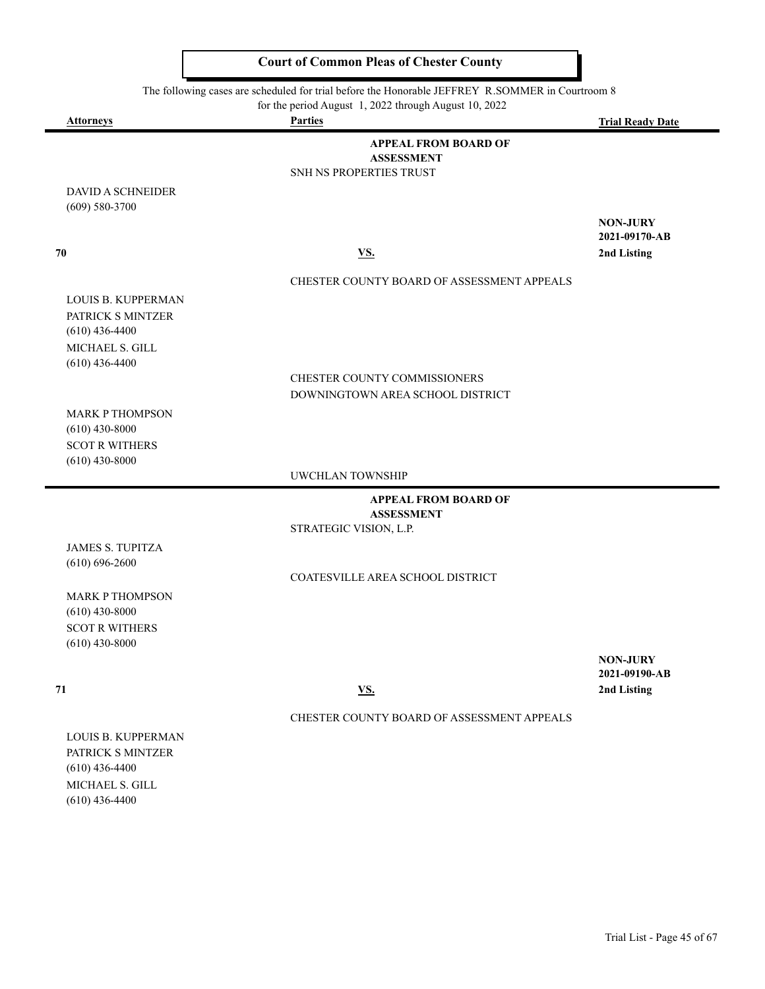The following cases are scheduled for trial before the Honorable JEFFREY R.SOMMER in Courtroom 8

for the period August 1, 2022 through August 10, 2022

| <b>Attorneys</b>                               | <b>Parties</b>                                   | <b>Trial Ready Date</b> |
|------------------------------------------------|--------------------------------------------------|-------------------------|
|                                                | <b>APPEAL FROM BOARD OF</b>                      |                         |
|                                                | <b>ASSESSMENT</b>                                |                         |
|                                                | SNH NS PROPERTIES TRUST                          |                         |
| <b>DAVID A SCHNEIDER</b><br>$(609) 580 - 3700$ |                                                  |                         |
|                                                |                                                  | <b>NON-JURY</b>         |
|                                                |                                                  | 2021-09170-AB           |
| 70                                             | VS.                                              | 2nd Listing             |
|                                                | CHESTER COUNTY BOARD OF ASSESSMENT APPEALS       |                         |
| LOUIS B. KUPPERMAN                             |                                                  |                         |
| PATRICK S MINTZER                              |                                                  |                         |
| $(610)$ 436-4400                               |                                                  |                         |
| MICHAEL S. GILL                                |                                                  |                         |
| $(610)$ 436-4400                               | CHESTER COUNTY COMMISSIONERS                     |                         |
|                                                | DOWNINGTOWN AREA SCHOOL DISTRICT                 |                         |
| <b>MARK P THOMPSON</b>                         |                                                  |                         |
| $(610)$ 430-8000                               |                                                  |                         |
| <b>SCOT R WITHERS</b>                          |                                                  |                         |
| $(610)$ 430-8000                               |                                                  |                         |
|                                                | UWCHLAN TOWNSHIP                                 |                         |
|                                                | <b>APPEAL FROM BOARD OF</b><br><b>ASSESSMENT</b> |                         |
|                                                | STRATEGIC VISION, L.P.                           |                         |
| <b>JAMES S. TUPITZA</b>                        |                                                  |                         |
| $(610) 696 - 2600$                             |                                                  |                         |
|                                                | COATESVILLE AREA SCHOOL DISTRICT                 |                         |
| <b>MARK P THOMPSON</b>                         |                                                  |                         |
| $(610)$ 430-8000<br><b>SCOT R WITHERS</b>      |                                                  |                         |
| $(610)$ 430-8000                               |                                                  |                         |
|                                                |                                                  | <b>NON-JURY</b>         |
|                                                |                                                  | 2021-09190-AB           |
| 71                                             | <u>VS.</u>                                       | 2nd Listing             |
|                                                | CHESTER COUNTY BOARD OF ASSESSMENT APPEALS       |                         |
| LOUIS B. KUPPERMAN                             |                                                  |                         |
| PATRICK S MINTZER                              |                                                  |                         |
| $(610)$ 436-4400                               |                                                  |                         |
| MICHAEL S. GILL                                |                                                  |                         |

(610) 436-4400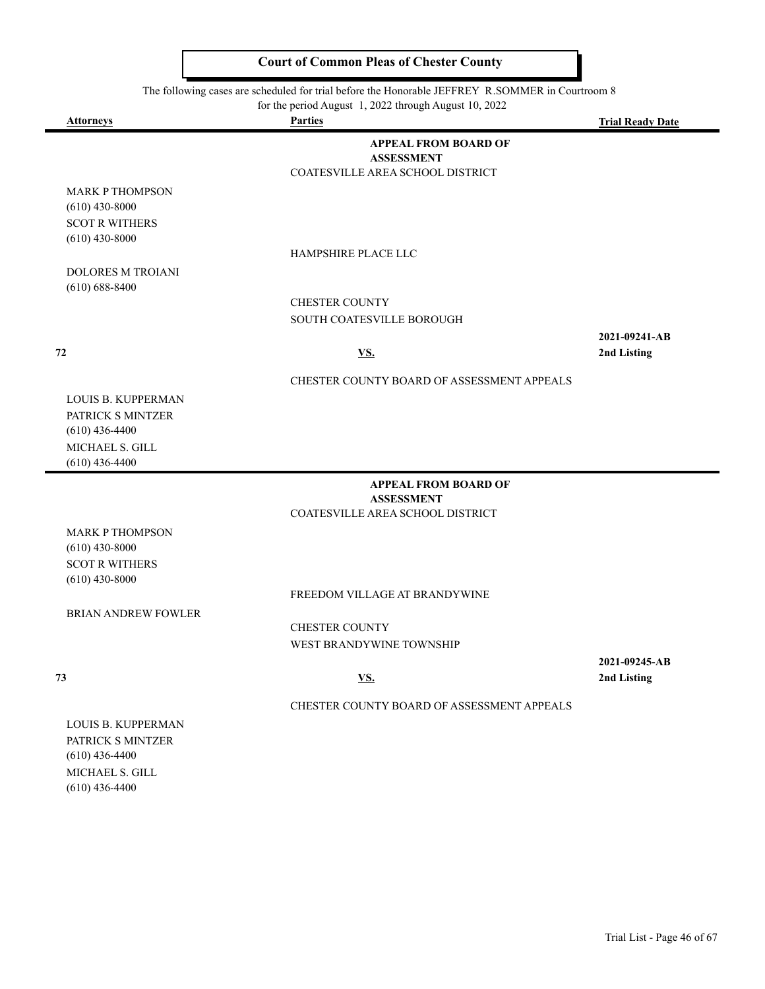#### The following cases are scheduled for trial before the Honorable JEFFREY R.SOMMER in Courtroom 8

|                                                                                                           | for the period August 1, 2022 through August 10, 2022                                |                              |
|-----------------------------------------------------------------------------------------------------------|--------------------------------------------------------------------------------------|------------------------------|
| <b>Attorneys</b>                                                                                          | <b>Parties</b>                                                                       | <b>Trial Ready Date</b>      |
|                                                                                                           | <b>APPEAL FROM BOARD OF</b><br><b>ASSESSMENT</b><br>COATESVILLE AREA SCHOOL DISTRICT |                              |
| <b>MARK P THOMPSON</b><br>$(610)$ 430-8000<br><b>SCOT R WITHERS</b><br>$(610)$ 430-8000                   |                                                                                      |                              |
|                                                                                                           | HAMPSHIRE PLACE LLC                                                                  |                              |
| <b>DOLORES M TROIANI</b><br>$(610) 688 - 8400$                                                            |                                                                                      |                              |
|                                                                                                           | <b>CHESTER COUNTY</b>                                                                |                              |
|                                                                                                           | SOUTH COATESVILLE BOROUGH                                                            |                              |
| 72                                                                                                        | <u>VS.</u>                                                                           | 2021-09241-AB<br>2nd Listing |
|                                                                                                           | CHESTER COUNTY BOARD OF ASSESSMENT APPEALS                                           |                              |
| <b>LOUIS B. KUPPERMAN</b><br>PATRICK S MINTZER<br>$(610)$ 436-4400<br>MICHAEL S. GILL<br>$(610)$ 436-4400 |                                                                                      |                              |
|                                                                                                           | <b>APPEAL FROM BOARD OF</b>                                                          |                              |
|                                                                                                           | <b>ASSESSMENT</b><br>COATESVILLE AREA SCHOOL DISTRICT                                |                              |
| <b>MARK P THOMPSON</b><br>$(610)$ 430-8000<br><b>SCOT R WITHERS</b><br>$(610)$ 430-8000                   |                                                                                      |                              |
|                                                                                                           | FREEDOM VILLAGE AT BRANDYWINE                                                        |                              |
| <b>BRIAN ANDREW FOWLER</b>                                                                                |                                                                                      |                              |

CHESTER COUNTY WEST BRANDYWINE TOWNSHIP

CHESTER COUNTY BOARD OF ASSESSMENT APPEALS

**2021-09245-AB 73 VS. 2nd Listing**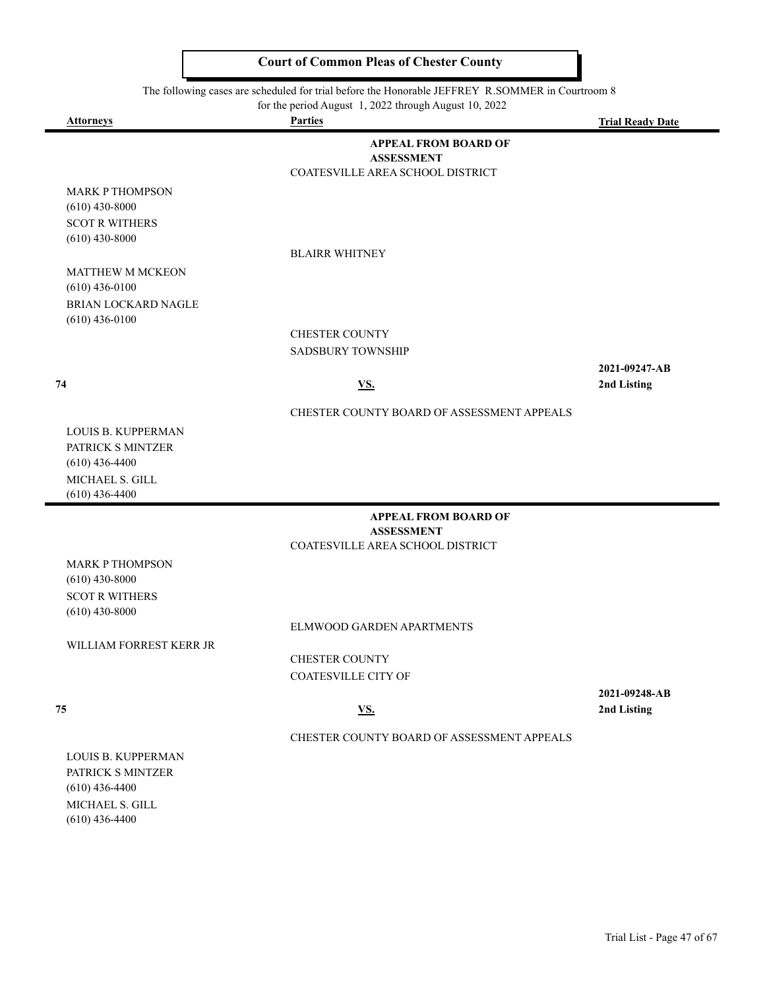#### The following cases are scheduled for trial before the Honorable JEFFREY R.SOMMER in Courtroom 8

for the period August 1, 2022 through August 10, 2022

 $\blacksquare$ 

| <b>Attorneys</b>                    | <b>Parties</b>                                        | <b>Trial Ready Date</b> |
|-------------------------------------|-------------------------------------------------------|-------------------------|
|                                     | <b>APPEAL FROM BOARD OF</b>                           |                         |
|                                     | <b>ASSESSMENT</b><br>COATESVILLE AREA SCHOOL DISTRICT |                         |
| MARK P THOMPSON                     |                                                       |                         |
| $(610)$ 430-8000                    |                                                       |                         |
| <b>SCOT R WITHERS</b>               |                                                       |                         |
| $(610)$ 430-8000                    | <b>BLAIRR WHITNEY</b>                                 |                         |
| <b>MATTHEW M MCKEON</b>             |                                                       |                         |
| $(610)$ 436-0100                    |                                                       |                         |
| BRIAN LOCKARD NAGLE                 |                                                       |                         |
| $(610)$ 436-0100                    | <b>CHESTER COUNTY</b>                                 |                         |
|                                     | <b>SADSBURY TOWNSHIP</b>                              |                         |
|                                     |                                                       | 2021-09247-AB           |
| 74                                  | <u>VS.</u>                                            | 2nd Listing             |
|                                     | CHESTER COUNTY BOARD OF ASSESSMENT APPEALS            |                         |
| LOUIS B. KUPPERMAN                  |                                                       |                         |
| PATRICK S MINTZER                   |                                                       |                         |
| $(610)$ 436-4400<br>MICHAEL S. GILL |                                                       |                         |
| $(610)$ 436-4400                    |                                                       |                         |
|                                     | <b>APPEAL FROM BOARD OF</b>                           |                         |
|                                     | <b>ASSESSMENT</b><br>COATESVILLE AREA SCHOOL DISTRICT |                         |
| <b>MARK P THOMPSON</b>              |                                                       |                         |
| $(610)$ 430-8000                    |                                                       |                         |
| <b>SCOT R WITHERS</b>               |                                                       |                         |
| $(610)$ 430-8000                    |                                                       |                         |
| WILLIAM FORREST KERR JR             | ELMWOOD GARDEN APARTMENTS                             |                         |
|                                     | <b>CHESTER COUNTY</b>                                 |                         |
|                                     | <b>COATESVILLE CITY OF</b>                            |                         |
|                                     |                                                       | 2021-09248-AB           |
| 75                                  | <u>VS.</u>                                            | 2nd Listing             |
|                                     | CHESTER COUNTY BOARD OF ASSESSMENT APPEALS            |                         |
| LOUIS B. KUPPERMAN                  |                                                       |                         |
| PATRICK S MINTZER                   |                                                       |                         |
| $(610)$ 436-4400<br>MICHAEL S. GILL |                                                       |                         |
| $(610)$ 436-4400                    |                                                       |                         |
|                                     |                                                       |                         |
|                                     |                                                       |                         |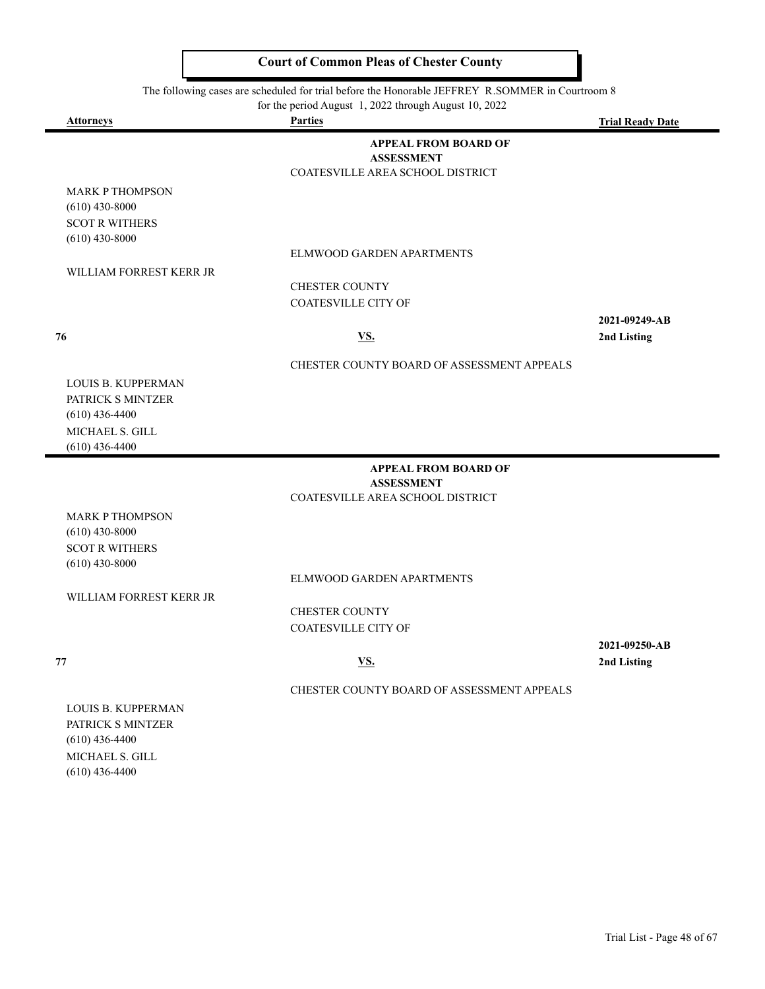The following cases are scheduled for trial before the Honorable JEFFREY R.SOMMER in Courtroom 8

|                           | for the period August 1, 2022 through August 10, 2022 |                         |
|---------------------------|-------------------------------------------------------|-------------------------|
| <b>Attorneys</b>          | <b>Parties</b>                                        | <b>Trial Ready Date</b> |
|                           | <b>APPEAL FROM BOARD OF</b>                           |                         |
|                           | <b>ASSESSMENT</b>                                     |                         |
|                           | COATESVILLE AREA SCHOOL DISTRICT                      |                         |
| <b>MARK P THOMPSON</b>    |                                                       |                         |
| $(610)$ 430-8000          |                                                       |                         |
| <b>SCOT R WITHERS</b>     |                                                       |                         |
| $(610)$ 430-8000          |                                                       |                         |
|                           | ELMWOOD GARDEN APARTMENTS                             |                         |
| WILLIAM FORREST KERR JR   |                                                       |                         |
|                           | <b>CHESTER COUNTY</b>                                 |                         |
|                           | <b>COATESVILLE CITY OF</b>                            |                         |
|                           |                                                       | 2021-09249-AB           |
| 76                        | VS.                                                   | 2nd Listing             |
|                           |                                                       |                         |
|                           | CHESTER COUNTY BOARD OF ASSESSMENT APPEALS            |                         |
| LOUIS B. KUPPERMAN        |                                                       |                         |
| PATRICK S MINTZER         |                                                       |                         |
| $(610)$ 436-4400          |                                                       |                         |
| MICHAEL S. GILL           |                                                       |                         |
| $(610)$ 436-4400          |                                                       |                         |
|                           | <b>APPEAL FROM BOARD OF</b>                           |                         |
|                           | <b>ASSESSMENT</b>                                     |                         |
|                           | COATESVILLE AREA SCHOOL DISTRICT                      |                         |
| <b>MARK P THOMPSON</b>    |                                                       |                         |
| $(610)$ 430-8000          |                                                       |                         |
| <b>SCOT R WITHERS</b>     |                                                       |                         |
| $(610)$ 430-8000          |                                                       |                         |
|                           | ELMWOOD GARDEN APARTMENTS                             |                         |
| WILLIAM FORREST KERR JR   |                                                       |                         |
|                           | <b>CHESTER COUNTY</b>                                 |                         |
|                           | <b>COATESVILLE CITY OF</b>                            |                         |
|                           |                                                       | 2021-09250-AB           |
|                           | $\underline{\mathbf{VS}}$ .                           | 2nd Listing             |
| 77                        |                                                       |                         |
|                           | CHESTER COUNTY BOARD OF ASSESSMENT APPEALS            |                         |
| <b>LOUIS B. KUPPERMAN</b> |                                                       |                         |
| PATRICK S MINTZER         |                                                       |                         |
| $(610)$ 436-4400          |                                                       |                         |
| MICHAEL S. GILL           |                                                       |                         |

(610) 436-4400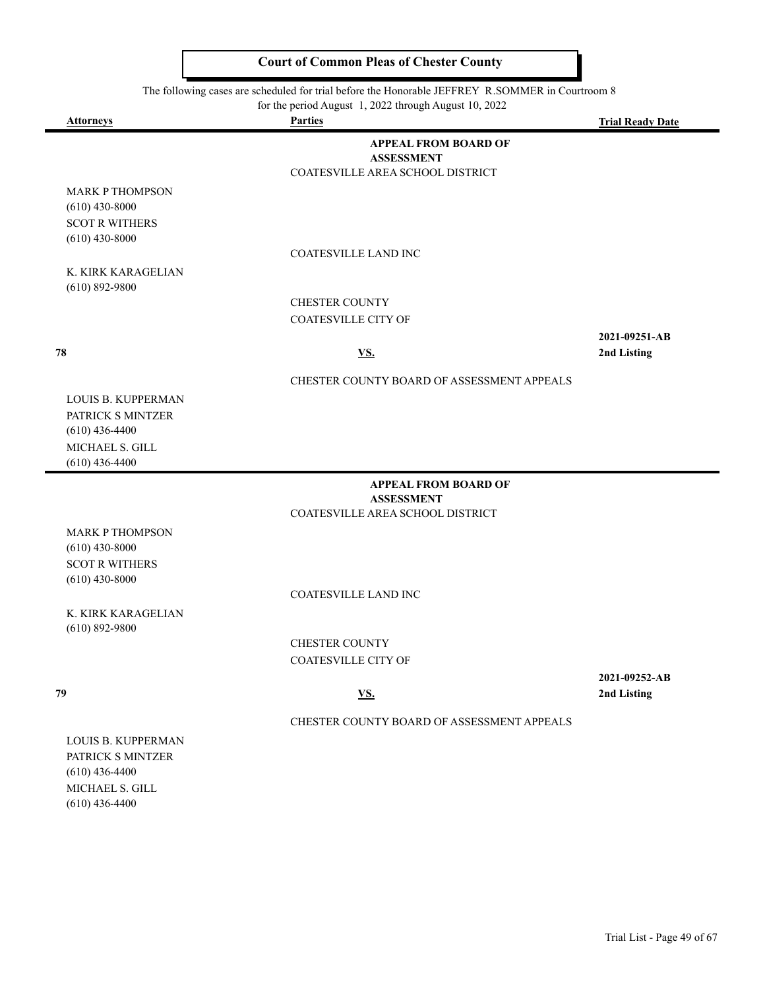#### The following cases are scheduled for trial before the Honorable JEFFREY R.SOMMER in Courtroom 8

| for the period August 1, 2022 through August 10, 2022               |                                                                                      |                         |  |
|---------------------------------------------------------------------|--------------------------------------------------------------------------------------|-------------------------|--|
| <b>Attorneys</b>                                                    | <b>Parties</b>                                                                       | <b>Trial Ready Date</b> |  |
|                                                                     | <b>APPEAL FROM BOARD OF</b><br><b>ASSESSMENT</b><br>COATESVILLE AREA SCHOOL DISTRICT |                         |  |
| <b>MARK P THOMPSON</b><br>$(610)$ 430-8000<br><b>SCOT R WITHERS</b> |                                                                                      |                         |  |
| $(610)$ 430-8000                                                    |                                                                                      |                         |  |
|                                                                     | <b>COATESVILLE LAND INC</b>                                                          |                         |  |
| K. KIRK KARAGELIAN<br>$(610) 892 - 9800$                            |                                                                                      |                         |  |
|                                                                     | <b>CHESTER COUNTY</b>                                                                |                         |  |
|                                                                     | <b>COATESVILLE CITY OF</b>                                                           |                         |  |
|                                                                     |                                                                                      | 2021-09251-AB           |  |
| 78                                                                  | <u>VS.</u>                                                                           | 2nd Listing             |  |
|                                                                     | CHESTER COUNTY BOARD OF ASSESSMENT APPEALS                                           |                         |  |
| <b>LOUIS B. KUPPERMAN</b><br>PATRICK S MINTZER                      |                                                                                      |                         |  |
| $(610)$ 436-4400                                                    |                                                                                      |                         |  |
| MICHAEL S. GILL<br>$(610)$ 436-4400                                 |                                                                                      |                         |  |
|                                                                     | <b>APPEAL FROM BOARD OF</b><br><b>ASSESSMENT</b>                                     |                         |  |
|                                                                     | COATESVILLE AREA SCHOOL DISTRICT                                                     |                         |  |
| <b>MARK P THOMPSON</b><br>$(610)$ 430-8000                          |                                                                                      |                         |  |
| <b>SCOT R WITHERS</b>                                               |                                                                                      |                         |  |
| $(610)$ 430-8000                                                    |                                                                                      |                         |  |
|                                                                     | <b>COATESVILLE LAND INC</b>                                                          |                         |  |
| K. KIRK KARAGELIAN                                                  |                                                                                      |                         |  |

CHESTER COUNTY COATESVILLE CITY OF

(610) 892-9800

**2021-09252-AB 79 VS. 2nd Listing**

CHESTER COUNTY BOARD OF ASSESSMENT APPEALS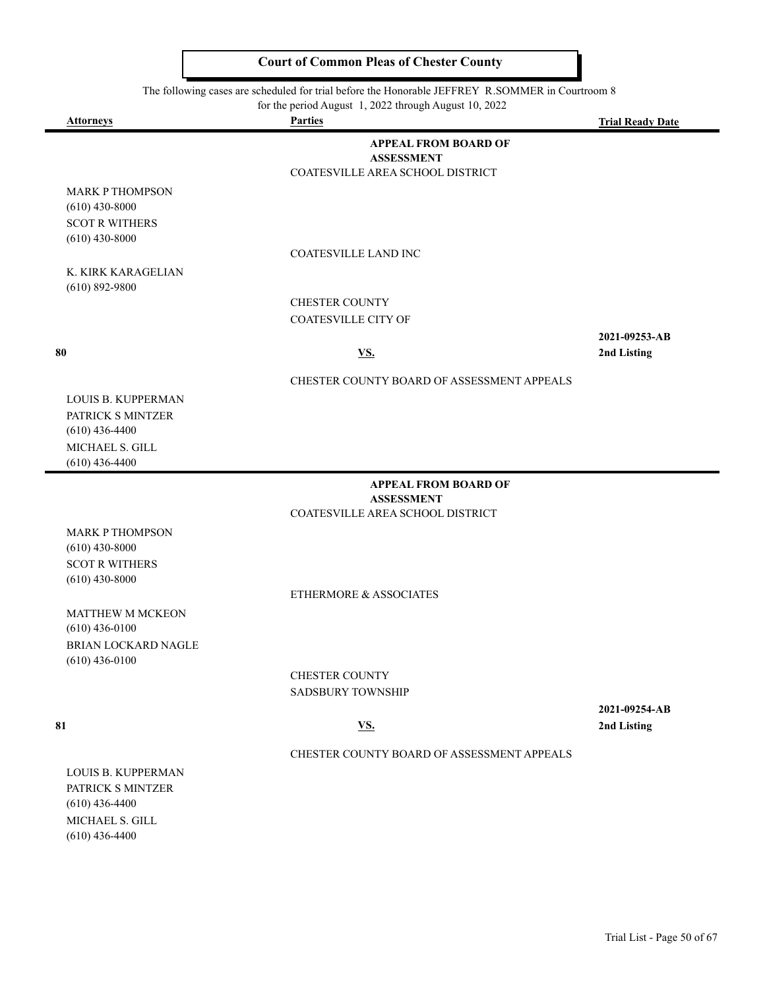#### The following cases are scheduled for trial before the Honorable JEFFREY R.SOMMER in Courtroom 8

|                                            | for the period August 1, 2022 through August 10, 2022 |                         |
|--------------------------------------------|-------------------------------------------------------|-------------------------|
| <b>Attorneys</b>                           | <b>Parties</b>                                        | <b>Trial Ready Date</b> |
|                                            | <b>APPEAL FROM BOARD OF</b><br><b>ASSESSMENT</b>      |                         |
|                                            | COATESVILLE AREA SCHOOL DISTRICT                      |                         |
| <b>MARK P THOMPSON</b><br>$(610)$ 430-8000 |                                                       |                         |
| <b>SCOT R WITHERS</b><br>$(610)$ 430-8000  |                                                       |                         |
|                                            | <b>COATESVILLE LAND INC</b>                           |                         |
| K. KIRK KARAGELIAN<br>$(610) 892 - 9800$   |                                                       |                         |
|                                            | <b>CHESTER COUNTY</b>                                 |                         |
|                                            | <b>COATESVILLE CITY OF</b>                            |                         |
|                                            |                                                       | 2021-09253-AB           |
| 80                                         | <u>VS.</u>                                            | 2nd Listing             |
|                                            | CHESTER COUNTY BOARD OF ASSESSMENT APPEALS            |                         |
| <b>LOUIS B. KUPPERMAN</b>                  |                                                       |                         |
| PATRICK S MINTZER                          |                                                       |                         |
| $(610)$ 436-4400                           |                                                       |                         |
| MICHAEL S. GILL<br>$(610)$ 436-4400        |                                                       |                         |
|                                            |                                                       |                         |
|                                            | <b>APPEAL FROM BOARD OF</b><br><b>ASSESSMENT</b>      |                         |
|                                            | COATESVILLE AREA SCHOOL DISTRICT                      |                         |
| <b>MARK P THOMPSON</b><br>$(610)$ 430-8000 |                                                       |                         |
| <b>SCOT R WITHERS</b>                      |                                                       |                         |
| $(610)$ 430-8000                           |                                                       |                         |
|                                            | ETHERMORE & ASSOCIATES                                |                         |
| <b>MATTURIALMORPOM</b>                     |                                                       |                         |

MATTHEW M MCKEON (610) 436-0100 BRIAN LOCKARD NAGLE (610) 436-0100

> CHESTER COUNTY SADSBURY TOWNSHIP

**2021-09254-AB 81 VS. 2nd Listing**

#### CHESTER COUNTY BOARD OF ASSESSMENT APPEALS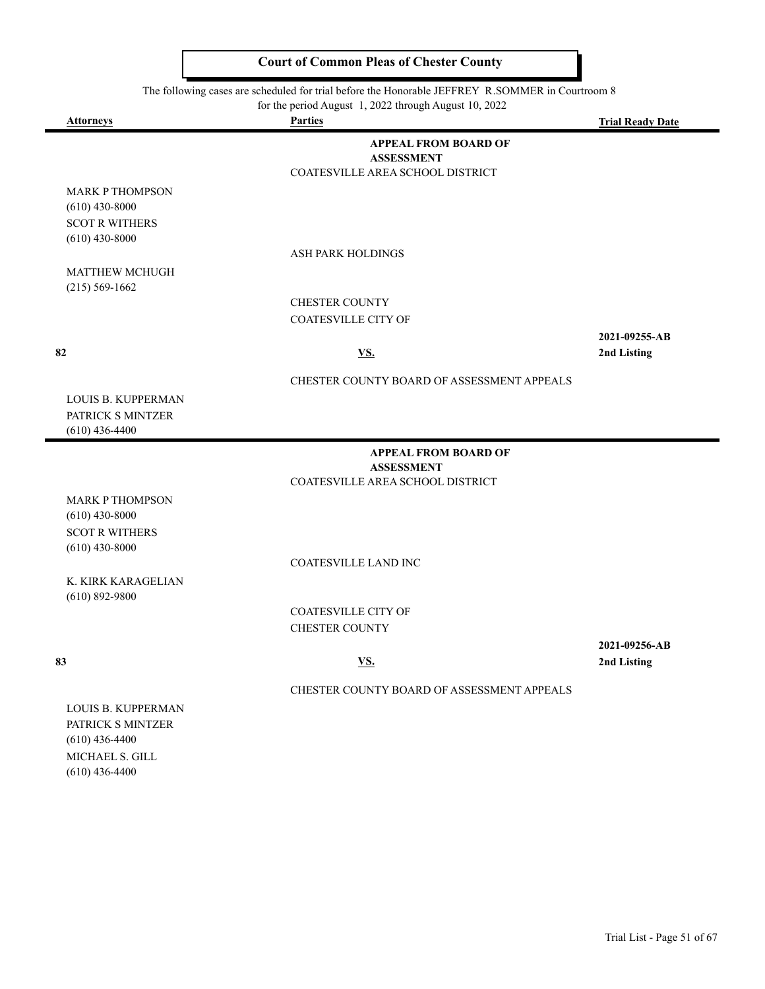#### $\frac{1}{100}$  following cases are scheduled for trial before the Honorable JEFFREY R SOMMER in Court

|                                                                                                    | The following cases are scheduled for trial before the Honorable JEFFREY R.SOMINER in Courtroom 8<br>for the period August 1, 2022 through August 10, 2022 |                              |
|----------------------------------------------------------------------------------------------------|------------------------------------------------------------------------------------------------------------------------------------------------------------|------------------------------|
| <b>Attorneys</b>                                                                                   | <b>Parties</b>                                                                                                                                             | <b>Trial Ready Date</b>      |
|                                                                                                    | <b>APPEAL FROM BOARD OF</b><br><b>ASSESSMENT</b><br>COATESVILLE AREA SCHOOL DISTRICT                                                                       |                              |
| <b>MARK P THOMPSON</b><br>$(610)$ 430-8000                                                         |                                                                                                                                                            |                              |
| <b>SCOT R WITHERS</b><br>$(610)$ 430-8000                                                          | <b>ASH PARK HOLDINGS</b>                                                                                                                                   |                              |
| <b>MATTHEW MCHUGH</b><br>$(215) 569 - 1662$                                                        |                                                                                                                                                            |                              |
|                                                                                                    | <b>CHESTER COUNTY</b><br><b>COATESVILLE CITY OF</b>                                                                                                        |                              |
| 82                                                                                                 | <u>VS.</u>                                                                                                                                                 | 2021-09255-AB<br>2nd Listing |
|                                                                                                    | CHESTER COUNTY BOARD OF ASSESSMENT APPEALS                                                                                                                 |                              |
| <b>LOUIS B. KUPPERMAN</b><br>PATRICK S MINTZER<br>$(610)$ 436-4400                                 |                                                                                                                                                            |                              |
|                                                                                                    | <b>APPEAL FROM BOARD OF</b><br><b>ASSESSMENT</b>                                                                                                           |                              |
|                                                                                                    | COATESVILLE AREA SCHOOL DISTRICT                                                                                                                           |                              |
| <b>MARK P THOMPSON</b><br>$(610)$ 430-8000                                                         |                                                                                                                                                            |                              |
| <b>SCOT R WITHERS</b><br>$(610)$ 430-8000                                                          |                                                                                                                                                            |                              |
| K. KIRK KARAGELIAN                                                                                 | COATESVILLE LAND INC                                                                                                                                       |                              |
| $(610) 892 - 9800$                                                                                 | <b>COATESVILLE CITY OF</b><br><b>CHESTER COUNTY</b>                                                                                                        |                              |
| 83                                                                                                 | <u>VS.</u>                                                                                                                                                 | 2021-09256-AB<br>2nd Listing |
|                                                                                                    | CHESTER COUNTY BOARD OF ASSESSMENT APPEALS                                                                                                                 |                              |
| LOUIS B. KUPPERMAN<br>PATRICK S MINTZER<br>$(610)$ 436-4400<br>MICHAEL S. GILL<br>$(610)$ 436-4400 |                                                                                                                                                            |                              |
|                                                                                                    |                                                                                                                                                            |                              |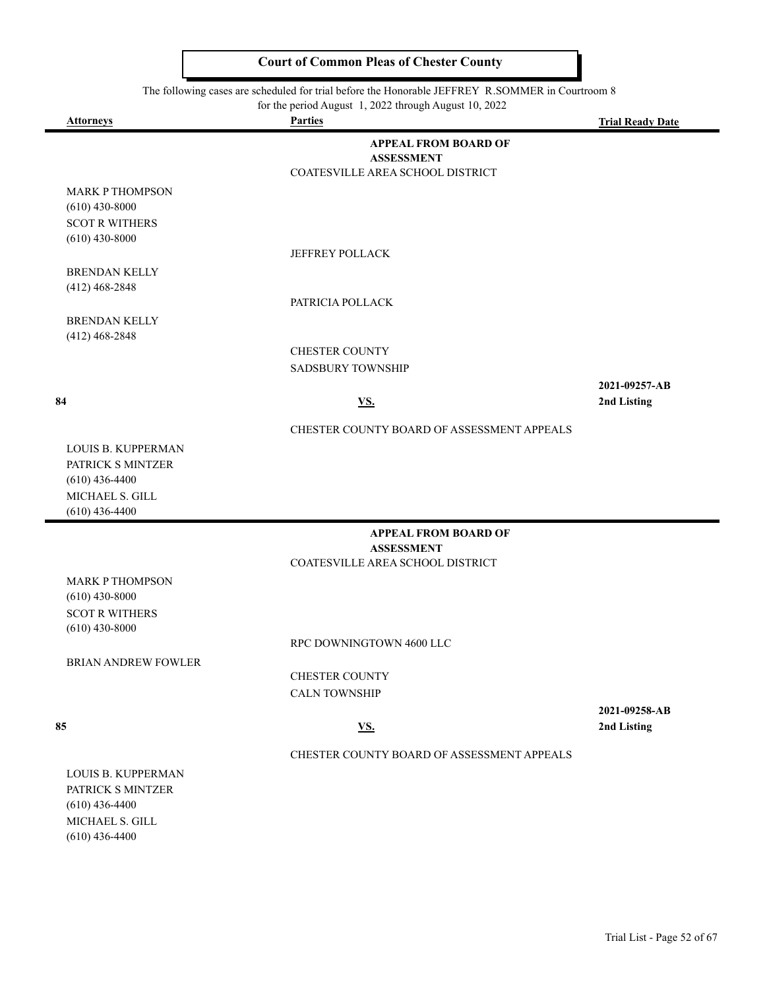#### The following cases are scheduled for trial before the Honorable JEFFREY R.SOMMER in Courtroom 8

| for the period August 1, 2022 through August 10, 2022 |  |  |
|-------------------------------------------------------|--|--|
|                                                       |  |  |

| <b>Attorneys</b>          | for the period August $\frac{1}{2}$ , $\frac{2022}{20}$ through August 10, $\frac{2022}{20}$<br><b>Parties</b> | <b>Trial Ready Date</b> |
|---------------------------|----------------------------------------------------------------------------------------------------------------|-------------------------|
|                           | <b>APPEAL FROM BOARD OF</b>                                                                                    |                         |
|                           | <b>ASSESSMENT</b>                                                                                              |                         |
|                           | COATESVILLE AREA SCHOOL DISTRICT                                                                               |                         |
| <b>MARK P THOMPSON</b>    |                                                                                                                |                         |
| $(610)$ 430-8000          |                                                                                                                |                         |
| <b>SCOT R WITHERS</b>     |                                                                                                                |                         |
| $(610)$ 430-8000          |                                                                                                                |                         |
|                           | <b>JEFFREY POLLACK</b>                                                                                         |                         |
| <b>BRENDAN KELLY</b>      |                                                                                                                |                         |
| $(412)$ 468-2848          |                                                                                                                |                         |
|                           | PATRICIA POLLACK                                                                                               |                         |
| <b>BRENDAN KELLY</b>      |                                                                                                                |                         |
| $(412)$ 468-2848          |                                                                                                                |                         |
|                           | <b>CHESTER COUNTY</b>                                                                                          |                         |
|                           | <b>SADSBURY TOWNSHIP</b>                                                                                       |                         |
|                           |                                                                                                                | 2021-09257-AB           |
| 84                        | <u>VS.</u>                                                                                                     | 2nd Listing             |
|                           | CHESTER COUNTY BOARD OF ASSESSMENT APPEALS                                                                     |                         |
| LOUIS B. KUPPERMAN        |                                                                                                                |                         |
| PATRICK S MINTZER         |                                                                                                                |                         |
| $(610)$ 436-4400          |                                                                                                                |                         |
| MICHAEL S. GILL           |                                                                                                                |                         |
| $(610)$ 436-4400          |                                                                                                                |                         |
|                           | <b>APPEAL FROM BOARD OF</b>                                                                                    |                         |
|                           | <b>ASSESSMENT</b>                                                                                              |                         |
|                           | COATESVILLE AREA SCHOOL DISTRICT                                                                               |                         |
| <b>MARK P THOMPSON</b>    |                                                                                                                |                         |
| $(610)$ 430-8000          |                                                                                                                |                         |
| <b>SCOT R WITHERS</b>     |                                                                                                                |                         |
| $(610)$ 430-8000          |                                                                                                                |                         |
|                           | RPC DOWNINGTOWN 4600 LLC                                                                                       |                         |
| BRIAN ANDREW FOWLER       |                                                                                                                |                         |
|                           | <b>CHESTER COUNTY</b>                                                                                          |                         |
|                           | <b>CALN TOWNSHIP</b>                                                                                           |                         |
|                           |                                                                                                                | 2021-09258-AB           |
| 85                        | <b>VS.</b>                                                                                                     | 2nd Listing             |
|                           | CHESTER COUNTY BOARD OF ASSESSMENT APPEALS                                                                     |                         |
| <b>LOUIS B. KUPPERMAN</b> |                                                                                                                |                         |
| PATRICK S MINTZER         |                                                                                                                |                         |
| $(610)$ 436-4400          |                                                                                                                |                         |
| MICHAEL S. GILL           |                                                                                                                |                         |

MICHAEL S. GILL (610) 436-4400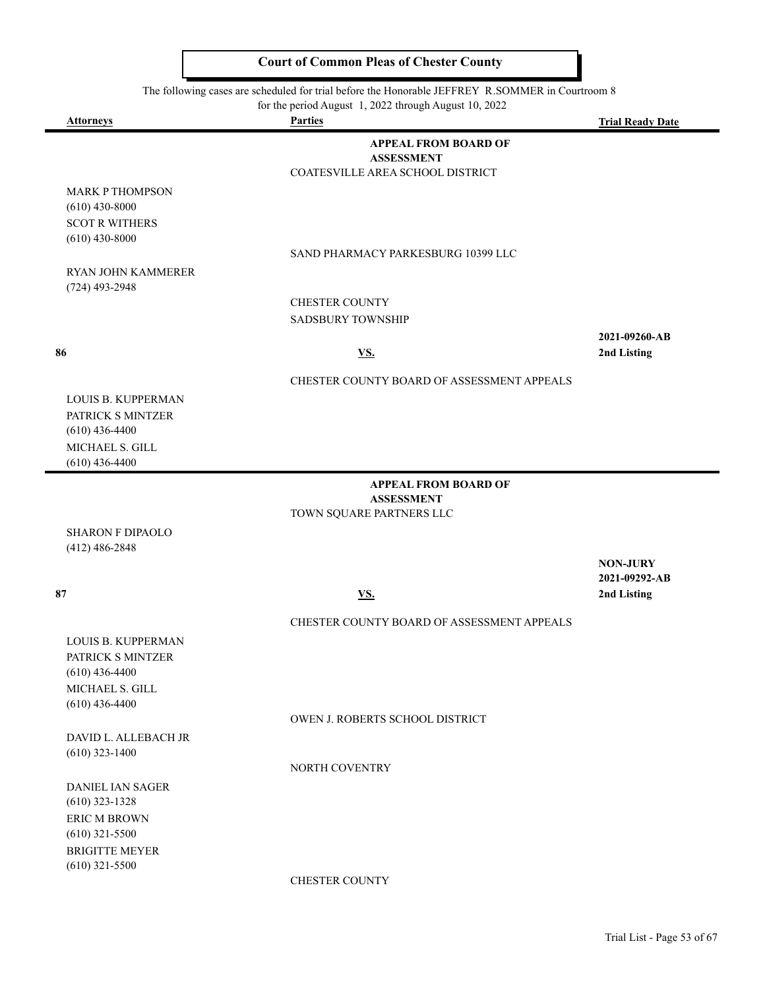The following cases are scheduled for trial before the Honorable JEFFREY R.SOMMER in Courtroom 8

|                           | for the period August 1, 2022 through August 10, 2022 |                         |
|---------------------------|-------------------------------------------------------|-------------------------|
| <b>Attorneys</b>          | <b>Parties</b>                                        | <b>Trial Ready Date</b> |
|                           | <b>APPEAL FROM BOARD OF</b>                           |                         |
|                           | <b>ASSESSMENT</b>                                     |                         |
|                           | COATESVILLE AREA SCHOOL DISTRICT                      |                         |
| <b>MARK P THOMPSON</b>    |                                                       |                         |
| $(610)$ 430-8000          |                                                       |                         |
| <b>SCOT R WITHERS</b>     |                                                       |                         |
| $(610)$ 430-8000          |                                                       |                         |
|                           | SAND PHARMACY PARKESBURG 10399 LLC                    |                         |
| <b>RYAN JOHN KAMMERER</b> |                                                       |                         |
| $(724)$ 493-2948          |                                                       |                         |
|                           | <b>CHESTER COUNTY</b>                                 |                         |
|                           | <b>SADSBURY TOWNSHIP</b>                              |                         |
|                           |                                                       | 2021-09260-AB           |
| 86                        | $\underline{\mathbf{VS}}$ .                           | 2nd Listing             |
|                           |                                                       |                         |
|                           | CHESTER COUNTY BOARD OF ASSESSMENT APPEALS            |                         |
| LOUIS B. KUPPERMAN        |                                                       |                         |
| PATRICK S MINTZER         |                                                       |                         |
| $(610)$ 436-4400          |                                                       |                         |
| MICHAEL S. GILL           |                                                       |                         |
| $(610)$ 436-4400          |                                                       |                         |
|                           | <b>APPEAL FROM BOARD OF</b>                           |                         |
|                           | <b>ASSESSMENT</b>                                     |                         |
|                           | TOWN SQUARE PARTNERS LLC                              |                         |
| <b>SHARON F DIPAOLO</b>   |                                                       |                         |
| $(412)$ 486-2848          |                                                       |                         |
|                           |                                                       | <b>NON-JURY</b>         |
|                           |                                                       | 2021-09292-AB           |
| 87                        | <u>VS.</u>                                            | 2nd Listing             |
|                           |                                                       |                         |
|                           | CHESTER COUNTY BOARD OF ASSESSMENT APPEALS            |                         |
| LOUIS B. KUPPERMAN        |                                                       |                         |
| PATRICK S MINTZER         |                                                       |                         |
| $(610)$ 436-4400          |                                                       |                         |
| MICHAEL S. GILL           |                                                       |                         |
| $(610)$ 436-4400          |                                                       |                         |
|                           | OWEN J. ROBERTS SCHOOL DISTRICT                       |                         |
| DAVID L. ALLEBACH JR      |                                                       |                         |

(610) 323-1400

NORTH COVENTRY

DANIEL IAN SAGER (610) 323-1328 ERIC M BROWN (610) 321-5500 BRIGITTE MEYER (610) 321-5500

CHESTER COUNTY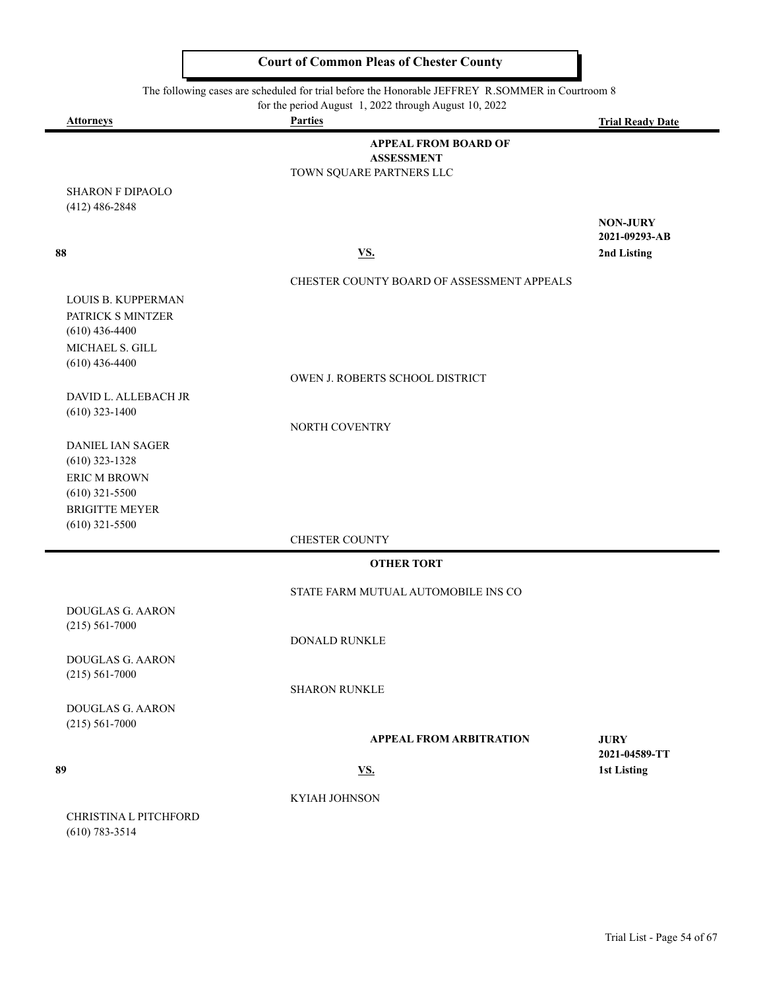$\overline{ }$ 

 $\blacksquare$ 

|                                           | The following cases are scheduled for trial before the Honorable JEFFREY R.SOMMER in Courtroom 8 |                                     |
|-------------------------------------------|--------------------------------------------------------------------------------------------------|-------------------------------------|
| <b>Attorneys</b>                          | for the period August 1, 2022 through August 10, 2022<br><b>Parties</b>                          | <b>Trial Ready Date</b>             |
|                                           | <b>APPEAL FROM BOARD OF</b>                                                                      |                                     |
|                                           | <b>ASSESSMENT</b>                                                                                |                                     |
|                                           | TOWN SQUARE PARTNERS LLC                                                                         |                                     |
| <b>SHARON F DIPAOLO</b>                   |                                                                                                  |                                     |
| $(412)$ 486-2848                          |                                                                                                  | <b>NON-JURY</b>                     |
|                                           |                                                                                                  | 2021-09293-AB                       |
| 88                                        | VS.                                                                                              | 2nd Listing                         |
|                                           | CHESTER COUNTY BOARD OF ASSESSMENT APPEALS                                                       |                                     |
| <b>LOUIS B. KUPPERMAN</b>                 |                                                                                                  |                                     |
| PATRICK S MINTZER                         |                                                                                                  |                                     |
| $(610)$ 436-4400                          |                                                                                                  |                                     |
| MICHAEL S. GILL                           |                                                                                                  |                                     |
| $(610)$ 436-4400                          | OWEN J. ROBERTS SCHOOL DISTRICT                                                                  |                                     |
| DAVID L. ALLEBACH JR                      |                                                                                                  |                                     |
| $(610)$ 323-1400                          |                                                                                                  |                                     |
|                                           | NORTH COVENTRY                                                                                   |                                     |
| <b>DANIEL IAN SAGER</b>                   |                                                                                                  |                                     |
| $(610)$ 323-1328                          |                                                                                                  |                                     |
| ERIC M BROWN                              |                                                                                                  |                                     |
| $(610)$ 321-5500<br><b>BRIGITTE MEYER</b> |                                                                                                  |                                     |
| $(610)$ 321-5500                          |                                                                                                  |                                     |
|                                           | <b>CHESTER COUNTY</b>                                                                            |                                     |
|                                           | <b>OTHER TORT</b>                                                                                |                                     |
|                                           | STATE FARM MUTUAL AUTOMOBILE INS CO                                                              |                                     |
| DOUGLAS G. AARON                          |                                                                                                  |                                     |
| $(215) 561 - 7000$                        |                                                                                                  |                                     |
|                                           | DONALD RUNKLE                                                                                    |                                     |
| DOUGLAS G. AARON                          |                                                                                                  |                                     |
| $(215) 561 - 7000$                        | <b>SHARON RUNKLE</b>                                                                             |                                     |
| DOUGLAS G. AARON                          |                                                                                                  |                                     |
| $(215) 561 - 7000$                        |                                                                                                  |                                     |
|                                           | <b>APPEAL FROM ARBITRATION</b>                                                                   | <b>JURY</b>                         |
| 89                                        | <b>VS.</b>                                                                                       | 2021-04589-TT<br><b>1st Listing</b> |
|                                           |                                                                                                  |                                     |
|                                           | KYIAH JOHNSON                                                                                    |                                     |
| CHRISTINA L PITCHFORD                     |                                                                                                  |                                     |
| $(610) 783 - 3514$                        |                                                                                                  |                                     |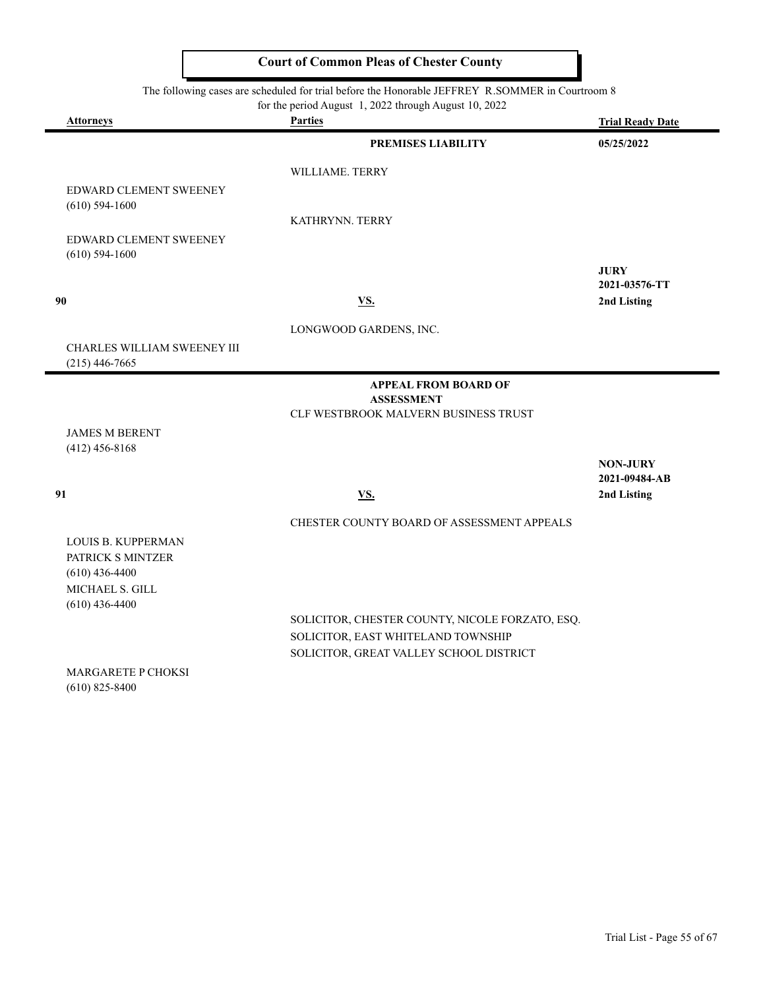The following cases are scheduled for trial before the Honorable JEFFREY R.SOMMER in Courtroom 8<br>for the period August 1 2022 through August 10 2022

|                                                   | for the period August 1, 2022 through August 10, 2022 |                         |
|---------------------------------------------------|-------------------------------------------------------|-------------------------|
| Attorneys                                         | <b>Parties</b>                                        | <b>Trial Ready Date</b> |
|                                                   | <b>PREMISES LIABILITY</b>                             | 05/25/2022              |
|                                                   | WILLIAME. TERRY                                       |                         |
| EDWARD CLEMENT SWEENEY                            |                                                       |                         |
| $(610)$ 594-1600                                  |                                                       |                         |
|                                                   | KATHRYNN. TERRY                                       |                         |
| <b>EDWARD CLEMENT SWEENEY</b><br>$(610)$ 594-1600 |                                                       |                         |
|                                                   |                                                       | <b>JURY</b>             |
|                                                   |                                                       | 2021-03576-TT           |
| 90                                                | <b>VS.</b>                                            | 2nd Listing             |
|                                                   | LONGWOOD GARDENS, INC.                                |                         |
| CHARLES WILLIAM SWEENEY III                       |                                                       |                         |
| $(215)$ 446-7665                                  |                                                       |                         |
|                                                   | <b>APPEAL FROM BOARD OF</b>                           |                         |
|                                                   | <b>ASSESSMENT</b>                                     |                         |
|                                                   | CLF WESTBROOK MALVERN BUSINESS TRUST                  |                         |
| <b>JAMES M BERENT</b>                             |                                                       |                         |
| $(412)$ 456-8168                                  |                                                       | <b>NON-JURY</b>         |
|                                                   |                                                       | 2021-09484-AB           |
| 91                                                | VS.                                                   | 2nd Listing             |
|                                                   | CHESTER COUNTY BOARD OF ASSESSMENT APPEALS            |                         |
| <b>LOUIS B. KUPPERMAN</b>                         |                                                       |                         |
| PATRICK S MINTZER                                 |                                                       |                         |
| $(610)$ 436-4400                                  |                                                       |                         |
| MICHAEL S. GILL                                   |                                                       |                         |
| $(610)$ 436-4400                                  |                                                       |                         |
|                                                   | SOLICITOR, CHESTER COUNTY, NICOLE FORZATO, ESQ.       |                         |
|                                                   | SOLICITOR, EAST WHITELAND TOWNSHIP                    |                         |
|                                                   | SOLICITOR, GREAT VALLEY SCHOOL DISTRICT               |                         |

MARGARETE P CHOKSI (610) 825-8400

 $\equiv$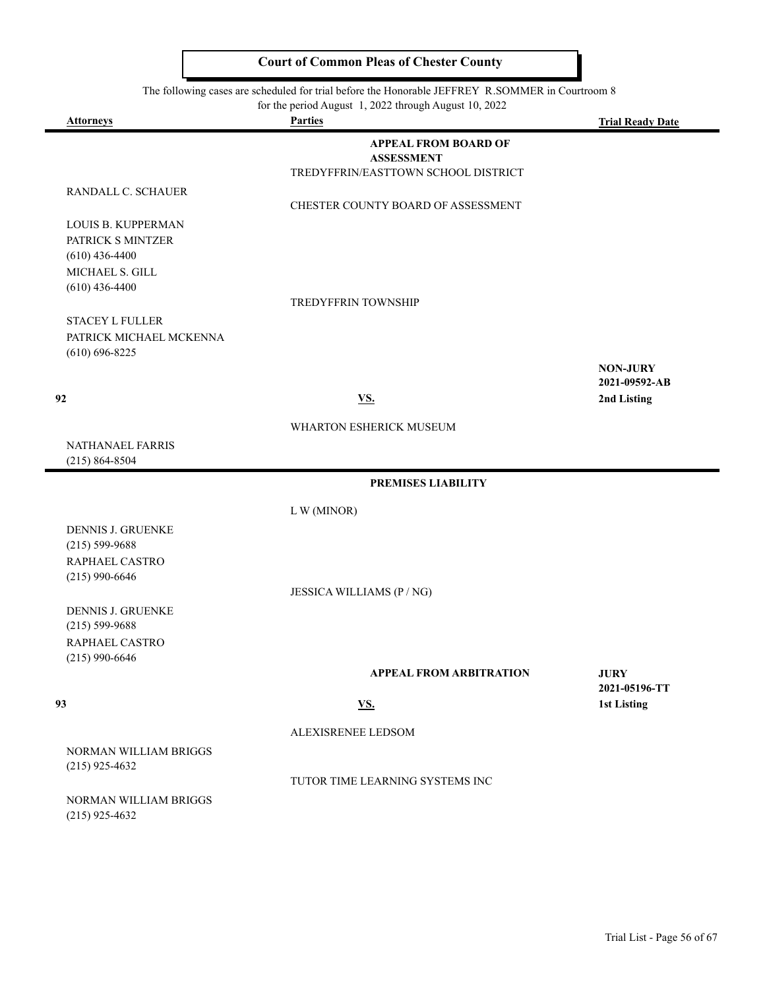|                              | for the period August 1, 2022 through August 10, 2022 |                         |
|------------------------------|-------------------------------------------------------|-------------------------|
| <b>Attorneys</b>             | <b>Parties</b>                                        | <b>Trial Ready Date</b> |
|                              | <b>APPEAL FROM BOARD OF</b>                           |                         |
|                              | <b>ASSESSMENT</b>                                     |                         |
|                              | TREDYFFRIN/EASTTOWN SCHOOL DISTRICT                   |                         |
| RANDALL C. SCHAUER           |                                                       |                         |
|                              | CHESTER COUNTY BOARD OF ASSESSMENT                    |                         |
| LOUIS B. KUPPERMAN           |                                                       |                         |
| PATRICK S MINTZER            |                                                       |                         |
| $(610)$ 436-4400             |                                                       |                         |
| MICHAEL S. GILL              |                                                       |                         |
| $(610)$ 436-4400             |                                                       |                         |
|                              | <b>TREDYFFRIN TOWNSHIP</b>                            |                         |
| <b>STACEY L FULLER</b>       |                                                       |                         |
| PATRICK MICHAEL MCKENNA      |                                                       |                         |
| $(610) 696 - 8225$           |                                                       |                         |
|                              |                                                       | <b>NON-JURY</b>         |
|                              |                                                       | 2021-09592-AB           |
| 92                           | <b>VS.</b>                                            | 2nd Listing             |
|                              | <b>WHARTON ESHERICK MUSEUM</b>                        |                         |
| NATHANAEL FARRIS             |                                                       |                         |
| $(215) 864 - 8504$           |                                                       |                         |
|                              |                                                       |                         |
|                              | PREMISES LIABILITY                                    |                         |
|                              | L W (MINOR)                                           |                         |
| DENNIS J. GRUENKE            |                                                       |                         |
| $(215) 599 - 9688$           |                                                       |                         |
| RAPHAEL CASTRO               |                                                       |                         |
| $(215)$ 990-6646             |                                                       |                         |
|                              | JESSICA WILLIAMS (P / NG)                             |                         |
| <b>DENNIS J. GRUENKE</b>     |                                                       |                         |
| $(215) 599 - 9688$           |                                                       |                         |
| RAPHAEL CASTRO               |                                                       |                         |
| $(215)$ 990-6646             |                                                       |                         |
|                              | <b>APPEAL FROM ARBITRATION</b>                        | <b>JURY</b>             |
|                              |                                                       | 2021-05196-TT           |
| 93                           | <b>VS.</b>                                            | 1st Listing             |
|                              | ALEXISRENEE LEDSOM                                    |                         |
|                              |                                                       |                         |
| <b>NORMAN WILLIAM BRIGGS</b> |                                                       |                         |
| $(215)$ 925-4632             | TUTOR TIME LEARNING SYSTEMS INC                       |                         |
|                              |                                                       |                         |

NORMAN WILLIAM BRIGGS (215) 925-4632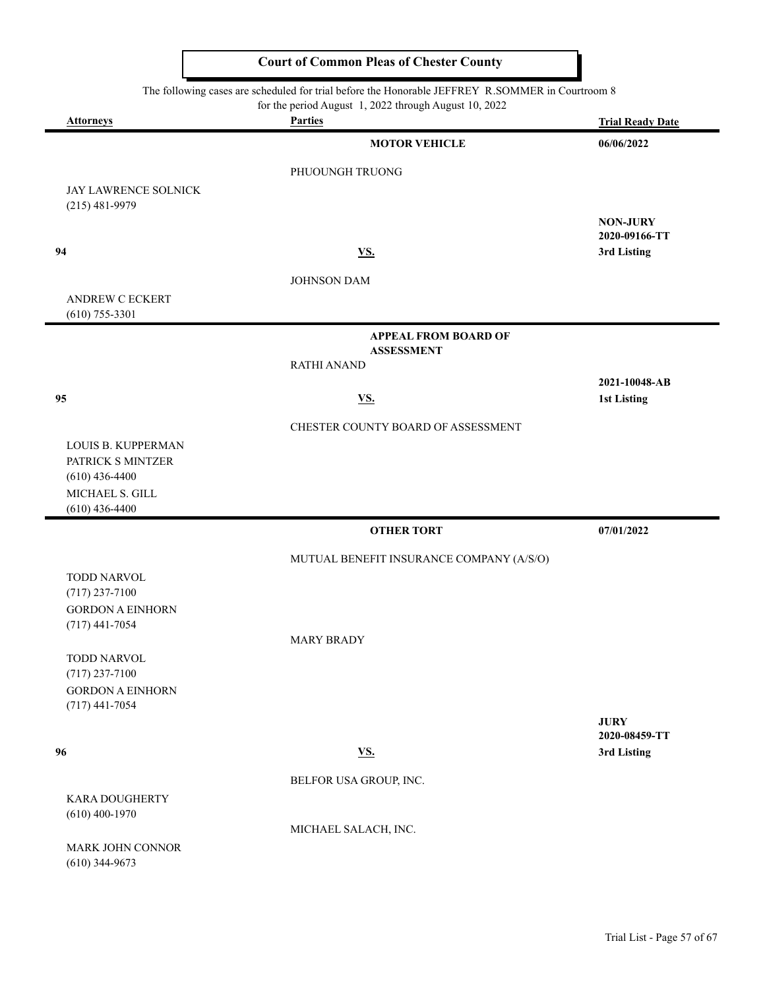The following cases are scheduled for trial before the Honorable JEFFREY R.SOMMER in Courtroom 8

for the period August 1, 2022 through August 10, 2022

| <b>Attorneys</b>                            | 101 the perfourning too: 1, 2022 through rugged 10, 2022<br><b>Parties</b> | <b>Trial Ready Date</b>      |
|---------------------------------------------|----------------------------------------------------------------------------|------------------------------|
|                                             | <b>MOTOR VEHICLE</b>                                                       | 06/06/2022                   |
|                                             | PHUOUNGH TRUONG                                                            |                              |
| JAY LAWRENCE SOLNICK                        |                                                                            |                              |
| $(215)$ 481-9979                            |                                                                            | <b>NON-JURY</b>              |
|                                             |                                                                            | 2020-09166-TT                |
| 94                                          | $\underline{\mathbf{VS}}$ .                                                | 3rd Listing                  |
|                                             | JOHNSON DAM                                                                |                              |
| ANDREW C ECKERT<br>$(610)$ 755-3301         |                                                                            |                              |
|                                             | <b>APPEAL FROM BOARD OF</b>                                                |                              |
|                                             | <b>ASSESSMENT</b><br><b>RATHI ANAND</b>                                    |                              |
|                                             |                                                                            | 2021-10048-AB                |
| 95                                          | <b>VS.</b>                                                                 | 1st Listing                  |
|                                             | CHESTER COUNTY BOARD OF ASSESSMENT                                         |                              |
| LOUIS B. KUPPERMAN                          |                                                                            |                              |
| PATRICK S MINTZER<br>$(610)$ 436-4400       |                                                                            |                              |
| MICHAEL S. GILL                             |                                                                            |                              |
| $(610)$ 436-4400                            |                                                                            |                              |
|                                             | <b>OTHER TORT</b>                                                          | 07/01/2022                   |
|                                             | MUTUAL BENEFIT INSURANCE COMPANY (A/S/O)                                   |                              |
| TODD NARVOL<br>$(717)$ 237-7100             |                                                                            |                              |
| <b>GORDON A EINHORN</b>                     |                                                                            |                              |
| $(717)$ 441-7054                            | <b>MARY BRADY</b>                                                          |                              |
| <b>TODD NARVOL</b>                          |                                                                            |                              |
| $(717)$ 237-7100                            |                                                                            |                              |
| <b>GORDON A EINHORN</b><br>$(717)$ 441-7054 |                                                                            |                              |
|                                             |                                                                            | <b>JURY</b>                  |
| 96                                          | <u>VS.</u>                                                                 | 2020-08459-TT<br>3rd Listing |
|                                             |                                                                            |                              |
| KARA DOUGHERTY                              | BELFOR USA GROUP, INC.                                                     |                              |
| $(610)$ 400-1970                            |                                                                            |                              |
|                                             | MICHAEL SALACH, INC.                                                       |                              |
| MARK JOHN CONNOR<br>$(610)$ 344-9673        |                                                                            |                              |
|                                             |                                                                            |                              |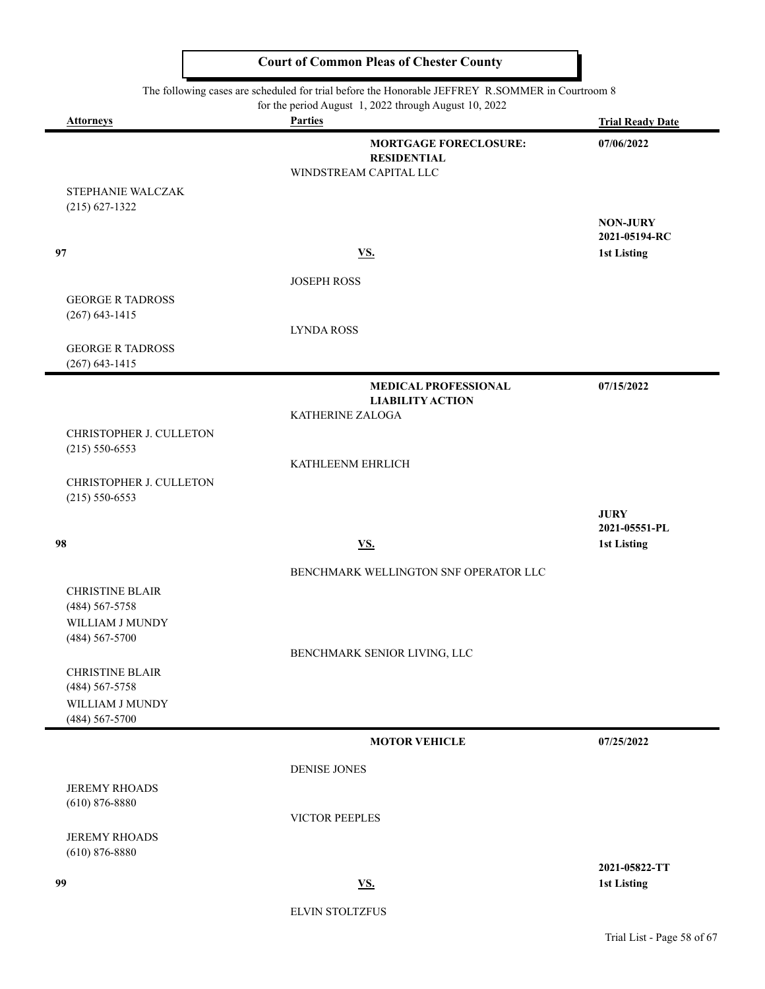| The following cases are scheduled for trial before the Honorable JEFFREY R.SOMMER in Courtroom 8<br>for the period August 1, 2022 through August 10, 2022 |                                                                              |                                     |
|-----------------------------------------------------------------------------------------------------------------------------------------------------------|------------------------------------------------------------------------------|-------------------------------------|
| <b>Attorneys</b>                                                                                                                                          | <b>Parties</b>                                                               | <b>Trial Ready Date</b>             |
|                                                                                                                                                           | <b>MORTGAGE FORECLOSURE:</b><br><b>RESIDENTIAL</b><br>WINDSTREAM CAPITAL LLC | 07/06/2022                          |
| STEPHANIE WALCZAK<br>$(215) 627 - 1322$                                                                                                                   |                                                                              |                                     |
|                                                                                                                                                           |                                                                              | <b>NON-JURY</b><br>2021-05194-RC    |
| 97                                                                                                                                                        | <b>VS.</b>                                                                   | <b>1st Listing</b>                  |
|                                                                                                                                                           | <b>JOSEPH ROSS</b>                                                           |                                     |
| <b>GEORGE R TADROSS</b><br>$(267) 643 - 1415$                                                                                                             |                                                                              |                                     |
|                                                                                                                                                           | <b>LYNDA ROSS</b>                                                            |                                     |
| <b>GEORGE R TADROSS</b><br>$(267)$ 643-1415                                                                                                               |                                                                              |                                     |
|                                                                                                                                                           | <b>MEDICAL PROFESSIONAL</b><br><b>LIABILITY ACTION</b>                       | 07/15/2022                          |
|                                                                                                                                                           | KATHERINE ZALOGA                                                             |                                     |
| CHRISTOPHER J. CULLETON<br>$(215) 550 - 6553$                                                                                                             |                                                                              |                                     |
|                                                                                                                                                           | KATHLEENM EHRLICH                                                            |                                     |
| CHRISTOPHER J. CULLETON<br>$(215) 550 - 6553$                                                                                                             |                                                                              |                                     |
|                                                                                                                                                           |                                                                              | <b>JURY</b>                         |
| 98                                                                                                                                                        | <u>VS.</u>                                                                   | 2021-05551-PL<br><b>1st Listing</b> |
|                                                                                                                                                           |                                                                              |                                     |
|                                                                                                                                                           | BENCHMARK WELLINGTON SNF OPERATOR LLC                                        |                                     |
| <b>CHRISTINE BLAIR</b><br>$(484) 567 - 5758$                                                                                                              |                                                                              |                                     |
| WILLIAM J MUNDY                                                                                                                                           |                                                                              |                                     |
| $(484)$ 567-5700                                                                                                                                          | BENCHMARK SENIOR LIVING, LLC                                                 |                                     |
| <b>CHRISTINE BLAIR</b>                                                                                                                                    |                                                                              |                                     |
| $(484) 567 - 5758$<br>WILLIAM J MUNDY                                                                                                                     |                                                                              |                                     |
| $(484)$ 567-5700                                                                                                                                          |                                                                              |                                     |
|                                                                                                                                                           | <b>MOTOR VEHICLE</b>                                                         | 07/25/2022                          |
|                                                                                                                                                           | <b>DENISE JONES</b>                                                          |                                     |
| <b>JEREMY RHOADS</b><br>$(610) 876 - 8880$                                                                                                                |                                                                              |                                     |
|                                                                                                                                                           | VICTOR PEEPLES                                                               |                                     |
| <b>JEREMY RHOADS</b>                                                                                                                                      |                                                                              |                                     |
| $(610)$ 876-8880                                                                                                                                          |                                                                              | 2021-05822-TT                       |
| 99                                                                                                                                                        | <b>VS.</b>                                                                   | 1st Listing                         |
|                                                                                                                                                           | <b>ELVIN STOLTZFUS</b>                                                       |                                     |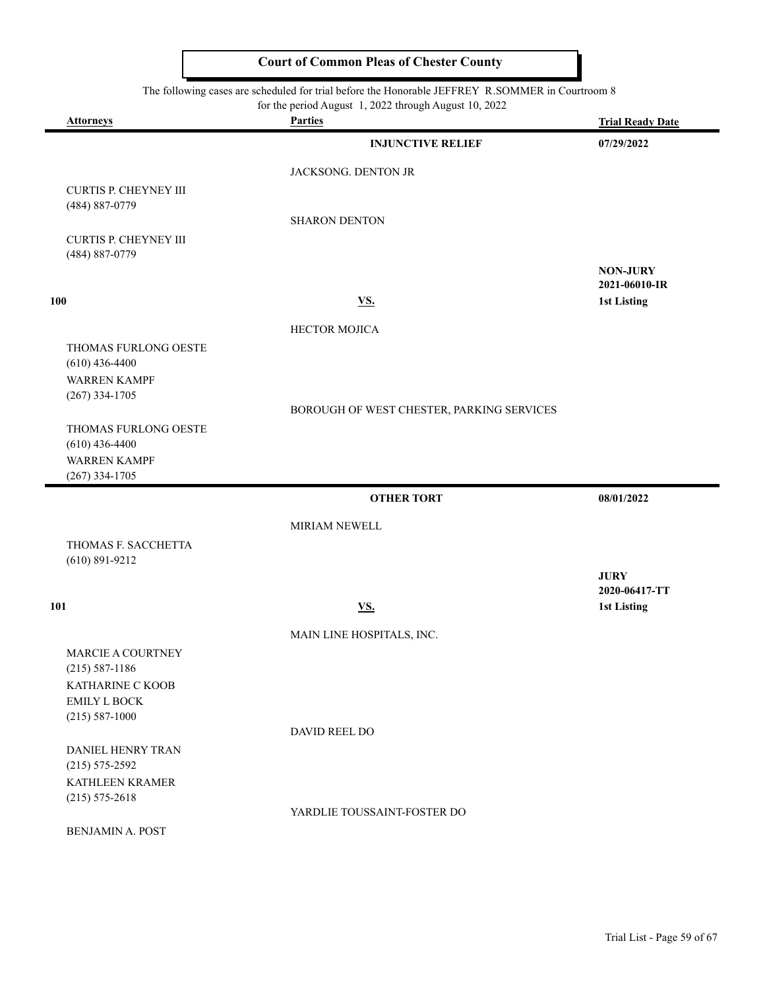#### The following cases are scheduled for trial before the Honorable JEFFREY R.SOMMER in Courtroom 8

|                                          | for the period August 1, 2022 through August 10, 2022 |                                       |
|------------------------------------------|-------------------------------------------------------|---------------------------------------|
| <b>Attorneys</b>                         | <b>Parties</b><br><b>INJUNCTIVE RELIEF</b>            | <b>Trial Ready Date</b><br>07/29/2022 |
|                                          |                                                       |                                       |
|                                          | JACKSONG. DENTON JR                                   |                                       |
| CURTIS P. CHEYNEY III<br>(484) 887-0779  |                                                       |                                       |
|                                          | <b>SHARON DENTON</b>                                  |                                       |
| <b>CURTIS P. CHEYNEY III</b>             |                                                       |                                       |
| (484) 887-0779                           |                                                       | <b>NON-JURY</b>                       |
|                                          |                                                       | 2021-06010-IR                         |
| 100                                      | $\underline{\mathbf{V}}\underline{\mathbf{S}}$ .      | 1st Listing                           |
|                                          | <b>HECTOR MOJICA</b>                                  |                                       |
| THOMAS FURLONG OESTE                     |                                                       |                                       |
| $(610)$ 436-4400<br><b>WARREN KAMPF</b>  |                                                       |                                       |
| $(267)$ 334-1705                         |                                                       |                                       |
|                                          | BOROUGH OF WEST CHESTER, PARKING SERVICES             |                                       |
| THOMAS FURLONG OESTE<br>$(610)$ 436-4400 |                                                       |                                       |
| <b>WARREN KAMPF</b>                      |                                                       |                                       |
| $(267)$ 334-1705                         |                                                       |                                       |
|                                          | <b>OTHER TORT</b>                                     | 08/01/2022                            |
|                                          | MIRIAM NEWELL                                         |                                       |
| THOMAS F. SACCHETTA                      |                                                       |                                       |
| $(610) 891 - 9212$                       |                                                       | <b>JURY</b>                           |
|                                          |                                                       | 2020-06417-TT                         |
| 101                                      | <b>VS.</b>                                            | <b>1st Listing</b>                    |
|                                          | MAIN LINE HOSPITALS, INC.                             |                                       |
| <b>MARCIE A COURTNEY</b>                 |                                                       |                                       |
| $(215) 587 - 1186$<br>KATHARINE C KOOB   |                                                       |                                       |
| <b>EMILY L BOCK</b>                      |                                                       |                                       |
| $(215) 587-1000$                         |                                                       |                                       |
| DANIEL HENRY TRAN                        | DAVID REEL DO                                         |                                       |
| $(215) 575 - 2592$                       |                                                       |                                       |
| KATHLEEN KRAMER                          |                                                       |                                       |
| $(215) 575 - 2618$                       | YARDLIE TOUSSAINT-FOSTER DO                           |                                       |
| BENJAMIN A. POST                         |                                                       |                                       |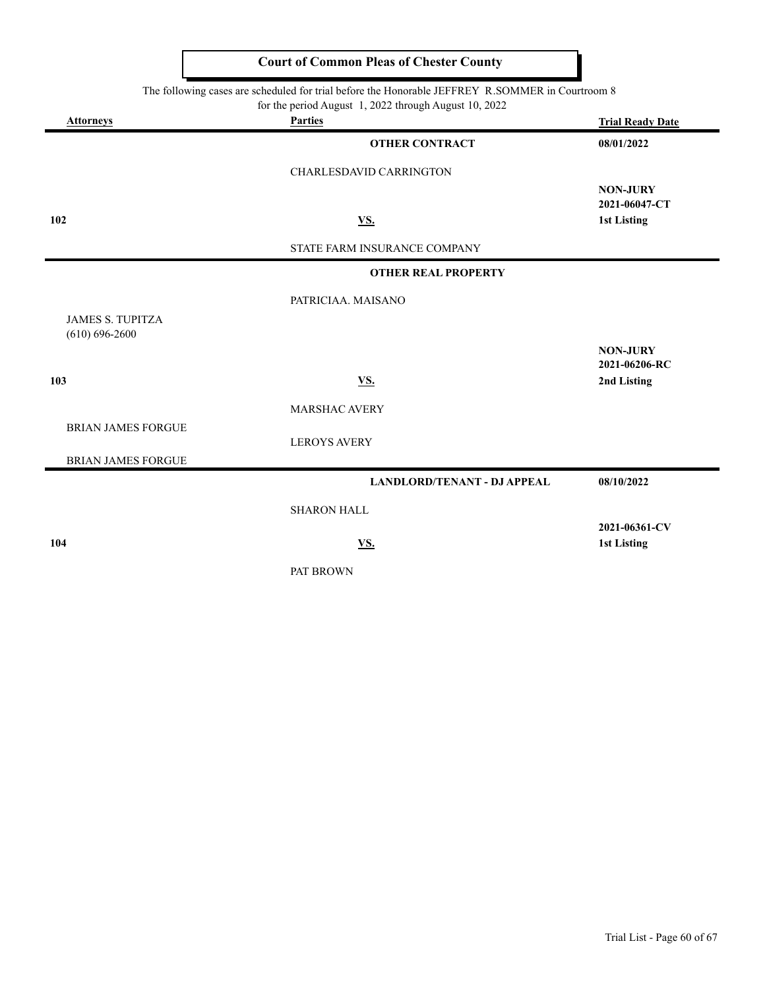The following cases are scheduled for trial before the Honorable JEFFREY R.SOMMER in Courtroom 8

for the period August 1, 2022 through August 10, 2022

| <b>Attorneys</b>                              | 101 the period ruggest 1, 2022 dhough ruggest 10, 2022<br><b>Parties</b> | <b>Trial Ready Date</b>          |
|-----------------------------------------------|--------------------------------------------------------------------------|----------------------------------|
|                                               | <b>OTHER CONTRACT</b>                                                    | 08/01/2022                       |
|                                               | CHARLESDAVID CARRINGTON                                                  |                                  |
|                                               |                                                                          | <b>NON-JURY</b><br>2021-06047-CT |
| 102                                           | <b>VS.</b>                                                               | 1st Listing                      |
|                                               | STATE FARM INSURANCE COMPANY                                             |                                  |
|                                               | <b>OTHER REAL PROPERTY</b>                                               |                                  |
|                                               | PATRICIAA. MAISANO                                                       |                                  |
| <b>JAMES S. TUPITZA</b><br>$(610) 696 - 2600$ |                                                                          |                                  |
|                                               |                                                                          | <b>NON-JURY</b><br>2021-06206-RC |
| 103                                           | <b>VS.</b>                                                               | 2nd Listing                      |
|                                               | MARSHAC AVERY                                                            |                                  |
| <b>BRIAN JAMES FORGUE</b>                     | <b>LEROYS AVERY</b>                                                      |                                  |
| <b>BRIAN JAMES FORGUE</b>                     |                                                                          |                                  |
|                                               | <b>LANDLORD/TENANT - DJ APPEAL</b>                                       | 08/10/2022                       |
|                                               | <b>SHARON HALL</b>                                                       |                                  |
| 104                                           | <u>VS.</u>                                                               | 2021-06361-CV<br>1st Listing     |
|                                               |                                                                          |                                  |

PAT BROWN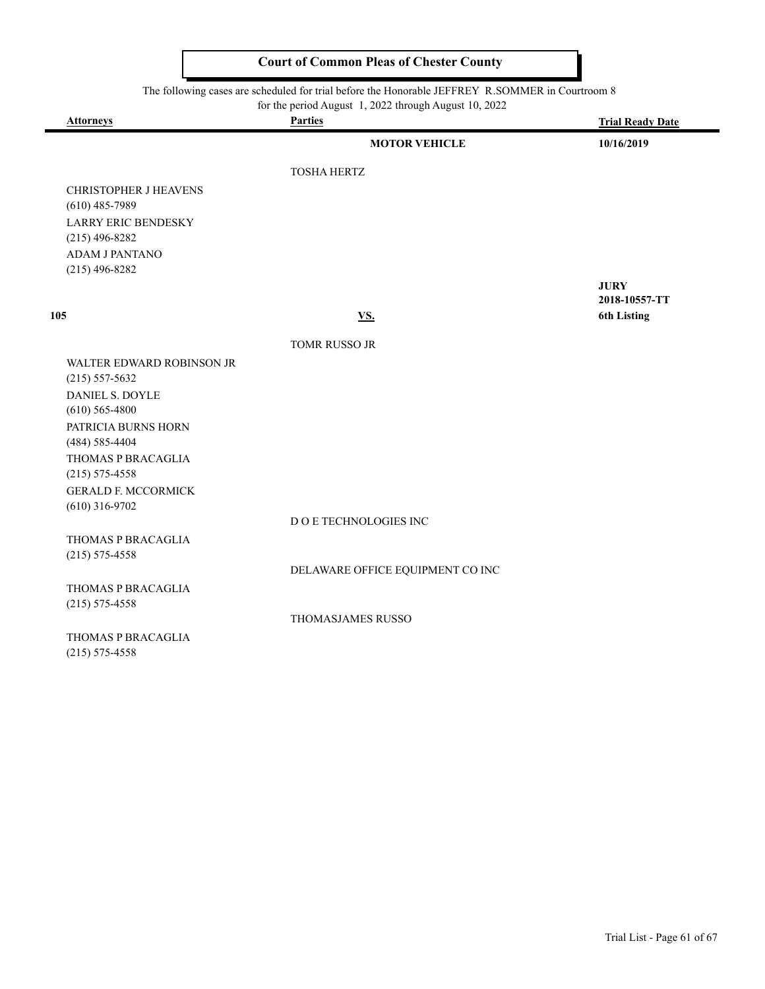#### The following cases are scheduled for trial before the Honorable JEFFREY R.SOMMER in Courtroom 8

۰

| <b>Attorneys</b>                               | for the period August 1, 2022 through August 10, 2022<br><b>Parties</b> |                         |
|------------------------------------------------|-------------------------------------------------------------------------|-------------------------|
|                                                |                                                                         | <b>Trial Ready Date</b> |
|                                                | <b>MOTOR VEHICLE</b>                                                    | 10/16/2019              |
|                                                | <b>TOSHA HERTZ</b>                                                      |                         |
| <b>CHRISTOPHER J HEAVENS</b>                   |                                                                         |                         |
| $(610)$ 485-7989                               |                                                                         |                         |
| <b>LARRY ERIC BENDESKY</b>                     |                                                                         |                         |
| $(215)$ 496-8282                               |                                                                         |                         |
| ADAM J PANTANO                                 |                                                                         |                         |
| $(215)$ 496-8282                               |                                                                         |                         |
|                                                |                                                                         | <b>JURY</b>             |
|                                                |                                                                         | 2018-10557-TT           |
| 105                                            | VS.                                                                     | <b>6th Listing</b>      |
|                                                | TOMR RUSSO JR                                                           |                         |
| WALTER EDWARD ROBINSON JR                      |                                                                         |                         |
| $(215) 557 - 5632$                             |                                                                         |                         |
| <b>DANIEL S. DOYLE</b>                         |                                                                         |                         |
| $(610)$ 565-4800                               |                                                                         |                         |
| PATRICIA BURNS HORN                            |                                                                         |                         |
| $(484) 585 - 4404$                             |                                                                         |                         |
| THOMAS P BRACAGLIA                             |                                                                         |                         |
| $(215) 575 - 4558$                             |                                                                         |                         |
| <b>GERALD F. MCCORMICK</b><br>$(610)$ 316-9702 |                                                                         |                         |
|                                                | D O E TECHNOLOGIES INC                                                  |                         |
| THOMAS P BRACAGLIA                             |                                                                         |                         |
| $(215) 575 - 4558$                             |                                                                         |                         |
|                                                | DELAWARE OFFICE EQUIPMENT CO INC                                        |                         |
| THOMAS P BRACAGLIA                             |                                                                         |                         |
| $(215) 575 - 4558$                             |                                                                         |                         |
|                                                | THOMASJAMES RUSSO                                                       |                         |
| THOMAS P BRACAGLIA                             |                                                                         |                         |
| $(215) 575 - 4558$                             |                                                                         |                         |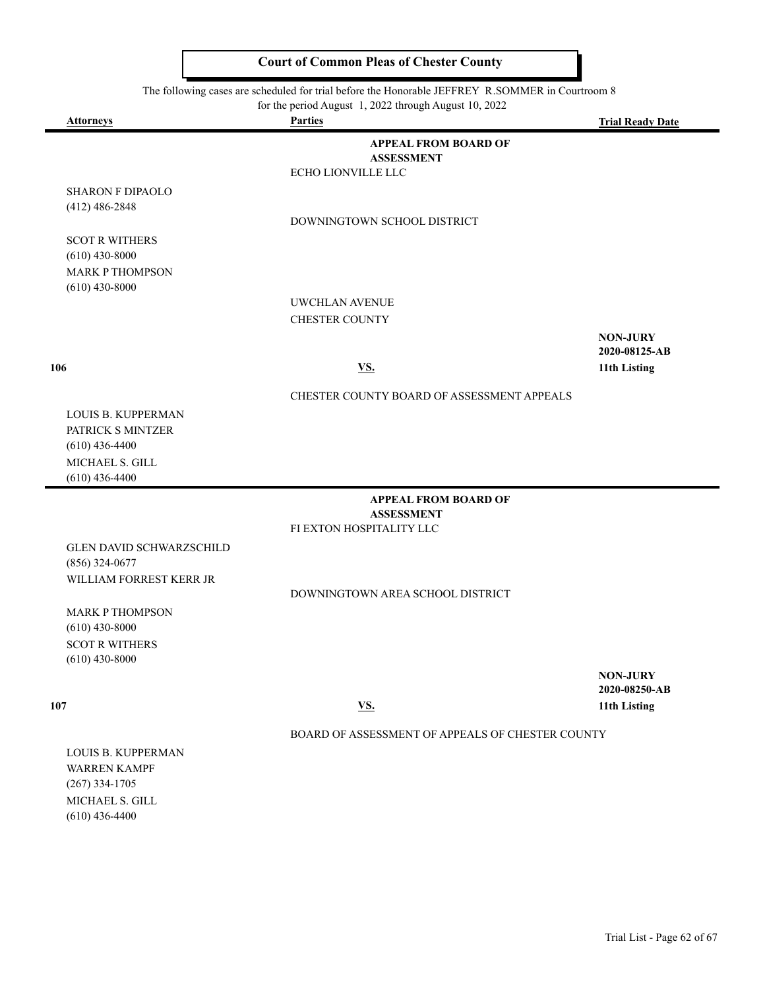The following cases are scheduled for trial before the Honorable JEFFREY R.SOMMER in Courtroom 8

|                                 | for the period August 1, 2022 through August 10, 2022 |                         |
|---------------------------------|-------------------------------------------------------|-------------------------|
| <b>Attorneys</b>                | <b>Parties</b>                                        | <b>Trial Ready Date</b> |
|                                 | <b>APPEAL FROM BOARD OF</b>                           |                         |
|                                 | <b>ASSESSMENT</b>                                     |                         |
|                                 | ECHO LIONVILLE LLC                                    |                         |
| <b>SHARON F DIPAOLO</b>         |                                                       |                         |
| $(412)$ 486-2848                |                                                       |                         |
|                                 | DOWNINGTOWN SCHOOL DISTRICT                           |                         |
| <b>SCOT R WITHERS</b>           |                                                       |                         |
| $(610)$ 430-8000                |                                                       |                         |
| <b>MARK P THOMPSON</b>          |                                                       |                         |
| $(610)$ 430-8000                |                                                       |                         |
|                                 | UWCHLAN AVENUE                                        |                         |
|                                 | <b>CHESTER COUNTY</b>                                 |                         |
|                                 |                                                       | <b>NON-JURY</b>         |
|                                 |                                                       | 2020-08125-AB           |
| 106                             | <b>VS.</b>                                            | 11th Listing            |
|                                 | CHESTER COUNTY BOARD OF ASSESSMENT APPEALS            |                         |
| LOUIS B. KUPPERMAN              |                                                       |                         |
| PATRICK S MINTZER               |                                                       |                         |
| $(610)$ 436-4400                |                                                       |                         |
| MICHAEL S. GILL                 |                                                       |                         |
| $(610)$ 436-4400                |                                                       |                         |
|                                 | <b>APPEAL FROM BOARD OF</b>                           |                         |
|                                 | <b>ASSESSMENT</b>                                     |                         |
|                                 | FI EXTON HOSPITALITY LLC                              |                         |
| <b>GLEN DAVID SCHWARZSCHILD</b> |                                                       |                         |
| $(856)$ 324-0677                |                                                       |                         |
| WILLIAM FORREST KERR JR         |                                                       |                         |
|                                 | DOWNINGTOWN AREA SCHOOL DISTRICT                      |                         |
| <b>MARK P THOMPSON</b>          |                                                       |                         |
| $(610)$ 430-8000                |                                                       |                         |
| <b>SCOT R WITHERS</b>           |                                                       |                         |
| $(610)$ 430-8000                |                                                       |                         |
|                                 |                                                       | <b>NON-JURY</b>         |
|                                 |                                                       | 2020-08250-AB           |
| 107                             | <b>VS.</b>                                            | 11th Listing            |
|                                 | BOARD OF ASSESSMENT OF APPEALS OF CHESTER COUNTY      |                         |
| <b>LOUIS B. KUPPERMAN</b>       |                                                       |                         |
| <b>WARREN KAMPF</b>             |                                                       |                         |
| $(267)$ 334-1705                |                                                       |                         |

MICHAEL S. GILL (610) 436-4400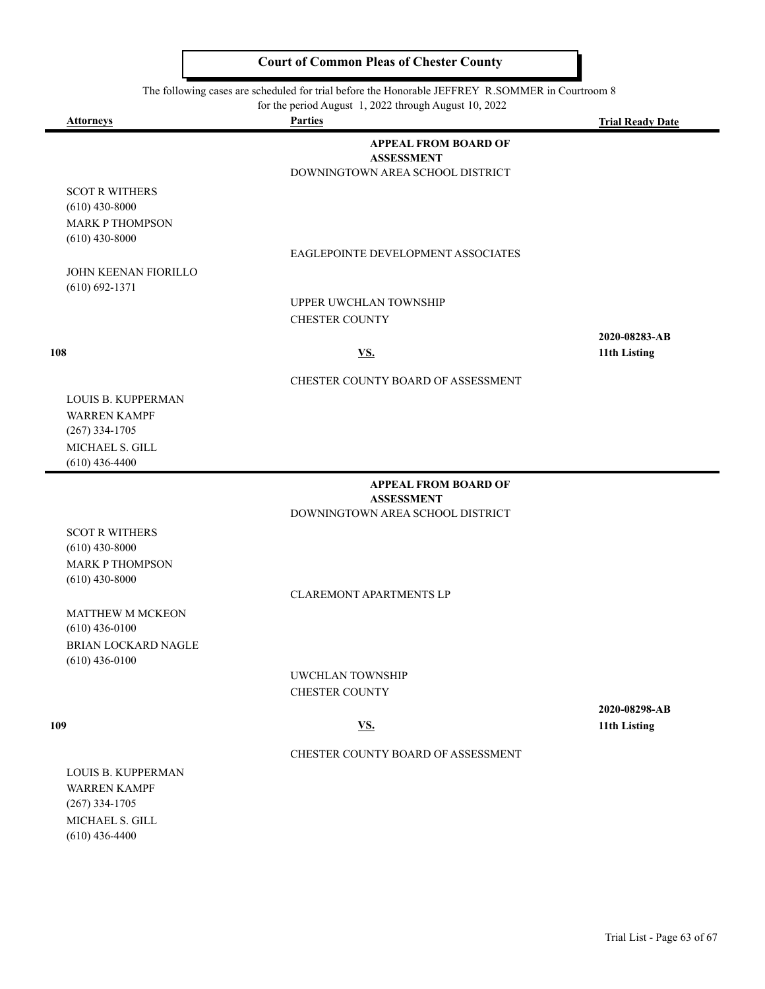The following cases are scheduled for trial before the Honorable JEFFREY R.SOMMER in Courtroom 8

|                                                   | for the period August 1, 2022 through August 10, 2022 |                         |
|---------------------------------------------------|-------------------------------------------------------|-------------------------|
| <b>Attorneys</b>                                  | <b>Parties</b>                                        | <b>Trial Ready Date</b> |
|                                                   | <b>APPEAL FROM BOARD OF</b><br><b>ASSESSMENT</b>      |                         |
|                                                   | DOWNINGTOWN AREA SCHOOL DISTRICT                      |                         |
| <b>SCOT R WITHERS</b>                             |                                                       |                         |
| $(610)$ 430-8000                                  |                                                       |                         |
| <b>MARK P THOMPSON</b>                            |                                                       |                         |
| $(610)$ 430-8000                                  |                                                       |                         |
|                                                   | EAGLEPOINTE DEVELOPMENT ASSOCIATES                    |                         |
| <b>JOHN KEENAN FIORILLO</b><br>$(610) 692 - 1371$ |                                                       |                         |
|                                                   | <b>UPPER UWCHLAN TOWNSHIP</b>                         |                         |
|                                                   | <b>CHESTER COUNTY</b>                                 |                         |
|                                                   |                                                       | 2020-08283-AB           |
| 108                                               | VS.                                                   | 11th Listing            |
|                                                   | CHESTER COUNTY BOARD OF ASSESSMENT                    |                         |
| <b>LOUIS B. KUPPERMAN</b>                         |                                                       |                         |
| <b>WARREN KAMPF</b>                               |                                                       |                         |
| $(267)$ 334-1705                                  |                                                       |                         |
| MICHAEL S. GILL                                   |                                                       |                         |
| $(610)$ 436-4400                                  |                                                       |                         |
|                                                   | <b>APPEAL FROM BOARD OF</b><br><b>ASSESSMENT</b>      |                         |
|                                                   | DOWNINGTOWN AREA SCHOOL DISTRICT                      |                         |
| <b>SCOT R WITHERS</b>                             |                                                       |                         |
| $(610)$ 430-8000                                  |                                                       |                         |

CLAREMONT APARTMENTS LP

MATTHEW M MCKEON (610) 436-0100 BRIAN LOCKARD NAGLE (610) 436-0100

MARK P THOMPSON (610) 430-8000

> UWCHLAN TOWNSHIP CHESTER COUNTY

**2020-08298-AB 109 VS. 11th Listing**

#### CHESTER COUNTY BOARD OF ASSESSMENT

LOUIS B. KUPPERMAN WARREN KAMPF (267) 334-1705 MICHAEL S. GILL (610) 436-4400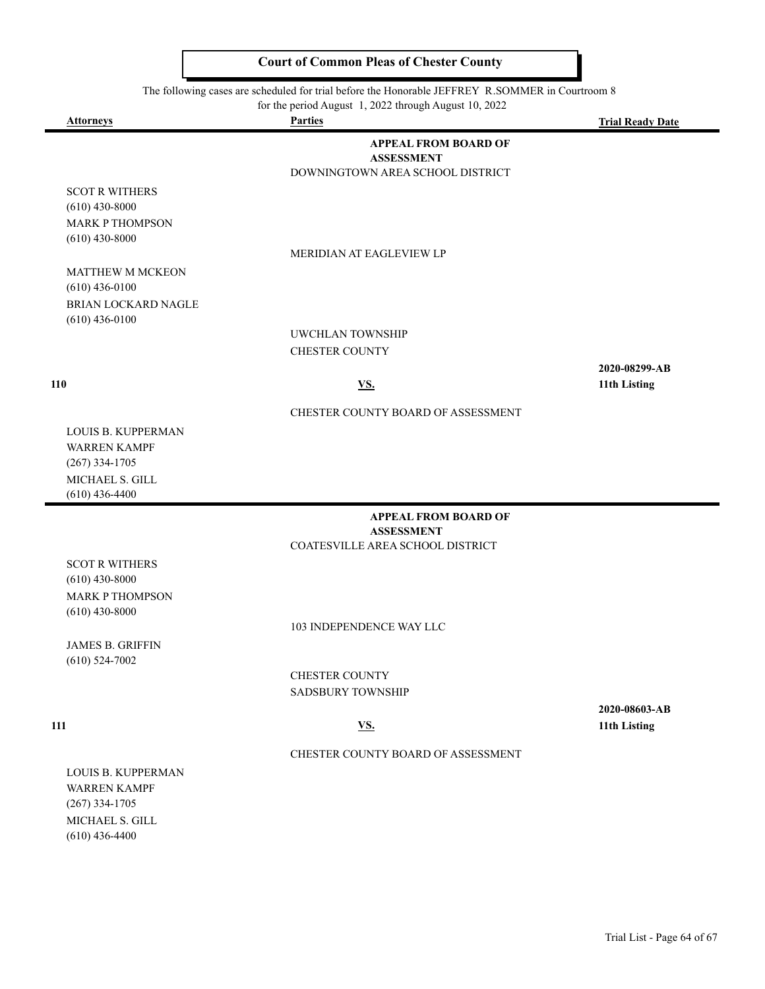The following cases are scheduled for trial before the Honorable JEFFREY R.SOMMER in Courtroom 8

for the period August 1, 2022 through August 10, 2022

|                                                               | for the period August 1, 2022 through August 10, 2022                                |                         |
|---------------------------------------------------------------|--------------------------------------------------------------------------------------|-------------------------|
| Attorneys                                                     | <b>Parties</b>                                                                       | <b>Trial Ready Date</b> |
|                                                               | <b>APPEAL FROM BOARD OF</b><br><b>ASSESSMENT</b><br>DOWNINGTOWN AREA SCHOOL DISTRICT |                         |
| <b>SCOT R WITHERS</b><br>$(610)$ 430-8000                     |                                                                                      |                         |
| <b>MARK P THOMPSON</b><br>$(610)$ 430-8000                    | MERIDIAN AT EAGLEVIEW LP                                                             |                         |
| MATTHEW M MCKEON<br>$(610)$ 436-0100                          |                                                                                      |                         |
| BRIAN LOCKARD NAGLE<br>$(610)$ 436-0100                       |                                                                                      |                         |
|                                                               | UWCHLAN TOWNSHIP                                                                     |                         |
|                                                               | <b>CHESTER COUNTY</b>                                                                |                         |
|                                                               |                                                                                      | 2020-08299-AB           |
| 110                                                           | <u>VS.</u>                                                                           | 11th Listing            |
|                                                               | CHESTER COUNTY BOARD OF ASSESSMENT                                                   |                         |
| LOUIS B. KUPPERMAN                                            |                                                                                      |                         |
| <b>WARREN KAMPF</b><br>$(267)$ 334-1705                       |                                                                                      |                         |
| MICHAEL S. GILL                                               |                                                                                      |                         |
| $(610)$ 436-4400                                              |                                                                                      |                         |
|                                                               | <b>APPEAL FROM BOARD OF</b><br><b>ASSESSMENT</b>                                     |                         |
|                                                               | COATESVILLE AREA SCHOOL DISTRICT                                                     |                         |
| <b>SCOT R WITHERS</b>                                         |                                                                                      |                         |
| $(610)$ 430-8000                                              |                                                                                      |                         |
| <b>MARK P THOMPSON</b>                                        |                                                                                      |                         |
| $(610)$ 430-8000                                              |                                                                                      |                         |
|                                                               | 103 INDEPENDENCE WAY LLC                                                             |                         |
| <b>JAMES B. GRIFFIN</b><br>$(610)$ 524-7002                   |                                                                                      |                         |
|                                                               | <b>CHESTER COUNTY</b>                                                                |                         |
|                                                               | <b>SADSBURY TOWNSHIP</b>                                                             |                         |
|                                                               |                                                                                      | 2020-08603-AB           |
| 111                                                           | <u>VS.</u>                                                                           | 11th Listing            |
|                                                               | CHESTER COUNTY BOARD OF ASSESSMENT                                                   |                         |
| LOUIS B. KUPPERMAN<br><b>WARREN KAMPF</b><br>$(267)$ 334-1705 |                                                                                      |                         |
| MICHAEL S. GILL<br>$(610)$ 436-4400                           |                                                                                      |                         |
|                                                               |                                                                                      |                         |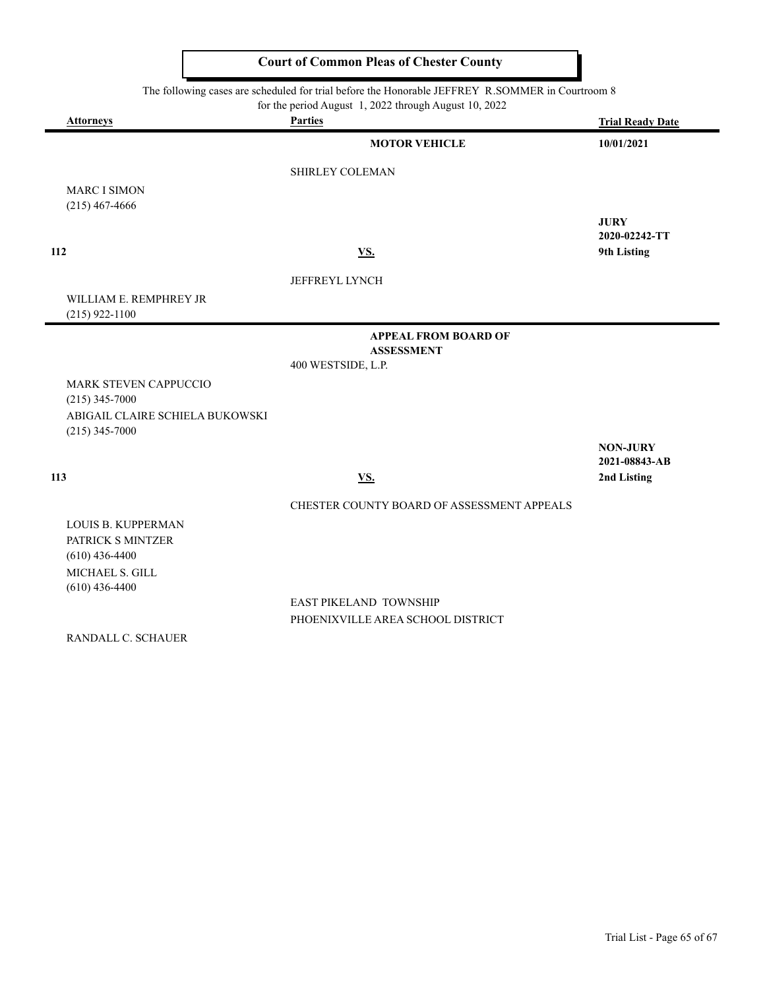The following cases are scheduled for trial before the Honorable JEFFREY R.SOMMER in Courtroom 8

for the period August 1, 2022 through August 10, 2022

|     | <b>Attorneys</b>                           | <b>Parties</b>                             | <b>Trial Ready Date</b> |
|-----|--------------------------------------------|--------------------------------------------|-------------------------|
|     |                                            | <b>MOTOR VEHICLE</b>                       | 10/01/2021              |
|     |                                            | SHIRLEY COLEMAN                            |                         |
|     | <b>MARC I SIMON</b>                        |                                            |                         |
|     | $(215)$ 467-4666                           |                                            | <b>JURY</b>             |
|     |                                            |                                            | 2020-02242-TT           |
| 112 |                                            | VS.                                        | 9th Listing             |
|     |                                            | <b>JEFFREYL LYNCH</b>                      |                         |
|     | WILLIAM E. REMPHREY JR<br>$(215)$ 922-1100 |                                            |                         |
|     |                                            | <b>APPEAL FROM BOARD OF</b>                |                         |
|     |                                            | <b>ASSESSMENT</b><br>400 WESTSIDE, L.P.    |                         |
|     | <b>MARK STEVEN CAPPUCCIO</b>               |                                            |                         |
|     | $(215)$ 345-7000                           |                                            |                         |
|     | ABIGAIL CLAIRE SCHIELA BUKOWSKI            |                                            |                         |
|     | $(215)$ 345-7000                           |                                            | <b>NON-JURY</b>         |
|     |                                            |                                            | 2021-08843-AB           |
| 113 |                                            | <b>VS.</b>                                 | 2nd Listing             |
|     |                                            | CHESTER COUNTY BOARD OF ASSESSMENT APPEALS |                         |
|     | <b>LOUIS B. KUPPERMAN</b>                  |                                            |                         |
|     | PATRICK S MINTZER                          |                                            |                         |
|     | $(610)$ 436-4400<br>MICHAEL S. GILL        |                                            |                         |
|     | $(610)$ 436-4400                           |                                            |                         |
|     |                                            | EAST PIKELAND TOWNSHIP                     |                         |
|     |                                            | PHOENIXVILLE AREA SCHOOL DISTRICT          |                         |
|     | RANDALL C. SCHAUER                         |                                            |                         |
|     |                                            |                                            |                         |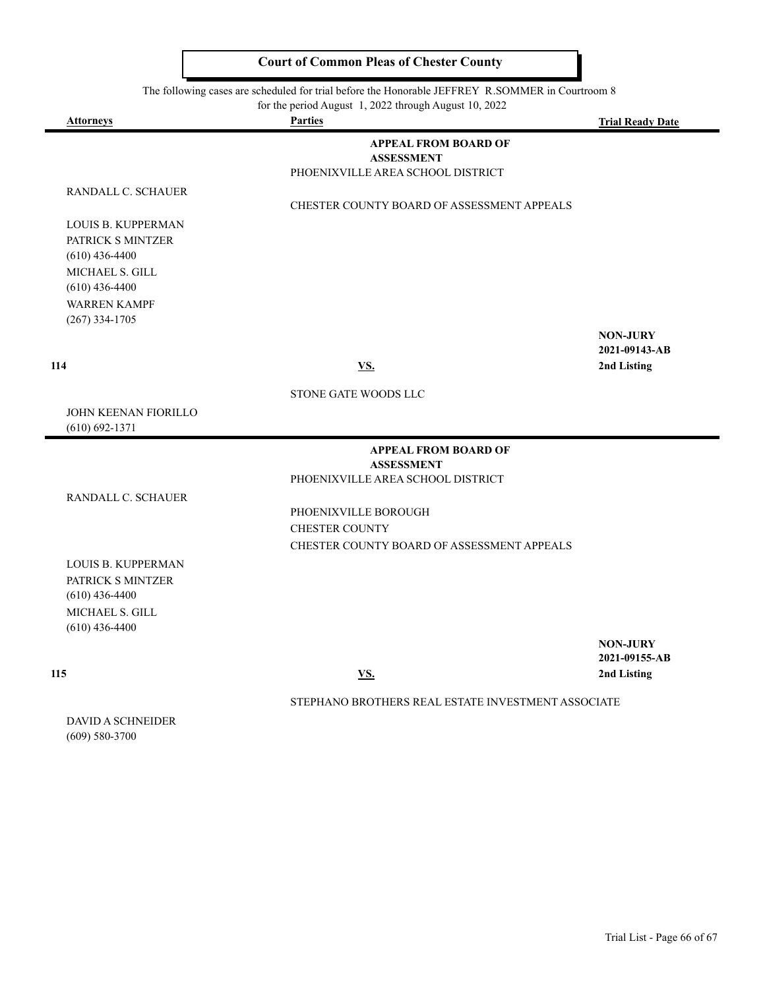The following cases are scheduled for trial before the Honorable JEFFREY R.SOMMER in Courtroom 8<br>for the period August 1, 2022 through August 10, 2022

|  | for the period August 1, 2022 through August 10, 2022 |  |
|--|-------------------------------------------------------|--|
|--|-------------------------------------------------------|--|

| <b>Attorneys</b>                                                                                                                              | for the period August $1, 2022$ through August $10, 2022$<br><b>Parties</b>           | <b>Trial Ready Date</b>          |
|-----------------------------------------------------------------------------------------------------------------------------------------------|---------------------------------------------------------------------------------------|----------------------------------|
| RANDALL C. SCHAUER                                                                                                                            | <b>APPEAL FROM BOARD OF</b><br><b>ASSESSMENT</b><br>PHOENIXVILLE AREA SCHOOL DISTRICT |                                  |
| LOUIS B. KUPPERMAN<br>PATRICK S MINTZER<br>$(610)$ 436-4400<br>MICHAEL S. GILL<br>$(610)$ 436-4400<br><b>WARREN KAMPF</b><br>$(267)$ 334-1705 | CHESTER COUNTY BOARD OF ASSESSMENT APPEALS                                            | <b>NON-JURY</b>                  |
| 114                                                                                                                                           | <u>VS.</u>                                                                            | 2021-09143-AB<br>2nd Listing     |
|                                                                                                                                               | STONE GATE WOODS LLC                                                                  |                                  |
| <b>JOHN KEENAN FIORILLO</b><br>$(610) 692 - 1371$                                                                                             |                                                                                       |                                  |
|                                                                                                                                               | <b>APPEAL FROM BOARD OF</b><br><b>ASSESSMENT</b>                                      |                                  |
|                                                                                                                                               | PHOENIXVILLE AREA SCHOOL DISTRICT                                                     |                                  |
| RANDALL C. SCHAUER                                                                                                                            | PHOENIXVILLE BOROUGH<br><b>CHESTER COUNTY</b>                                         |                                  |
| <b>LOUIS B. KUPPERMAN</b><br>PATRICK S MINTZER<br>$(610)$ 436-4400<br>MICHAEL S. GILL<br>$(610)$ 436-4400                                     | CHESTER COUNTY BOARD OF ASSESSMENT APPEALS                                            |                                  |
|                                                                                                                                               |                                                                                       | <b>NON-JURY</b><br>2021-09155-AB |
| 115                                                                                                                                           | $\underline{\mathbf{VS}}$ .                                                           | 2nd Listing                      |
|                                                                                                                                               | STEPHANO BROTHERS REAL ESTATE INVESTMENT ASSOCIATE                                    |                                  |
| <b>DAVID A SCHNEIDER</b><br>$(609) 580 - 3700$                                                                                                |                                                                                       |                                  |